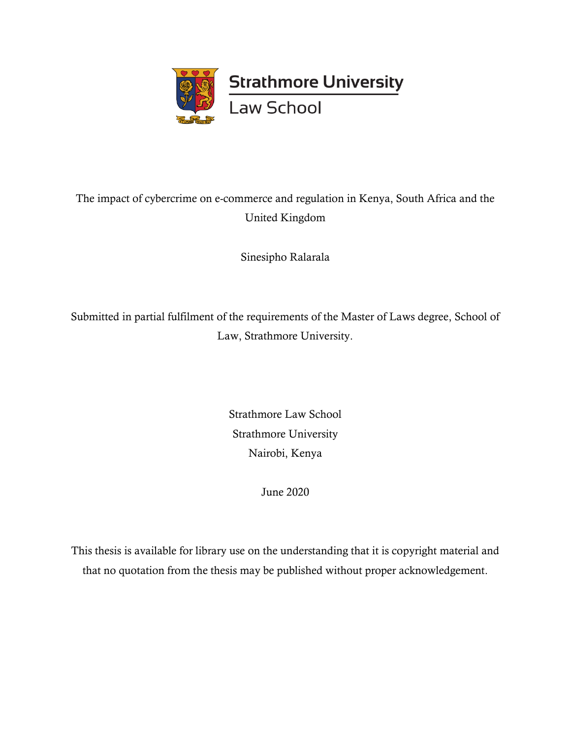

# The impact of cybercrime on e-commerce and regulation in Kenya, South Africa and the United Kingdom

Sinesipho Ralarala

Submitted in partial fulfilment of the requirements of the Master of Laws degree, School of Law, Strathmore University.

> Strathmore Law School Strathmore University Nairobi, Kenya

> > June 2020

This thesis is available for library use on the understanding that it is copyright material and that no quotation from the thesis may be published without proper acknowledgement.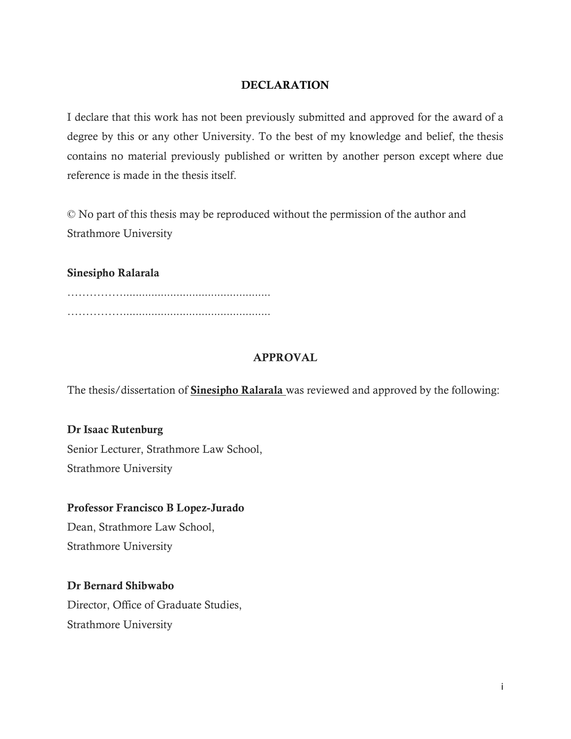### DECLARATION

<span id="page-1-0"></span>I declare that this work has not been previously submitted and approved for the award of a degree by this or any other University. To the best of my knowledge and belief, the thesis contains no material previously published or written by another person except where due reference is made in the thesis itself.

© No part of this thesis may be reproduced without the permission of the author and Strathmore University

Sinesipho Ralarala

……………............................................... ……………...............................................

## APPROVAL

The thesis/dissertation of **Sinesipho Ralarala** was reviewed and approved by the following:

### Dr Isaac Rutenburg

Senior Lecturer, Strathmore Law School, Strathmore University

### Professor Francisco B Lopez-Jurado

Dean, Strathmore Law School, Strathmore University

### Dr Bernard Shibwabo

Director, Office of Graduate Studies, Strathmore University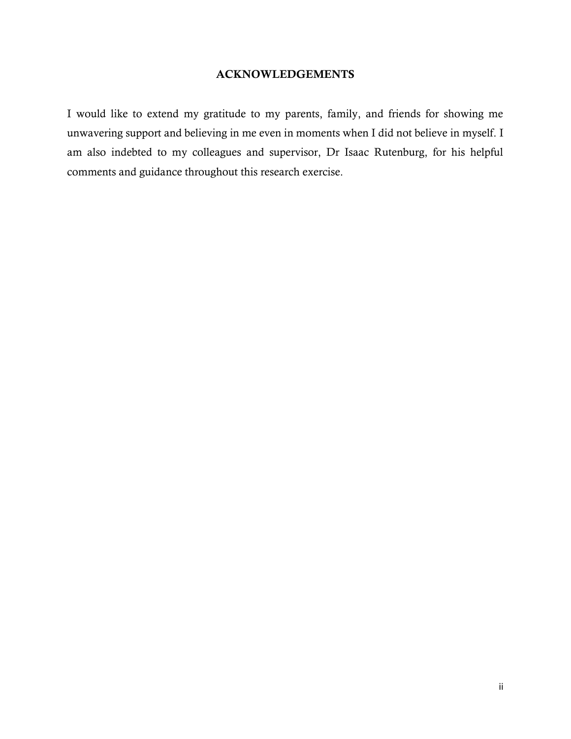#### ACKNOWLEDGEMENTS

<span id="page-2-0"></span>I would like to extend my gratitude to my parents, family, and friends for showing me unwavering support and believing in me even in moments when I did not believe in myself. I am also indebted to my colleagues and supervisor, Dr Isaac Rutenburg, for his helpful comments and guidance throughout this research exercise.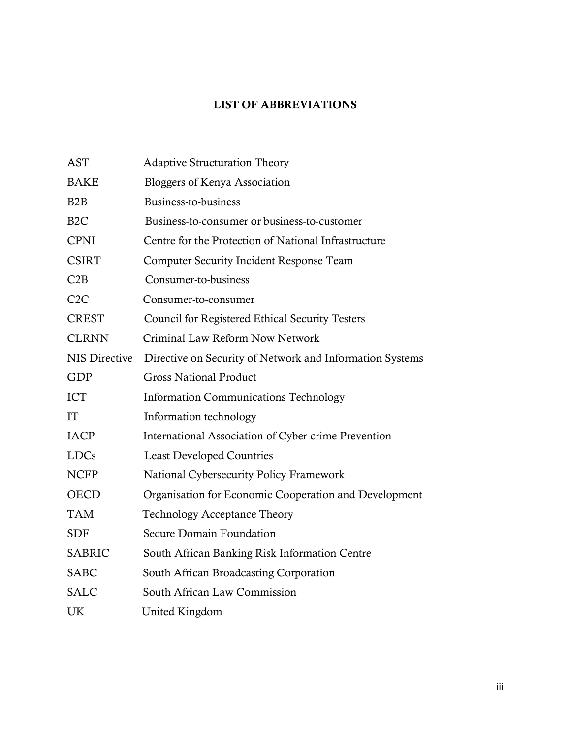# LIST OF ABBREVIATIONS

<span id="page-3-0"></span>

| <b>AST</b>           | <b>Adaptive Structuration Theory</b>                     |
|----------------------|----------------------------------------------------------|
| <b>BAKE</b>          | Bloggers of Kenya Association                            |
| B2B                  | Business-to-business                                     |
| B <sub>2</sub> C     | Business-to-consumer or business-to-customer             |
| <b>CPNI</b>          | Centre for the Protection of National Infrastructure     |
| <b>CSIRT</b>         | <b>Computer Security Incident Response Team</b>          |
| C2B                  | Consumer-to-business                                     |
| C2C                  | Consumer-to-consumer                                     |
| <b>CREST</b>         | Council for Registered Ethical Security Testers          |
| <b>CLRNN</b>         | Criminal Law Reform Now Network                          |
| <b>NIS Directive</b> | Directive on Security of Network and Information Systems |
| <b>GDP</b>           | <b>Gross National Product</b>                            |
| <b>ICT</b>           | <b>Information Communications Technology</b>             |
| <b>IT</b>            | Information technology                                   |
| <b>IACP</b>          | International Association of Cyber-crime Prevention      |
| <b>LDCs</b>          | <b>Least Developed Countries</b>                         |
| <b>NCFP</b>          | National Cybersecurity Policy Framework                  |
| <b>OECD</b>          | Organisation for Economic Cooperation and Development    |
| <b>TAM</b>           | <b>Technology Acceptance Theory</b>                      |
| <b>SDF</b>           | Secure Domain Foundation                                 |
| <b>SABRIC</b>        | South African Banking Risk Information Centre            |
| <b>SABC</b>          | South African Broadcasting Corporation                   |
| <b>SALC</b>          | South African Law Commission                             |
| UK                   | United Kingdom                                           |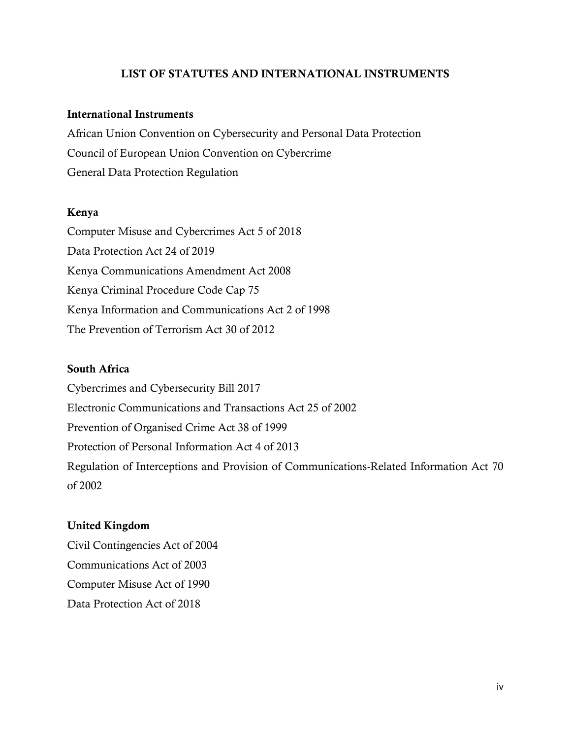### LIST OF STATUTES AND INTERNATIONAL INSTRUMENTS

#### <span id="page-4-0"></span>International Instruments

African Union Convention on Cybersecurity and Personal Data Protection Council of European Union Convention on Cybercrime General Data Protection Regulation

#### Kenya

Computer Misuse and Cybercrimes Act 5 of 2018 Data Protection Act 24 of 2019 Kenya Communications Amendment Act 2008 Kenya Criminal Procedure Code Cap 75 Kenya Information and Communications Act 2 of 1998 The Prevention of Terrorism Act 30 of 2012

### South Africa

Cybercrimes and Cybersecurity Bill 2017 Electronic Communications and Transactions Act 25 of 2002 Prevention of Organised Crime Act 38 of 1999 Protection of Personal Information Act 4 of 2013 Regulation of Interceptions and Provision of Communications-Related Information Act 70 of 2002

### United Kingdom

Civil Contingencies Act of 2004 Communications Act of 2003 Computer Misuse Act of 1990 Data Protection Act of 2018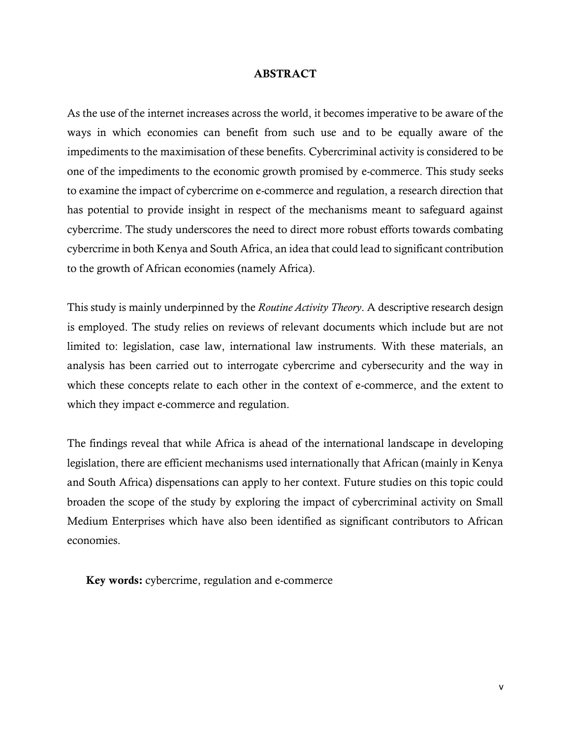#### **ABSTRACT**

<span id="page-5-0"></span>As the use of the internet increases across the world, it becomes imperative to be aware of the ways in which economies can benefit from such use and to be equally aware of the impediments to the maximisation of these benefits. Cybercriminal activity is considered to be one of the impediments to the economic growth promised by e-commerce. This study seeks to examine the impact of cybercrime on e-commerce and regulation, a research direction that has potential to provide insight in respect of the mechanisms meant to safeguard against cybercrime. The study underscores the need to direct more robust efforts towards combating cybercrime in both Kenya and South Africa, an idea that could lead to significant contribution to the growth of African economies (namely Africa).

This study is mainly underpinned by the *Routine Activity Theory*. A descriptive research design is employed. The study relies on reviews of relevant documents which include but are not limited to: legislation, case law, international law instruments. With these materials, an analysis has been carried out to interrogate cybercrime and cybersecurity and the way in which these concepts relate to each other in the context of e-commerce, and the extent to which they impact e-commerce and regulation.

The findings reveal that while Africa is ahead of the international landscape in developing legislation, there are efficient mechanisms used internationally that African (mainly in Kenya and South Africa) dispensations can apply to her context. Future studies on this topic could broaden the scope of the study by exploring the impact of cybercriminal activity on Small Medium Enterprises which have also been identified as significant contributors to African economies.

Key words: cybercrime, regulation and e-commerce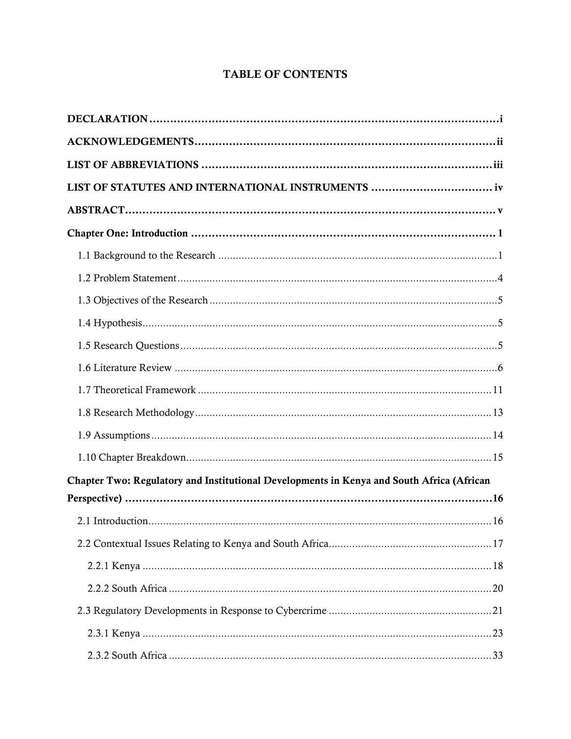# **TABLE OF CONTENTS**

| Chapter Two: Regulatory and Institutional Developments in Kenya and South Africa (African |  |
|-------------------------------------------------------------------------------------------|--|
|                                                                                           |  |
|                                                                                           |  |
|                                                                                           |  |
|                                                                                           |  |
|                                                                                           |  |
|                                                                                           |  |
|                                                                                           |  |
|                                                                                           |  |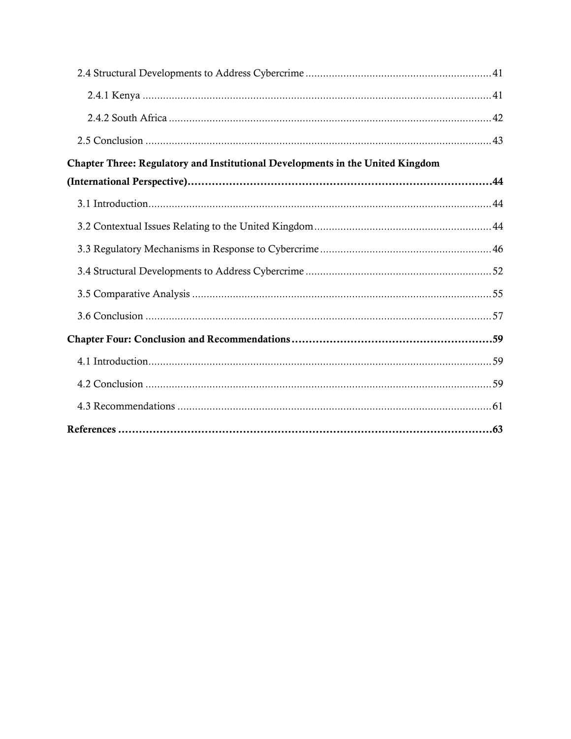| Chapter Three: Regulatory and Institutional Developments in the United Kingdom |  |
|--------------------------------------------------------------------------------|--|
|                                                                                |  |
|                                                                                |  |
|                                                                                |  |
|                                                                                |  |
|                                                                                |  |
|                                                                                |  |
|                                                                                |  |
|                                                                                |  |
|                                                                                |  |
|                                                                                |  |
|                                                                                |  |
|                                                                                |  |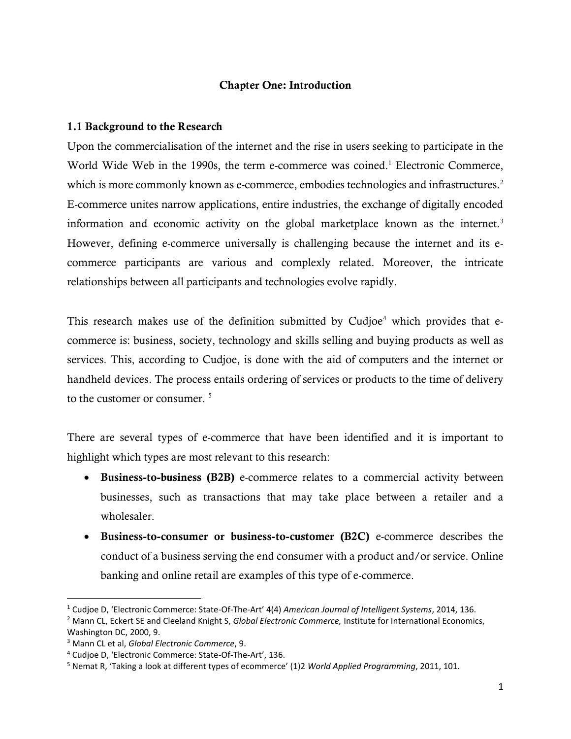### Chapter One: Introduction

#### <span id="page-8-1"></span><span id="page-8-0"></span>1.1 Background to the Research

Upon the commercialisation of the internet and the rise in users seeking to participate in the World Wide Web in the 1990s, the term e-commerce was coined.<sup>1</sup> Electronic Commerce, which is more commonly known as e-commerce, embodies technologies and infrastructures.<sup>2</sup> E-commerce unites narrow applications, entire industries, the exchange of digitally encoded information and economic activity on the global marketplace known as the internet.<sup>3</sup> However, defining e-commerce universally is challenging because the internet and its ecommerce participants are various and complexly related. Moreover, the intricate relationships between all participants and technologies evolve rapidly.

This research makes use of the definition submitted by  $Cudjoe<sup>4</sup>$  which provides that ecommerce is: business, society, technology and skills selling and buying products as well as services. This, according to Cudjoe, is done with the aid of computers and the internet or handheld devices. The process entails ordering of services or products to the time of delivery to the customer or consumer.<sup>5</sup>

There are several types of e-commerce that have been identified and it is important to highlight which types are most relevant to this research:

- Business-to-business (B2B) e-commerce relates to a commercial activity between businesses, such as transactions that may take place between a retailer and a wholesaler.
- Business-to-consumer or business-to-customer (B2C) e-commerce describes the conduct of a business serving the end consumer with a product and/or service. Online banking and online retail are examples of this type of e-commerce.

<sup>1</sup> Cudjoe D, 'Electronic Commerce: State-Of-The-Art' 4(4) *American Journal of Intelligent Systems*, 2014, 136.

<sup>2</sup> Mann CL, Eckert SE and Cleeland Knight S, *Global Electronic Commerce,* Institute for International Economics, Washington DC, 2000, 9.

<sup>3</sup> Mann CL et al, *Global Electronic Commerce*, 9.

<sup>4</sup> Cudjoe D, 'Electronic Commerce: State-Of-The-Art', 136.

<sup>5</sup> Nemat R, 'Taking a look at different types of ecommerce' (1)2 *World Applied Programming*, 2011, 101.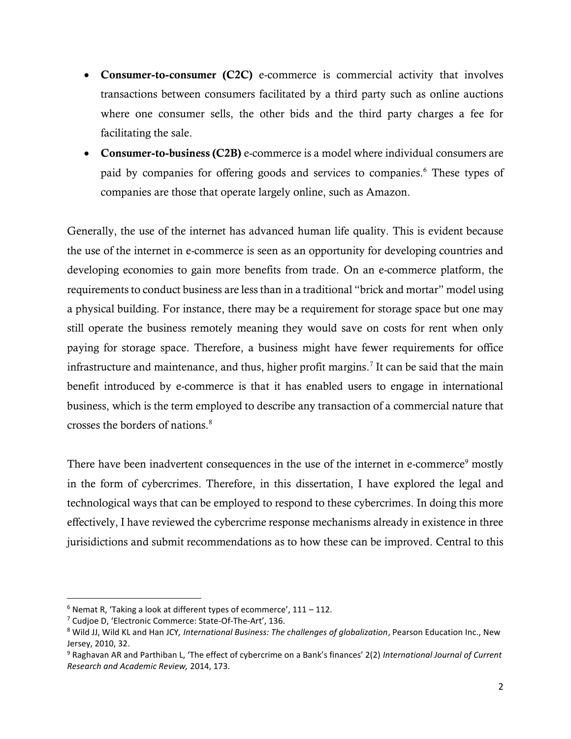- Consumer-to-consumer (C2C) e-commerce is commercial activity that involves transactions between consumers facilitated by a third party such as online auctions where one consumer sells, the other bids and the third party charges a fee for facilitating the sale.
- Consumer-to-business (C2B) e-commerce is a model where individual consumers are paid by companies for offering goods and services to companies.<sup>6</sup> These types of companies are those that operate largely online, such as Amazon.

Generally, the use of the internet has advanced human life quality. This is evident because the use of the internet in e-commerce is seen as an opportunity for developing countries and developing economies to gain more benefits from trade. On an e-commerce platform, the requirements to conduct business are less than in a traditional "brick and mortar" model using a physical building. For instance, there may be a requirement for storage space but one may still operate the business remotely meaning they would save on costs for rent when only paying for storage space. Therefore, a business might have fewer requirements for office infrastructure and maintenance, and thus, higher profit margins.<sup>7</sup> It can be said that the main benefit introduced by e-commerce is that it has enabled users to engage in international business, which is the term employed to describe any transaction of a commercial nature that crosses the borders of nations.<sup>8</sup>

There have been inadvertent consequences in the use of the internet in e-commerce<sup>9</sup> mostly in the form of cybercrimes. Therefore, in this dissertation, I have explored the legal and technological ways that can be employed to respond to these cybercrimes. In doing this more effectively, I have reviewed the cybercrime response mechanisms already in existence in three jurisidictions and submit recommendations as to how these can be improved. Central to this

 $6$  Nemat R, 'Taking a look at different types of ecommerce',  $111 - 112$ .

<sup>7</sup> Cudjoe D, 'Electronic Commerce: State-Of-The-Art', 136.

<sup>8</sup> Wild JJ, Wild KL and Han JCY*, International Business: The challenges of globalization*, Pearson Education Inc., New Jersey, 2010, 32.

<sup>9</sup> Raghavan AR and Parthiban L, 'The effect of cybercrime on a Bank's finances' 2(2) *International Journal of Current Research and Academic Review,* 2014, 173.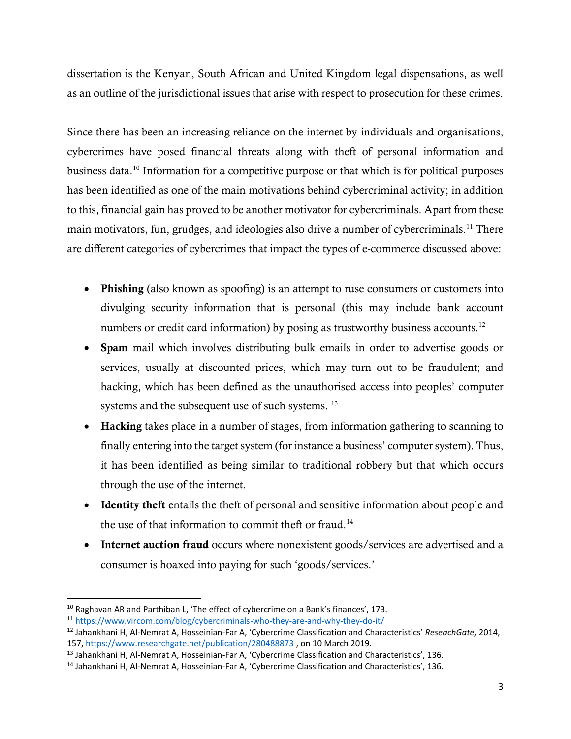dissertation is the Kenyan, South African and United Kingdom legal dispensations, as well as an outline of the jurisdictional issues that arise with respect to prosecution for these crimes.

Since there has been an increasing reliance on the internet by individuals and organisations, cybercrimes have posed financial threats along with theft of personal information and business data. <sup>10</sup> Information for a competitive purpose or that which is for political purposes has been identified as one of the main motivations behind cybercriminal activity; in addition to this, financial gain has proved to be another motivator for cybercriminals. Apart from these main motivators, fun, grudges, and ideologies also drive a number of cybercriminals.<sup>11</sup> There are different categories of cybercrimes that impact the types of e-commerce discussed above:

- Phishing (also known as spoofing) is an attempt to ruse consumers or customers into divulging security information that is personal (this may include bank account numbers or credit card information) by posing as trustworthy business accounts.<sup>12</sup>
- Spam mail which involves distributing bulk emails in order to advertise goods or services, usually at discounted prices, which may turn out to be fraudulent; and hacking, which has been defined as the unauthorised access into peoples' computer systems and the subsequent use of such systems. <sup>13</sup>
- Hacking takes place in a number of stages, from information gathering to scanning to finally entering into the target system (for instance a business' computer system). Thus, it has been identified as being similar to traditional robbery but that which occurs through the use of the internet.
- Identity theft entails the theft of personal and sensitive information about people and the use of that information to commit theft or fraud.<sup>14</sup>
- Internet auction fraud occurs where nonexistent goods/services are advertised and a consumer is hoaxed into paying for such 'goods/services.'

 $10$  Raghavan AR and Parthiban L, 'The effect of cybercrime on a Bank's finances', 173.

<sup>11</sup> <https://www.vircom.com/blog/cybercriminals-who-they-are-and-why-they-do-it/>

<sup>12</sup> Jahankhani H, Al-Nemrat A, Hosseinian-Far A, 'Cybercrime Classification and Characteristics' *ReseachGate,* 2014, 157,<https://www.researchgate.net/publication/280488873> , on 10 March 2019.

<sup>13</sup> Jahankhani H, Al-Nemrat A, Hosseinian-Far A, 'Cybercrime Classification and Characteristics', 136.

<sup>14</sup> Jahankhani H, Al-Nemrat A, Hosseinian-Far A, 'Cybercrime Classification and Characteristics', 136.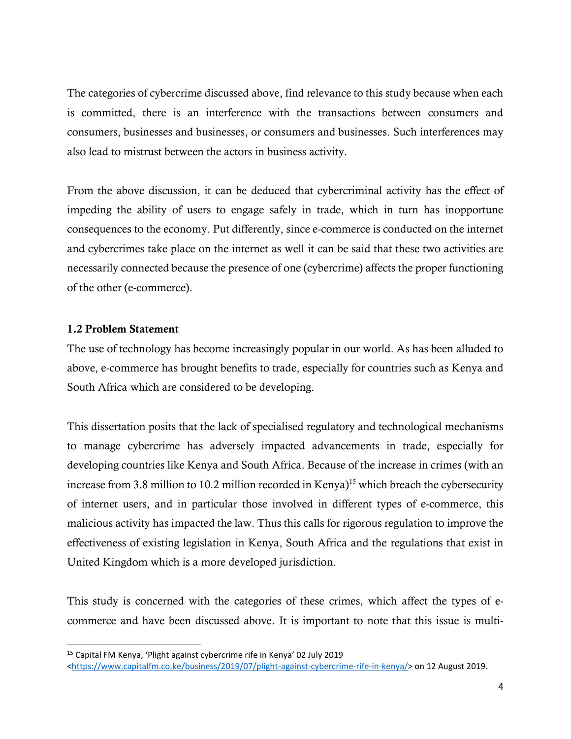The categories of cybercrime discussed above, find relevance to this study because when each is committed, there is an interference with the transactions between consumers and consumers, businesses and businesses, or consumers and businesses. Such interferences may also lead to mistrust between the actors in business activity.

From the above discussion, it can be deduced that cybercriminal activity has the effect of impeding the ability of users to engage safely in trade, which in turn has inopportune consequences to the economy. Put differently, since e-commerce is conducted on the internet and cybercrimes take place on the internet as well it can be said that these two activities are necessarily connected because the presence of one (cybercrime) affects the proper functioning of the other (e-commerce).

### <span id="page-11-0"></span>1.2 Problem Statement

l

The use of technology has become increasingly popular in our world. As has been alluded to above, e-commerce has brought benefits to trade, especially for countries such as Kenya and South Africa which are considered to be developing.

This dissertation posits that the lack of specialised regulatory and technological mechanisms to manage cybercrime has adversely impacted advancements in trade, especially for developing countries like Kenya and South Africa. Because of the increase in crimes (with an increase from 3.8 million to 10.2 million recorded in Kenya) <sup>15</sup> which breach the cybersecurity of internet users, and in particular those involved in different types of e-commerce, this malicious activity has impacted the law. Thus this calls for rigorous regulation to improve the effectiveness of existing legislation in Kenya, South Africa and the regulations that exist in United Kingdom which is a more developed jurisdiction.

This study is concerned with the categories of these crimes, which affect the types of ecommerce and have been discussed above. It is important to note that this issue is multi-

<sup>15</sup> Capital FM Kenya, 'Plight against cybercrime rife in Kenya' 02 July 2019 [<https://www.capitalfm.co.ke/business/2019/07/plight-against-cybercrime-rife-in-kenya/>](https://www.capitalfm.co.ke/business/2019/07/plight-against-cybercrime-rife-in-kenya/) on 12 August 2019.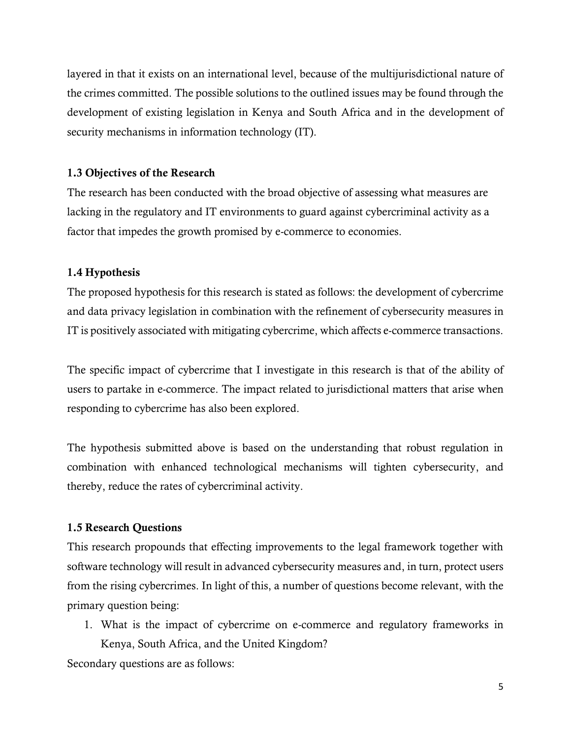layered in that it exists on an international level, because of the multijurisdictional nature of the crimes committed. The possible solutions to the outlined issues may be found through the development of existing legislation in Kenya and South Africa and in the development of security mechanisms in information technology (IT).

### <span id="page-12-0"></span>1.3 Objectives of the Research

The research has been conducted with the broad objective of assessing what measures are lacking in the regulatory and IT environments to guard against cybercriminal activity as a factor that impedes the growth promised by e-commerce to economies.

## <span id="page-12-1"></span>1.4 Hypothesis

The proposed hypothesis for this research is stated as follows: the development of cybercrime and data privacy legislation in combination with the refinement of cybersecurity measures in IT is positively associated with mitigating cybercrime, which affects e-commerce transactions.

The specific impact of cybercrime that I investigate in this research is that of the ability of users to partake in e-commerce. The impact related to jurisdictional matters that arise when responding to cybercrime has also been explored.

The hypothesis submitted above is based on the understanding that robust regulation in combination with enhanced technological mechanisms will tighten cybersecurity, and thereby, reduce the rates of cybercriminal activity.

### <span id="page-12-2"></span>1.5 Research Questions

This research propounds that effecting improvements to the legal framework together with software technology will result in advanced cybersecurity measures and, in turn, protect users from the rising cybercrimes. In light of this, a number of questions become relevant, with the primary question being:

1. What is the impact of cybercrime on e-commerce and regulatory frameworks in Kenya, South Africa, and the United Kingdom?

Secondary questions are as follows: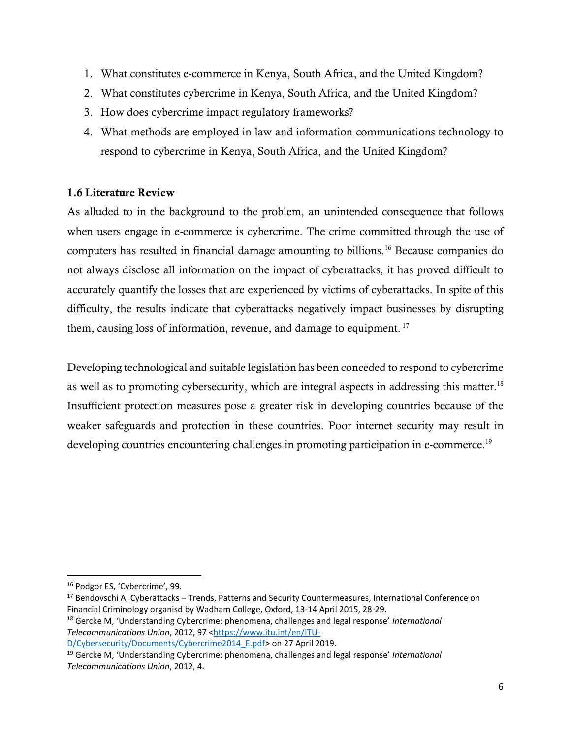- 1. What constitutes e-commerce in Kenya, South Africa, and the United Kingdom?
- 2. What constitutes cybercrime in Kenya, South Africa, and the United Kingdom?
- 3. How does cybercrime impact regulatory frameworks?
- 4. What methods are employed in law and information communications technology to respond to cybercrime in Kenya, South Africa, and the United Kingdom?

# <span id="page-13-0"></span>1.6 Literature Review

As alluded to in the background to the problem, an unintended consequence that follows when users engage in e-commerce is cybercrime. The crime committed through the use of computers has resulted in financial damage amounting to billions.<sup>16</sup> Because companies do not always disclose all information on the impact of cyberattacks, it has proved difficult to accurately quantify the losses that are experienced by victims of cyberattacks. In spite of this difficulty, the results indicate that cyberattacks negatively impact businesses by disrupting them, causing loss of information, revenue, and damage to equipment.<sup>17</sup>

Developing technological and suitable legislation has been conceded to respond to cybercrime as well as to promoting cybersecurity, which are integral aspects in addressing this matter.<sup>18</sup> Insufficient protection measures pose a greater risk in developing countries because of the weaker safeguards and protection in these countries. Poor internet security may result in developing countries encountering challenges in promoting participation in e-commerce.<sup>19</sup>

<sup>16</sup> Podgor ES, 'Cybercrime', 99.

<sup>&</sup>lt;sup>17</sup> Bendovschi A, Cyberattacks – Trends, Patterns and Security Countermeasures, International Conference on Financial Criminology organisd by Wadham College, Oxford, 13-14 April 2015, 28-29.

<sup>18</sup> Gercke M, 'Understanding Cybercrime: phenomena, challenges and legal response' *International Telecommunications Union*, 2012, 97 [<https://www.itu.int/en/ITU-](https://www.itu.int/en/ITU-D/Cybersecurity/Documents/Cybercrime2014_E.pdf)

[D/Cybersecurity/Documents/Cybercrime2014\\_E.pdf>](https://www.itu.int/en/ITU-D/Cybersecurity/Documents/Cybercrime2014_E.pdf) on 27 April 2019.

<sup>19</sup> Gercke M, 'Understanding Cybercrime: phenomena, challenges and legal response' *International Telecommunications Union*, 2012, 4.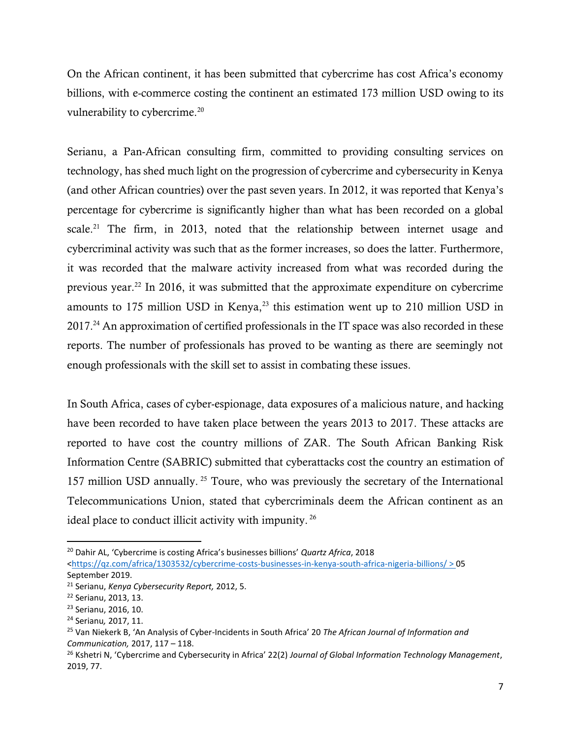On the African continent, it has been submitted that cybercrime has cost Africa's economy billions, with e-commerce costing the continent an estimated 173 million USD owing to its vulnerability to cybercrime.<sup>20</sup>

Serianu, a Pan-African consulting firm, committed to providing consulting services on technology, has shed much light on the progression of cybercrime and cybersecurity in Kenya (and other African countries) over the past seven years. In 2012, it was reported that Kenya's percentage for cybercrime is significantly higher than what has been recorded on a global scale.<sup>21</sup> The firm, in 2013, noted that the relationship between internet usage and cybercriminal activity was such that as the former increases, so does the latter. Furthermore, it was recorded that the malware activity increased from what was recorded during the previous year.<sup>22</sup> In 2016, it was submitted that the approximate expenditure on cybercrime amounts to 175 million USD in Kenya, $^{23}$  this estimation went up to 210 million USD in 2017.<sup>24</sup> An approximation of certified professionals in the IT space was also recorded in these reports. The number of professionals has proved to be wanting as there are seemingly not enough professionals with the skill set to assist in combating these issues.

In South Africa, cases of cyber-espionage, data exposures of a malicious nature, and hacking have been recorded to have taken place between the years 2013 to 2017. These attacks are reported to have cost the country millions of ZAR. The South African Banking Risk Information Centre (SABRIC) submitted that cyberattacks cost the country an estimation of 157 million USD annually. <sup>25</sup> Toure, who was previously the secretary of the International Telecommunications Union, stated that cybercriminals deem the African continent as an ideal place to conduct illicit activity with impunity. <sup>26</sup>

<sup>20</sup> Dahir AL, 'Cybercrime is costing Africa's businesses billions' *Quartz Africa*, 2018 [<https://qz.com/africa/1303532/cybercrime-costs-businesses-in-kenya-south-africa-nigeria-billions/](https://qz.com/africa/1303532/cybercrime-costs-businesses-in-kenya-south-africa-nigeria-billions/) > 05 September 2019.

<sup>21</sup> Serianu, *Kenya Cybersecurity Report,* 2012, 5.

<sup>22</sup> Serianu, 2013, 13.

<sup>23</sup> Serianu, 2016, 10.

<sup>24</sup> Serianu*,* 2017, 11.

<sup>25</sup> Van Niekerk B, 'An Analysis of Cyber-Incidents in South Africa' 20 *The African Journal of Information and Communication,* 2017, 117 – 118.

<sup>26</sup> Kshetri N, 'Cybercrime and Cybersecurity in Africa' 22(2) *Journal of Global Information Technology Management*, 2019, 77.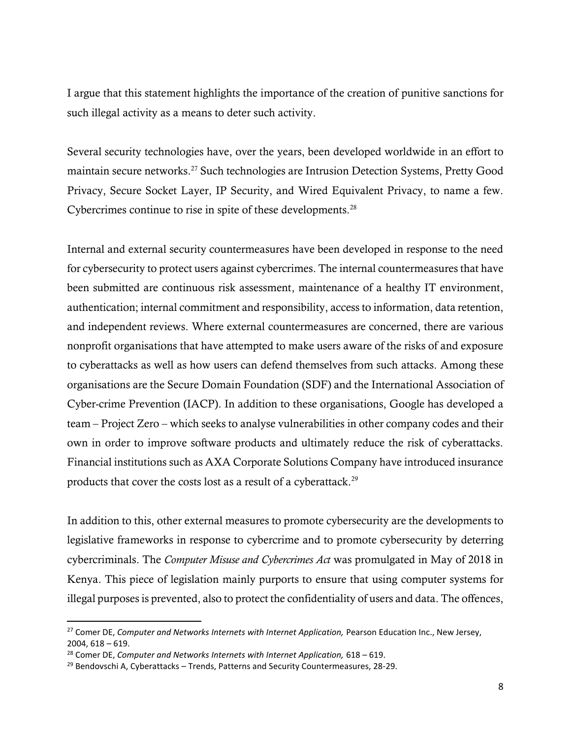I argue that this statement highlights the importance of the creation of punitive sanctions for such illegal activity as a means to deter such activity.

Several security technologies have, over the years, been developed worldwide in an effort to maintain secure networks.<sup>27</sup> Such technologies are Intrusion Detection Systems, Pretty Good Privacy, Secure Socket Layer, IP Security, and Wired Equivalent Privacy, to name a few. Cybercrimes continue to rise in spite of these developments.<sup>28</sup>

Internal and external security countermeasures have been developed in response to the need for cybersecurity to protect users against cybercrimes. The internal countermeasures that have been submitted are continuous risk assessment, maintenance of a healthy IT environment, authentication; internal commitment and responsibility, access to information, data retention, and independent reviews. Where external countermeasures are concerned, there are various nonprofit organisations that have attempted to make users aware of the risks of and exposure to cyberattacks as well as how users can defend themselves from such attacks. Among these organisations are the Secure Domain Foundation (SDF) and the International Association of Cyber-crime Prevention (IACP). In addition to these organisations, Google has developed a team – Project Zero – which seeks to analyse vulnerabilities in other company codes and their own in order to improve software products and ultimately reduce the risk of cyberattacks. Financial institutions such as AXA Corporate Solutions Company have introduced insurance products that cover the costs lost as a result of a cyberattack.<sup>29</sup>

In addition to this, other external measures to promote cybersecurity are the developments to legislative frameworks in response to cybercrime and to promote cybersecurity by deterring cybercriminals. The *Computer Misuse and Cybercrimes Act* was promulgated in May of 2018 in Kenya. This piece of legislation mainly purports to ensure that using computer systems for illegal purposes is prevented, also to protect the confidentiality of users and data. The offences,

<sup>&</sup>lt;sup>27</sup> Comer DE, *Computer and Networks Internets with Internet Application*, Pearson Education Inc., New Jersey, 2004, 618 – 619.

<sup>&</sup>lt;sup>28</sup> Comer DE, *Computer and Networks Internets with Internet Application*, 618 – 619.

 $29$  Bendovschi A, Cyberattacks – Trends, Patterns and Security Countermeasures, 28-29.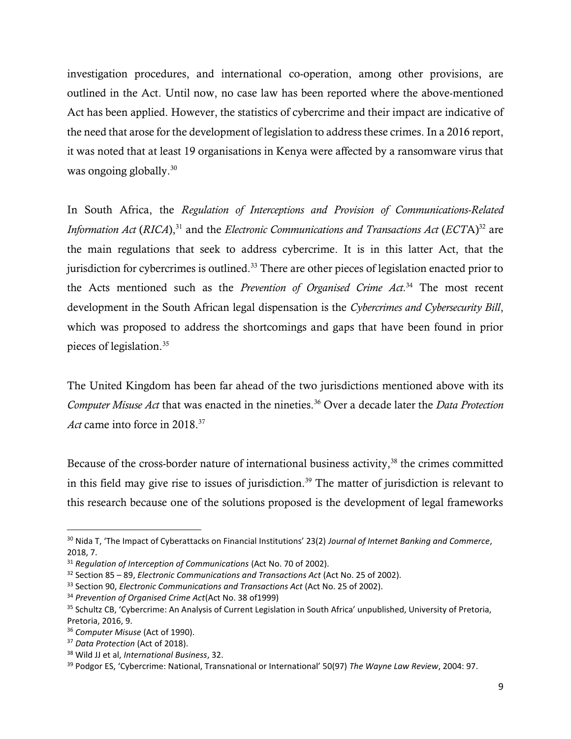investigation procedures, and international co-operation, among other provisions, are outlined in the Act. Until now, no case law has been reported where the above-mentioned Act has been applied. However, the statistics of cybercrime and their impact are indicative of the need that arose for the development of legislation to address these crimes. In a 2016 report, it was noted that at least 19 organisations in Kenya were affected by a ransomware virus that was ongoing globally. $30<sup>30</sup>$ 

In South Africa, the *Regulation of Interceptions and Provision of Communications-Related Information Act* (*RICA*),<sup>31</sup> and the *Electronic Communications and Transactions Act* (*ECTA*)<sup>32</sup> are the main regulations that seek to address cybercrime. It is in this latter Act, that the jurisdiction for cybercrimes is outlined.<sup>33</sup> There are other pieces of legislation enacted prior to the Acts mentioned such as the *Prevention of Organised Crime Act.*<sup>34</sup> The most recent development in the South African legal dispensation is the *Cybercrimes and Cybersecurity Bill*, which was proposed to address the shortcomings and gaps that have been found in prior pieces of legislation.<sup>35</sup>

The United Kingdom has been far ahead of the two jurisdictions mentioned above with its *Computer Misuse Act* that was enacted in the nineties.<sup>36</sup> Over a decade later the *Data Protection*  Act came into force in 2018.<sup>37</sup>

Because of the cross-border nature of international business activity,<sup>38</sup> the crimes committed in this field may give rise to issues of jurisdiction.<sup>39</sup> The matter of jurisdiction is relevant to this research because one of the solutions proposed is the development of legal frameworks

<sup>30</sup> Nida T, 'The Impact of Cyberattacks on Financial Institutions' 23(2) *Journal of Internet Banking and Commerce*, 2018, 7.

<sup>&</sup>lt;sup>31</sup> Regulation of Interception of Communications (Act No. 70 of 2002).

<sup>32</sup> Section 85 – 89, *Electronic Communications and Transactions Act* (Act No. 25 of 2002).

<sup>33</sup> Section 90, *Electronic Communications and Transactions Act* (Act No. 25 of 2002).

<sup>34</sup> *Prevention of Organised Crime Act*(Act No. 38 of1999)

<sup>35</sup> Schultz CB, 'Cybercrime: An Analysis of Current Legislation in South Africa' unpublished, University of Pretoria, Pretoria, 2016, 9.

<sup>36</sup> *Computer Misuse* (Act of 1990).

<sup>37</sup> *Data Protection* (Act of 2018).

<sup>38</sup> Wild JJ et al, *International Business*, 32.

<sup>39</sup> Podgor ES, 'Cybercrime: National, Transnational or International' 50(97) *The Wayne Law Review*, 2004: 97.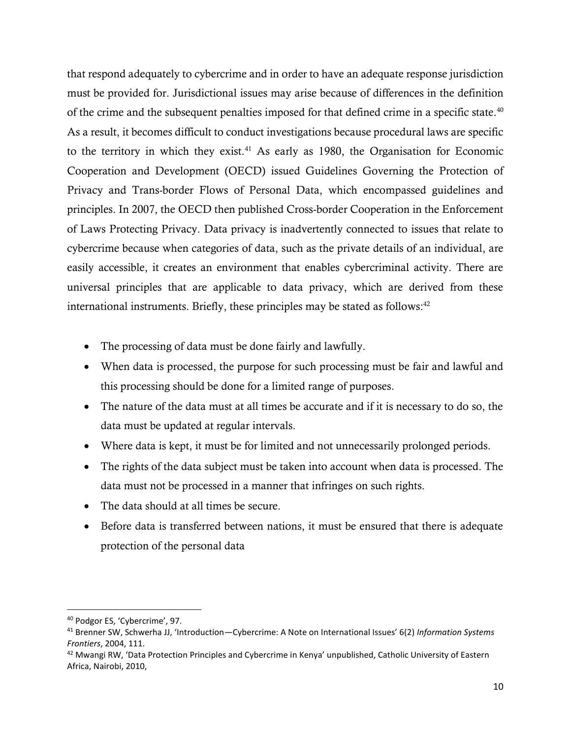that respond adequately to cybercrime and in order to have an adequate response jurisdiction must be provided for. Jurisdictional issues may arise because of differences in the definition of the crime and the subsequent penalties imposed for that defined crime in a specific state.<sup>40</sup> As a result, it becomes difficult to conduct investigations because procedural laws are specific to the territory in which they exist.<sup>41</sup> As early as 1980, the Organisation for Economic Cooperation and Development (OECD) issued Guidelines Governing the Protection of Privacy and Trans-border Flows of Personal Data, which encompassed guidelines and principles. In 2007, the OECD then published Cross-border Cooperation in the Enforcement of Laws Protecting Privacy. Data privacy is inadvertently connected to issues that relate to cybercrime because when categories of data, such as the private details of an individual, are easily accessible, it creates an environment that enables cybercriminal activity. There are universal principles that are applicable to data privacy, which are derived from these international instruments. Briefly, these principles may be stated as follows: 42

- The processing of data must be done fairly and lawfully.
- When data is processed, the purpose for such processing must be fair and lawful and this processing should be done for a limited range of purposes.
- The nature of the data must at all times be accurate and if it is necessary to do so, the data must be updated at regular intervals.
- Where data is kept, it must be for limited and not unnecessarily prolonged periods.
- The rights of the data subject must be taken into account when data is processed. The data must not be processed in a manner that infringes on such rights.
- The data should at all times be secure.
- Before data is transferred between nations, it must be ensured that there is adequate protection of the personal data

l

<sup>40</sup> Podgor ES, 'Cybercrime', 97.

<sup>41</sup> Brenner SW, Schwerha JJ, 'Introduction—Cybercrime: A Note on International Issues' 6(2) *Information Systems Frontiers*, 2004, 111.

<sup>&</sup>lt;sup>42</sup> Mwangi RW, 'Data Protection Principles and Cybercrime in Kenya' unpublished, Catholic University of Eastern Africa, Nairobi, 2010,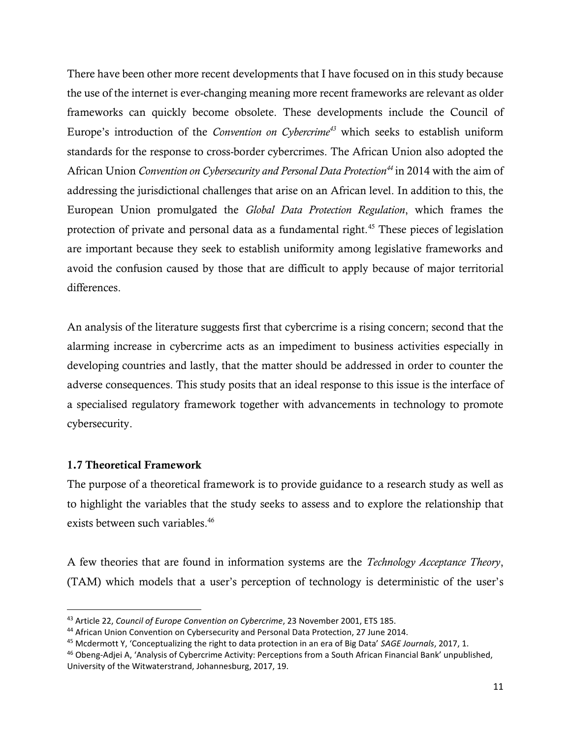There have been other more recent developments that I have focused on in this study because the use of the internet is ever-changing meaning more recent frameworks are relevant as older frameworks can quickly become obsolete. These developments include the Council of Europe's introduction of the *Convention on Cybercrime<sup>43</sup>* which seeks to establish uniform standards for the response to cross-border cybercrimes. The African Union also adopted the African Union *Convention on Cybersecurity and Personal Data Protection<sup>44</sup>* in 2014 with the aim of addressing the jurisdictional challenges that arise on an African level. In addition to this, the European Union promulgated the *Global Data Protection Regulation*, which frames the protection of private and personal data as a fundamental right.<sup>45</sup> These pieces of legislation are important because they seek to establish uniformity among legislative frameworks and avoid the confusion caused by those that are difficult to apply because of major territorial differences.

An analysis of the literature suggests first that cybercrime is a rising concern; second that the alarming increase in cybercrime acts as an impediment to business activities especially in developing countries and lastly, that the matter should be addressed in order to counter the adverse consequences. This study posits that an ideal response to this issue is the interface of a specialised regulatory framework together with advancements in technology to promote cybersecurity.

### <span id="page-18-0"></span>1.7 Theoretical Framework

l

The purpose of a theoretical framework is to provide guidance to a research study as well as to highlight the variables that the study seeks to assess and to explore the relationship that exists between such variables. 46

A few theories that are found in information systems are the *Technology Acceptance Theory*, (TAM) which models that a user's perception of technology is deterministic of the user's

<sup>43</sup> Article 22, *Council of Europe Convention on Cybercrime*, 23 November 2001, ETS 185.

<sup>&</sup>lt;sup>44</sup> African Union Convention on Cybersecurity and Personal Data Protection, 27 June 2014.

<sup>45</sup> Mcdermott Y, 'Conceptualizing the right to data protection in an era of Big Data' *SAGE Journals*, 2017, 1.

<sup>46</sup> Obeng-Adjei A, 'Analysis of Cybercrime Activity: Perceptions from a South African Financial Bank' unpublished, University of the Witwaterstrand, Johannesburg, 2017, 19.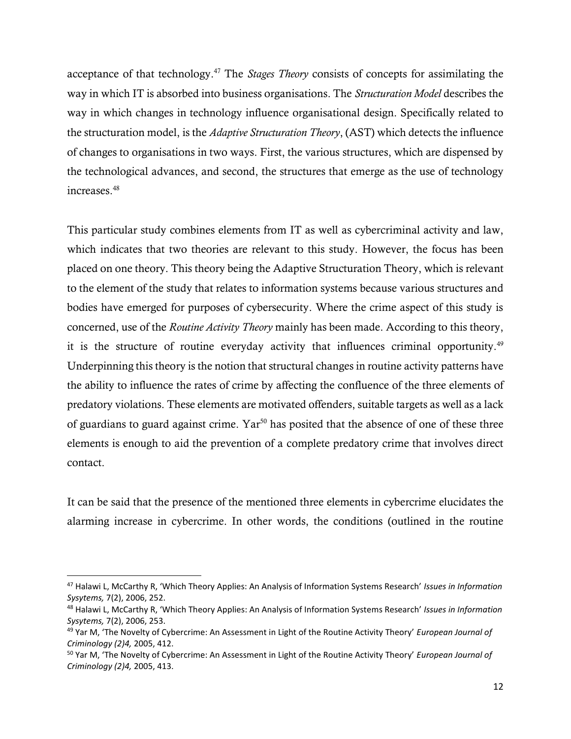acceptance of that technology.<sup>47</sup> The *Stages Theory* consists of concepts for assimilating the way in which IT is absorbed into business organisations. The *Structuration Model* describes the way in which changes in technology influence organisational design. Specifically related to the structuration model, is the *Adaptive Structuration Theory*, (AST) which detects the influence of changes to organisations in two ways. First, the various structures, which are dispensed by the technological advances, and second, the structures that emerge as the use of technology increases.<sup>48</sup>

This particular study combines elements from IT as well as cybercriminal activity and law, which indicates that two theories are relevant to this study. However, the focus has been placed on one theory. This theory being the Adaptive Structuration Theory, which is relevant to the element of the study that relates to information systems because various structures and bodies have emerged for purposes of cybersecurity. Where the crime aspect of this study is concerned, use of the *Routine Activity Theory* mainly has been made. According to this theory, it is the structure of routine everyday activity that influences criminal opportunity.<sup>49</sup> Underpinning this theory is the notion that structural changes in routine activity patterns have the ability to influence the rates of crime by affecting the confluence of the three elements of predatory violations. These elements are motivated offenders, suitable targets as well as a lack of guardians to guard against crime. Yar<sup>50</sup> has posited that the absence of one of these three elements is enough to aid the prevention of a complete predatory crime that involves direct contact.

It can be said that the presence of the mentioned three elements in cybercrime elucidates the alarming increase in cybercrime. In other words, the conditions (outlined in the routine

<sup>47</sup> Halawi L, McCarthy R, 'Which Theory Applies: An Analysis of Information Systems Research' *Issues in Information Sysytems,* 7(2), 2006, 252.

<sup>48</sup> Halawi L, McCarthy R, 'Which Theory Applies: An Analysis of Information Systems Research' *Issues in Information Sysytems,* 7(2), 2006, 253.

<sup>49</sup> Yar M, 'The Novelty of Cybercrime: An Assessment in Light of the Routine Activity Theory' *European Journal of Criminology (2)4,* 2005, 412.

<sup>50</sup> Yar M, 'The Novelty of Cybercrime: An Assessment in Light of the Routine Activity Theory' *European Journal of Criminology (2)4,* 2005, 413.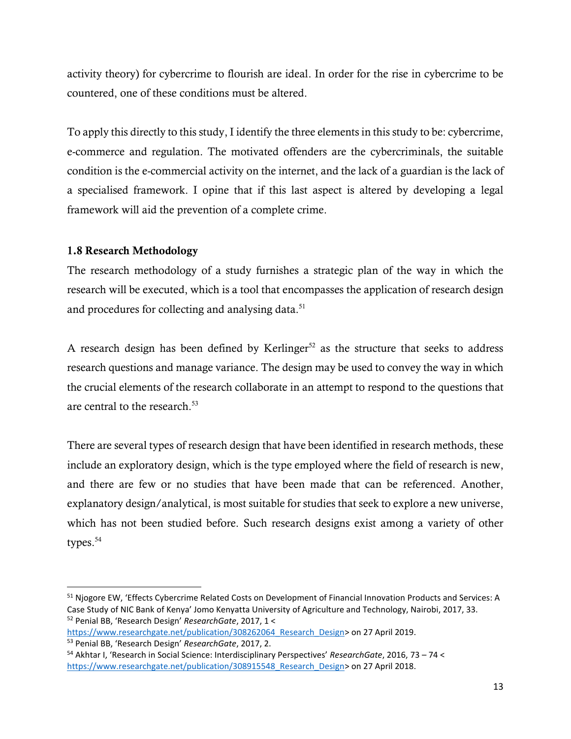activity theory) for cybercrime to flourish are ideal. In order for the rise in cybercrime to be countered, one of these conditions must be altered.

To apply this directly to this study, I identify the three elements in this study to be: cybercrime, e-commerce and regulation. The motivated offenders are the cybercriminals, the suitable condition is the e-commercial activity on the internet, and the lack of a guardian is the lack of a specialised framework. I opine that if this last aspect is altered by developing a legal framework will aid the prevention of a complete crime.

### <span id="page-20-0"></span>1.8 Research Methodology

The research methodology of a study furnishes a strategic plan of the way in which the research will be executed, which is a tool that encompasses the application of research design and procedures for collecting and analysing data.<sup>51</sup>

A research design has been defined by Kerlinger<sup>52</sup> as the structure that seeks to address research questions and manage variance. The design may be used to convey the way in which the crucial elements of the research collaborate in an attempt to respond to the questions that are central to the research.<sup>53</sup>

There are several types of research design that have been identified in research methods, these include an exploratory design, which is the type employed where the field of research is new, and there are few or no studies that have been made that can be referenced. Another, explanatory design/analytical, is most suitable for studies that seek to explore a new universe, which has not been studied before. Such research designs exist among a variety of other types.<sup>54</sup>

 $\overline{\phantom{a}}$ <sup>51</sup> Njogore EW, 'Effects Cybercrime Related Costs on Development of Financial Innovation Products and Services: A Case Study of NIC Bank of Kenya' Jomo Kenyatta University of Agriculture and Technology, Nairobi, 2017, 33. <sup>52</sup> Penial BB, 'Research Design' *ResearchGate*, 2017, 1 <

https://www.researchgate.net/publication/308262064 Research Design> on 27 April 2019. <sup>53</sup> Penial BB, 'Research Design' *ResearchGate*, 2017, 2.

<sup>54</sup> Akhtar I, 'Research in Social Science: Interdisciplinary Perspectives' *ResearchGate*, 2016, 73 – 74 < [https://www.researchgate.net/publication/308915548\\_Research\\_Design>](https://www.researchgate.net/publication/308915548_Research_Design) on 27 April 2018.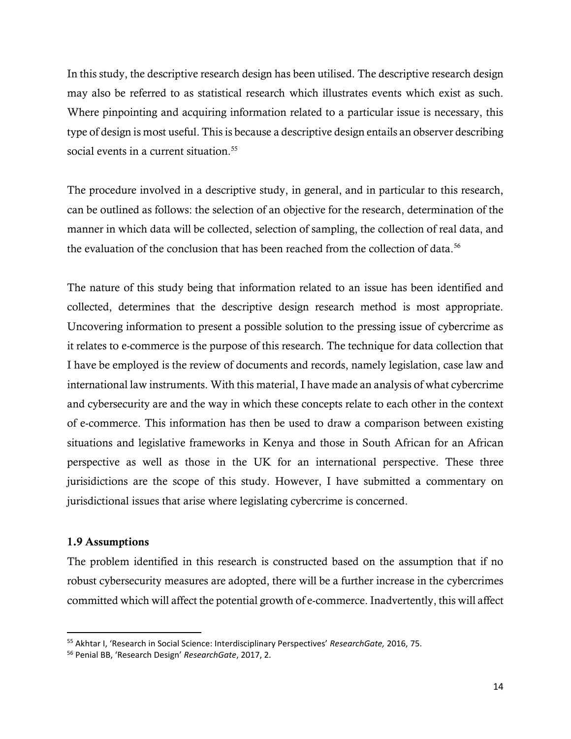In this study, the descriptive research design has been utilised. The descriptive research design may also be referred to as statistical research which illustrates events which exist as such. Where pinpointing and acquiring information related to a particular issue is necessary, this type of design is most useful. This is because a descriptive design entails an observer describing social events in a current situation.<sup>55</sup>

The procedure involved in a descriptive study, in general, and in particular to this research, can be outlined as follows: the selection of an objective for the research, determination of the manner in which data will be collected, selection of sampling, the collection of real data, and the evaluation of the conclusion that has been reached from the collection of data.<sup>56</sup>

The nature of this study being that information related to an issue has been identified and collected, determines that the descriptive design research method is most appropriate. Uncovering information to present a possible solution to the pressing issue of cybercrime as it relates to e-commerce is the purpose of this research. The technique for data collection that I have be employed is the review of documents and records, namely legislation, case law and international law instruments. With this material, I have made an analysis of what cybercrime and cybersecurity are and the way in which these concepts relate to each other in the context of e-commerce. This information has then be used to draw a comparison between existing situations and legislative frameworks in Kenya and those in South African for an African perspective as well as those in the UK for an international perspective. These three jurisidictions are the scope of this study. However, I have submitted a commentary on jurisdictional issues that arise where legislating cybercrime is concerned.

### <span id="page-21-0"></span>1.9 Assumptions

 $\overline{\phantom{a}}$ 

The problem identified in this research is constructed based on the assumption that if no robust cybersecurity measures are adopted, there will be a further increase in the cybercrimes committed which will affect the potential growth of e-commerce. Inadvertently, this will affect

<sup>55</sup> Akhtar I, 'Research in Social Science: Interdisciplinary Perspectives' *ResearchGate,* 2016, 75.

<sup>56</sup> Penial BB, 'Research Design' *ResearchGate*, 2017, 2.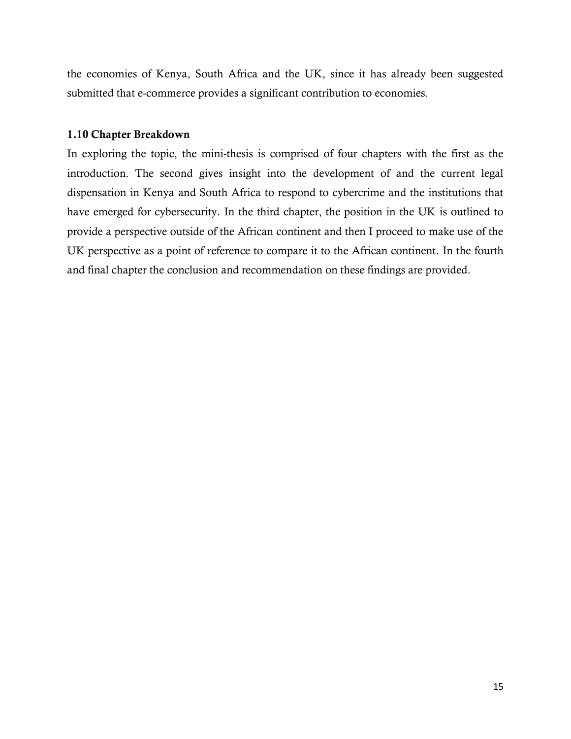the economies of Kenya, South Africa and the UK, since it has already been suggested submitted that e-commerce provides a significant contribution to economies.

### <span id="page-22-0"></span>1.10 Chapter Breakdown

In exploring the topic, the mini-thesis is comprised of four chapters with the first as the introduction. The second gives insight into the development of and the current legal dispensation in Kenya and South Africa to respond to cybercrime and the institutions that have emerged for cybersecurity. In the third chapter, the position in the UK is outlined to provide a perspective outside of the African continent and then I proceed to make use of the UK perspective as a point of reference to compare it to the African continent. In the fourth and final chapter the conclusion and recommendation on these findings are provided.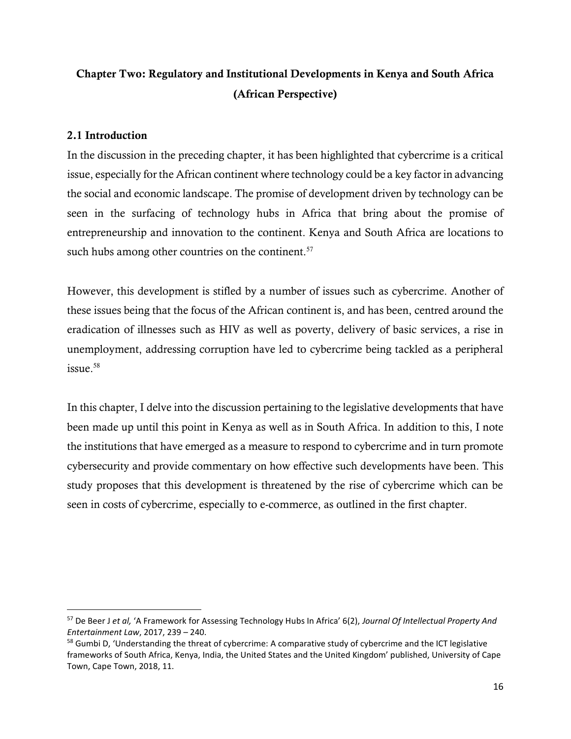# <span id="page-23-0"></span>Chapter Two: Regulatory and Institutional Developments in Kenya and South Africa (African Perspective)

### <span id="page-23-1"></span>2.1 Introduction

l

In the discussion in the preceding chapter, it has been highlighted that cybercrime is a critical issue, especially for the African continent where technology could be a key factor in advancing the social and economic landscape. The promise of development driven by technology can be seen in the surfacing of technology hubs in Africa that bring about the promise of entrepreneurship and innovation to the continent. Kenya and South Africa are locations to such hubs among other countries on the continent. $57$ 

However, this development is stifled by a number of issues such as cybercrime. Another of these issues being that the focus of the African continent is, and has been, centred around the eradication of illnesses such as HIV as well as poverty, delivery of basic services, a rise in unemployment, addressing corruption have led to cybercrime being tackled as a peripheral issue.<sup>58</sup>

In this chapter, I delve into the discussion pertaining to the legislative developments that have been made up until this point in Kenya as well as in South Africa. In addition to this, I note the institutions that have emerged as a measure to respond to cybercrime and in turn promote cybersecurity and provide commentary on how effective such developments have been. This study proposes that this development is threatened by the rise of cybercrime which can be seen in costs of cybercrime, especially to e-commerce, as outlined in the first chapter.

<sup>57</sup> De Beer J *et al,* 'A Framework for Assessing Technology Hubs In Africa' 6(2), *Journal Of Intellectual Property And Entertainment Law*, 2017, 239 – 240.

<sup>&</sup>lt;sup>58</sup> Gumbi D, 'Understanding the threat of cybercrime: A comparative study of cybercrime and the ICT legislative frameworks of South Africa, Kenya, India, the United States and the United Kingdom' published, University of Cape Town, Cape Town, 2018, 11.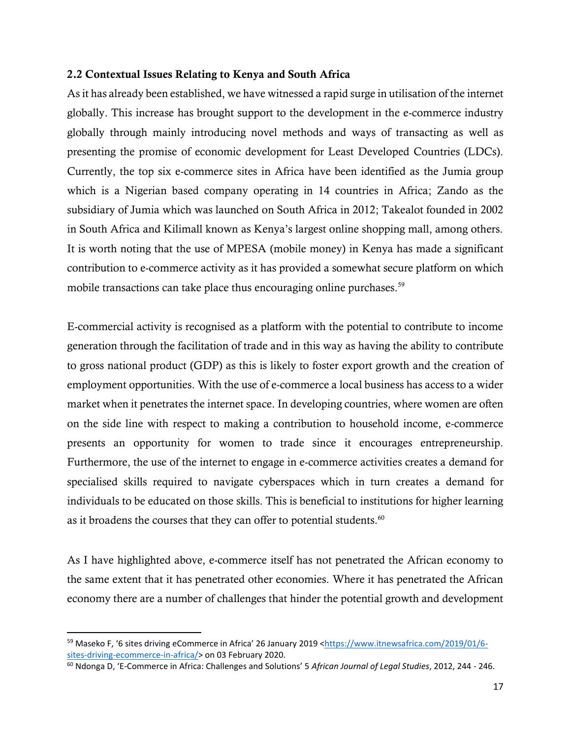#### <span id="page-24-0"></span>2.2 Contextual Issues Relating to Kenya and South Africa

As it has already been established, we have witnessed a rapid surge in utilisation of the internet globally. This increase has brought support to the development in the e-commerce industry globally through mainly introducing novel methods and ways of transacting as well as presenting the promise of economic development for Least Developed Countries (LDCs). Currently, the top six e-commerce sites in Africa have been identified as the Jumia group which is a Nigerian based company operating in 14 countries in Africa; Zando as the subsidiary of Jumia which was launched on South Africa in 2012; Takealot founded in 2002 in South Africa and Kilimall known as Kenya's largest online shopping mall, among others. It is worth noting that the use of MPESA (mobile money) in Kenya has made a significant contribution to e-commerce activity as it has provided a somewhat secure platform on which mobile transactions can take place thus encouraging online purchases.<sup>59</sup>

E-commercial activity is recognised as a platform with the potential to contribute to income generation through the facilitation of trade and in this way as having the ability to contribute to gross national product (GDP) as this is likely to foster export growth and the creation of employment opportunities. With the use of e-commerce a local business has access to a wider market when it penetrates the internet space. In developing countries, where women are often on the side line with respect to making a contribution to household income, e-commerce presents an opportunity for women to trade since it encourages entrepreneurship. Furthermore, the use of the internet to engage in e-commerce activities creates a demand for specialised skills required to navigate cyberspaces which in turn creates a demand for individuals to be educated on those skills. This is beneficial to institutions for higher learning as it broadens the courses that they can offer to potential students.<sup>60</sup>

As I have highlighted above, e-commerce itself has not penetrated the African economy to the same extent that it has penetrated other economies. Where it has penetrated the African economy there are a number of challenges that hinder the potential growth and development

<sup>59</sup> Maseko F, '6 sites driving eCommerce in Africa' 26 January 2019 [<https://www.itnewsafrica.com/2019/01/6](https://www.itnewsafrica.com/2019/01/6-sites-driving-ecommerce-in-africa/) [sites-driving-ecommerce-in-africa/>](https://www.itnewsafrica.com/2019/01/6-sites-driving-ecommerce-in-africa/) on 03 February 2020.

<sup>60</sup> Ndonga D, 'E-Commerce in Africa: Challenges and Solutions' 5 *African Journal of Legal Studies*, 2012, 244 - 246.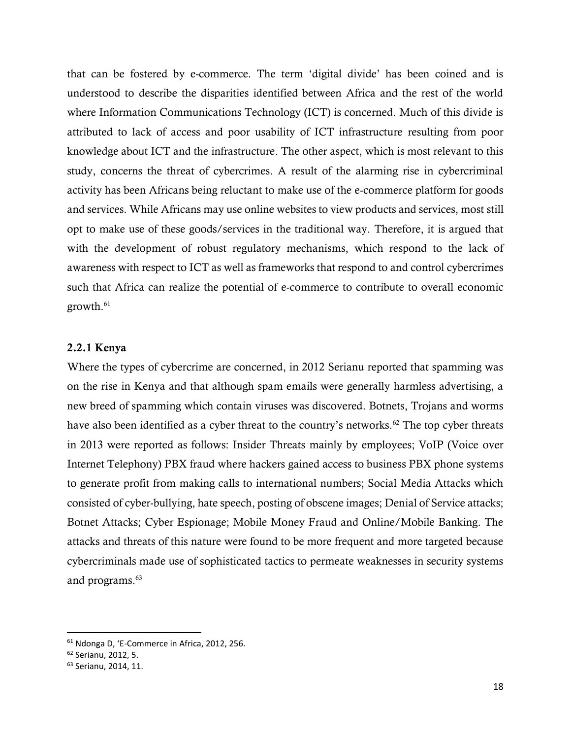that can be fostered by e-commerce. The term 'digital divide' has been coined and is understood to describe the disparities identified between Africa and the rest of the world where Information Communications Technology (ICT) is concerned. Much of this divide is attributed to lack of access and poor usability of ICT infrastructure resulting from poor knowledge about ICT and the infrastructure. The other aspect, which is most relevant to this study, concerns the threat of cybercrimes. A result of the alarming rise in cybercriminal activity has been Africans being reluctant to make use of the e-commerce platform for goods and services. While Africans may use online websites to view products and services, most still opt to make use of these goods/services in the traditional way. Therefore, it is argued that with the development of robust regulatory mechanisms, which respond to the lack of awareness with respect to ICT as well as frameworks that respond to and control cybercrimes such that Africa can realize the potential of e-commerce to contribute to overall economic  $growth.<sup>61</sup>$ 

#### <span id="page-25-0"></span>2.2.1 Kenya

Where the types of cybercrime are concerned, in 2012 Serianu reported that spamming was on the rise in Kenya and that although spam emails were generally harmless advertising, a new breed of spamming which contain viruses was discovered. Botnets, Trojans and worms have also been identified as a cyber threat to the country's networks.<sup>62</sup> The top cyber threats in 2013 were reported as follows: Insider Threats mainly by employees; VoIP (Voice over Internet Telephony) PBX fraud where hackers gained access to business PBX phone systems to generate profit from making calls to international numbers; Social Media Attacks which consisted of cyber-bullying, hate speech, posting of obscene images; Denial of Service attacks; Botnet Attacks; Cyber Espionage; Mobile Money Fraud and Online/Mobile Banking. The attacks and threats of this nature were found to be more frequent and more targeted because cybercriminals made use of sophisticated tactics to permeate weaknesses in security systems and programs.<sup>63</sup>

<sup>61</sup> Ndonga D, 'E-Commerce in Africa, 2012, 256.

<sup>62</sup> Serianu, 2012, 5.

<sup>63</sup> Serianu, 2014, 11.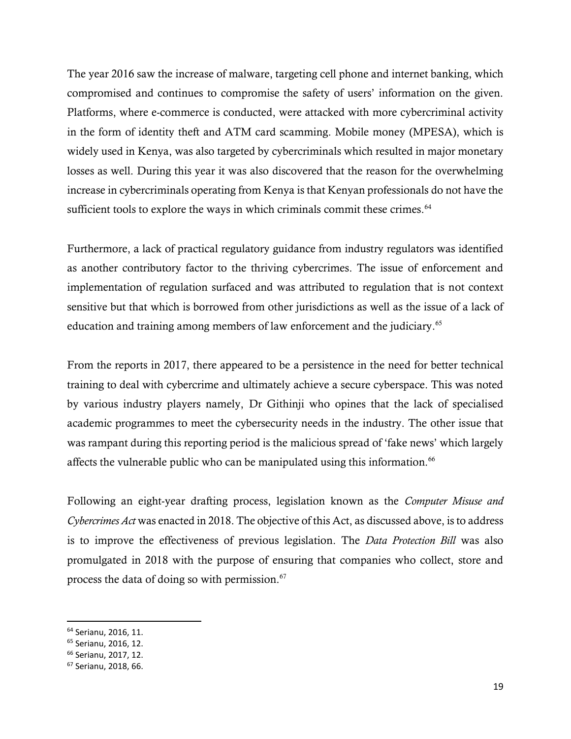The year 2016 saw the increase of malware, targeting cell phone and internet banking, which compromised and continues to compromise the safety of users' information on the given. Platforms, where e-commerce is conducted, were attacked with more cybercriminal activity in the form of identity theft and ATM card scamming. Mobile money (MPESA), which is widely used in Kenya, was also targeted by cybercriminals which resulted in major monetary losses as well. During this year it was also discovered that the reason for the overwhelming increase in cybercriminals operating from Kenya is that Kenyan professionals do not have the sufficient tools to explore the ways in which criminals commit these crimes.<sup>64</sup>

Furthermore, a lack of practical regulatory guidance from industry regulators was identified as another contributory factor to the thriving cybercrimes. The issue of enforcement and implementation of regulation surfaced and was attributed to regulation that is not context sensitive but that which is borrowed from other jurisdictions as well as the issue of a lack of education and training among members of law enforcement and the judiciary. 65

From the reports in 2017, there appeared to be a persistence in the need for better technical training to deal with cybercrime and ultimately achieve a secure cyberspace. This was noted by various industry players namely, Dr Githinji who opines that the lack of specialised academic programmes to meet the cybersecurity needs in the industry. The other issue that was rampant during this reporting period is the malicious spread of 'fake news' which largely affects the vulnerable public who can be manipulated using this information.<sup>66</sup>

Following an eight-year drafting process, legislation known as the *Computer Misuse and Cybercrimes Act* was enacted in 2018. The objective of this Act, as discussed above, is to address is to improve the effectiveness of previous legislation. The *Data Protection Bill* was also promulgated in 2018 with the purpose of ensuring that companies who collect, store and process the data of doing so with permission. $67$ 

<sup>64</sup> Serianu, 2016, 11.

<sup>65</sup> Serianu, 2016, 12.

<sup>66</sup> Serianu, 2017, 12.

<sup>67</sup> Serianu, 2018, 66.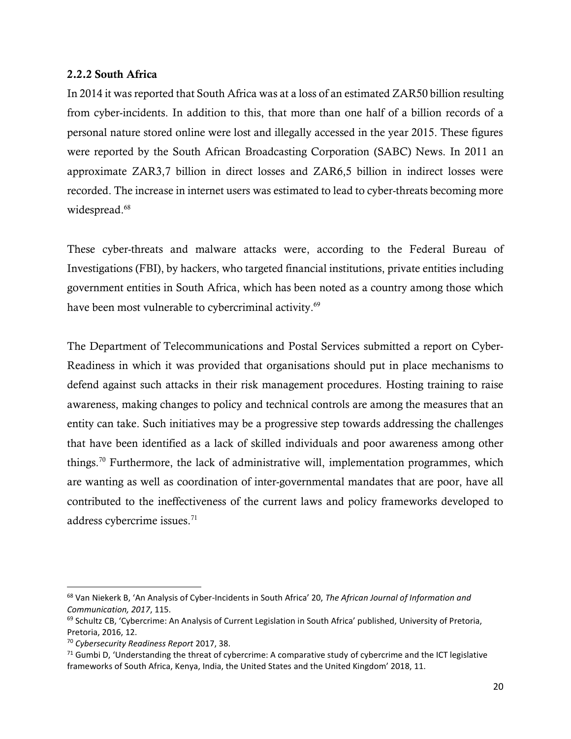#### <span id="page-27-0"></span>2.2.2 South Africa

In 2014 it was reported that South Africa was at a loss of an estimated ZAR50 billion resulting from cyber-incidents. In addition to this, that more than one half of a billion records of a personal nature stored online were lost and illegally accessed in the year 2015. These figures were reported by the South African Broadcasting Corporation (SABC) News. In 2011 an approximate ZAR3,7 billion in direct losses and ZAR6,5 billion in indirect losses were recorded. The increase in internet users was estimated to lead to cyber-threats becoming more widespread.<sup>68</sup>

These cyber-threats and malware attacks were, according to the Federal Bureau of Investigations (FBI), by hackers, who targeted financial institutions, private entities including government entities in South Africa, which has been noted as a country among those which have been most vulnerable to cybercriminal activity.<sup>69</sup>

The Department of Telecommunications and Postal Services submitted a report on Cyber-Readiness in which it was provided that organisations should put in place mechanisms to defend against such attacks in their risk management procedures. Hosting training to raise awareness, making changes to policy and technical controls are among the measures that an entity can take. Such initiatives may be a progressive step towards addressing the challenges that have been identified as a lack of skilled individuals and poor awareness among other things.<sup>70</sup> Furthermore, the lack of administrative will, implementation programmes, which are wanting as well as coordination of inter-governmental mandates that are poor, have all contributed to the ineffectiveness of the current laws and policy frameworks developed to address cybercrime issues.<sup>71</sup>

<sup>68</sup> Van Niekerk B, 'An Analysis of Cyber-Incidents in South Africa' 20, *The African Journal of Information and Communication, 2017*, 115.

 $69$  Schultz CB, 'Cybercrime: An Analysis of Current Legislation in South Africa' published, University of Pretoria, Pretoria, 2016, 12.

<sup>70</sup> *Cybersecurity Readiness Report* 2017, 38.

 $71$  Gumbi D, 'Understanding the threat of cybercrime: A comparative study of cybercrime and the ICT legislative frameworks of South Africa, Kenya, India, the United States and the United Kingdom' 2018, 11.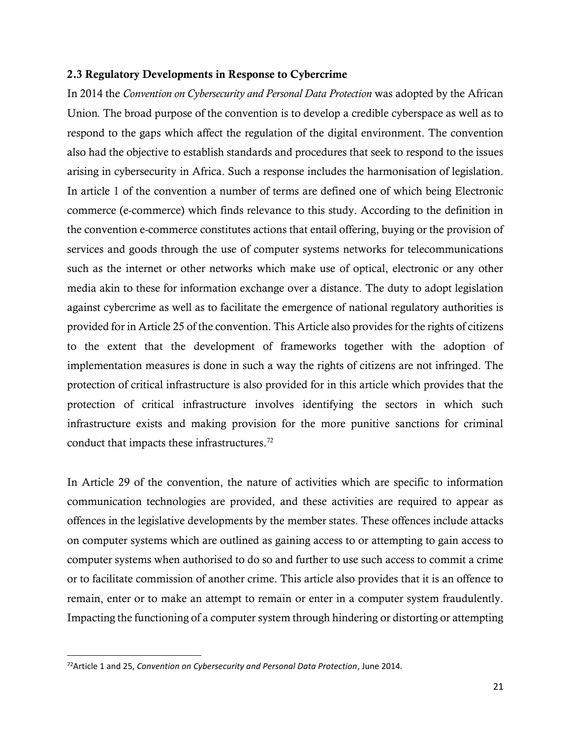#### <span id="page-28-0"></span>2.3 Regulatory Developments in Response to Cybercrime

In 2014 the *Convention on Cybersecurity and Personal Data Protection* was adopted by the African Union*.* The broad purpose of the convention is to develop a credible cyberspace as well as to respond to the gaps which affect the regulation of the digital environment. The convention also had the objective to establish standards and procedures that seek to respond to the issues arising in cybersecurity in Africa. Such a response includes the harmonisation of legislation. In article 1 of the convention a number of terms are defined one of which being Electronic commerce (e-commerce) which finds relevance to this study. According to the definition in the convention e-commerce constitutes actions that entail offering, buying or the provision of services and goods through the use of computer systems networks for telecommunications such as the internet or other networks which make use of optical, electronic or any other media akin to these for information exchange over a distance. The duty to adopt legislation against cybercrime as well as to facilitate the emergence of national regulatory authorities is provided for in Article 25 of the convention. This Article also provides for the rights of citizens to the extent that the development of frameworks together with the adoption of implementation measures is done in such a way the rights of citizens are not infringed. The protection of critical infrastructure is also provided for in this article which provides that the protection of critical infrastructure involves identifying the sectors in which such infrastructure exists and making provision for the more punitive sanctions for criminal conduct that impacts these infrastructures.<sup>72</sup>

In Article 29 of the convention, the nature of activities which are specific to information communication technologies are provided, and these activities are required to appear as offences in the legislative developments by the member states. These offences include attacks on computer systems which are outlined as gaining access to or attempting to gain access to computer systems when authorised to do so and further to use such access to commit a crime or to facilitate commission of another crime. This article also provides that it is an offence to remain, enter or to make an attempt to remain or enter in a computer system fraudulently. Impacting the functioning of a computer system through hindering or distorting or attempting

<sup>72</sup>Article 1 and 25, *Convention on Cybersecurity and Personal Data Protection*, June 2014*.*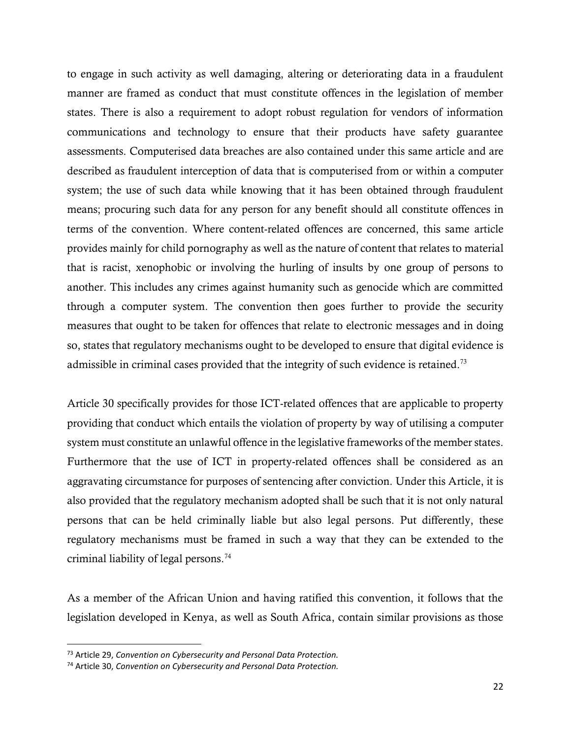to engage in such activity as well damaging, altering or deteriorating data in a fraudulent manner are framed as conduct that must constitute offences in the legislation of member states. There is also a requirement to adopt robust regulation for vendors of information communications and technology to ensure that their products have safety guarantee assessments. Computerised data breaches are also contained under this same article and are described as fraudulent interception of data that is computerised from or within a computer system; the use of such data while knowing that it has been obtained through fraudulent means; procuring such data for any person for any benefit should all constitute offences in terms of the convention. Where content-related offences are concerned, this same article provides mainly for child pornography as well as the nature of content that relates to material that is racist, xenophobic or involving the hurling of insults by one group of persons to another. This includes any crimes against humanity such as genocide which are committed through a computer system. The convention then goes further to provide the security measures that ought to be taken for offences that relate to electronic messages and in doing so, states that regulatory mechanisms ought to be developed to ensure that digital evidence is admissible in criminal cases provided that the integrity of such evidence is retained.<sup>73</sup>

Article 30 specifically provides for those ICT-related offences that are applicable to property providing that conduct which entails the violation of property by way of utilising a computer system must constitute an unlawful offence in the legislative frameworks of the member states. Furthermore that the use of ICT in property-related offences shall be considered as an aggravating circumstance for purposes of sentencing after conviction. Under this Article, it is also provided that the regulatory mechanism adopted shall be such that it is not only natural persons that can be held criminally liable but also legal persons. Put differently, these regulatory mechanisms must be framed in such a way that they can be extended to the criminal liability of legal persons.<sup>74</sup>

As a member of the African Union and having ratified this convention, it follows that the legislation developed in Kenya, as well as South Africa, contain similar provisions as those

l

<sup>73</sup> Article 29, *Convention on Cybersecurity and Personal Data Protection.*

<sup>74</sup> Article 30, *Convention on Cybersecurity and Personal Data Protection.*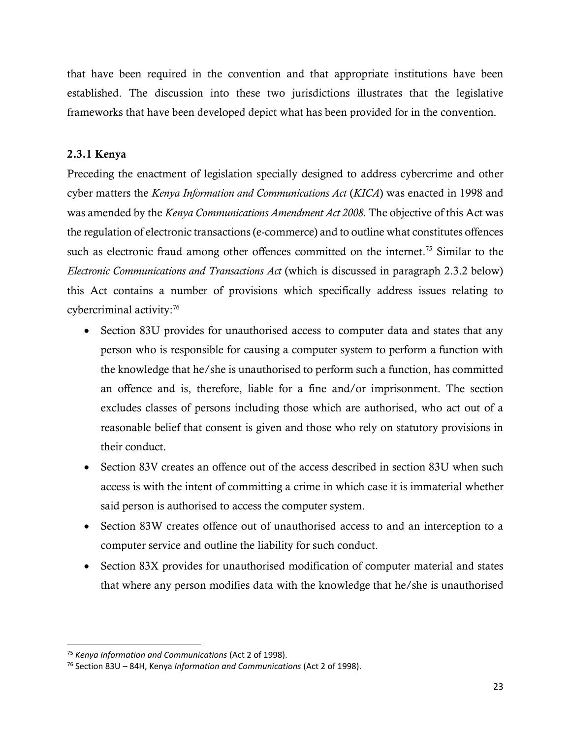that have been required in the convention and that appropriate institutions have been established. The discussion into these two jurisdictions illustrates that the legislative frameworks that have been developed depict what has been provided for in the convention.

### <span id="page-30-0"></span>2.3.1 Kenya

Preceding the enactment of legislation specially designed to address cybercrime and other cyber matters the *Kenya Information and Communications Act* (*KICA*) was enacted in 1998 and was amended by the *Kenya Communications Amendment Act 2008.* The objective of this Act was the regulation of electronic transactions (e-commerce) and to outline what constitutes offences such as electronic fraud among other offences committed on the internet.<sup>75</sup> Similar to the *Electronic Communications and Transactions Act* (which is discussed in paragraph 2.3.2 below) this Act contains a number of provisions which specifically address issues relating to cybercriminal activity:<sup>76</sup>

- Section 83U provides for unauthorised access to computer data and states that any person who is responsible for causing a computer system to perform a function with the knowledge that he/she is unauthorised to perform such a function, has committed an offence and is, therefore, liable for a fine and/or imprisonment. The section excludes classes of persons including those which are authorised, who act out of a reasonable belief that consent is given and those who rely on statutory provisions in their conduct.
- Section 83V creates an offence out of the access described in section 83U when such access is with the intent of committing a crime in which case it is immaterial whether said person is authorised to access the computer system.
- Section 83W creates offence out of unauthorised access to and an interception to a computer service and outline the liability for such conduct.
- Section 83X provides for unauthorised modification of computer material and states that where any person modifies data with the knowledge that he/she is unauthorised

l <sup>75</sup> *Kenya Information and Communications* (Act 2 of 1998).

<sup>76</sup> Section 83U – 84H, Kenya *Information and Communications* (Act 2 of 1998).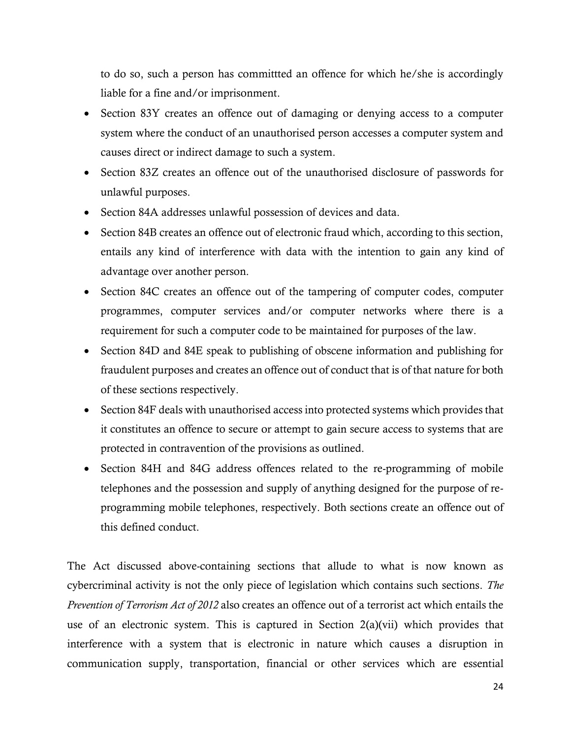to do so, such a person has committted an offence for which he/she is accordingly liable for a fine and/or imprisonment.

- Section 83Y creates an offence out of damaging or denying access to a computer system where the conduct of an unauthorised person accesses a computer system and causes direct or indirect damage to such a system.
- Section 83Z creates an offence out of the unauthorised disclosure of passwords for unlawful purposes.
- Section 84A addresses unlawful possession of devices and data.
- Section 84B creates an offence out of electronic fraud which, according to this section, entails any kind of interference with data with the intention to gain any kind of advantage over another person.
- Section 84C creates an offence out of the tampering of computer codes, computer programmes, computer services and/or computer networks where there is a requirement for such a computer code to be maintained for purposes of the law.
- Section 84D and 84E speak to publishing of obscene information and publishing for fraudulent purposes and creates an offence out of conduct that is of that nature for both of these sections respectively.
- Section 84F deals with unauthorised access into protected systems which provides that it constitutes an offence to secure or attempt to gain secure access to systems that are protected in contravention of the provisions as outlined.
- Section 84H and 84G address offences related to the re-programming of mobile telephones and the possession and supply of anything designed for the purpose of reprogramming mobile telephones, respectively. Both sections create an offence out of this defined conduct.

The Act discussed above-containing sections that allude to what is now known as cybercriminal activity is not the only piece of legislation which contains such sections. *The Prevention of Terrorism Act of 2012* also creates an offence out of a terrorist act which entails the use of an electronic system. This is captured in Section 2(a)(vii) which provides that interference with a system that is electronic in nature which causes a disruption in communication supply, transportation, financial or other services which are essential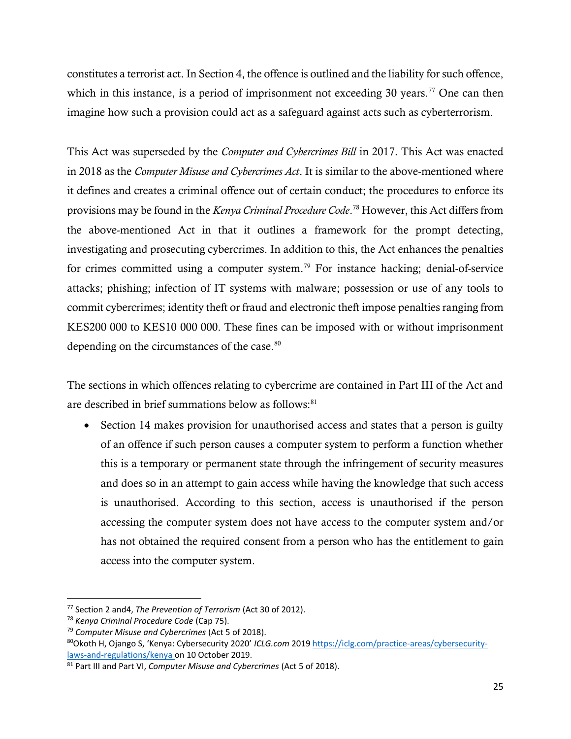constitutes a terrorist act. In Section 4, the offence is outlined and the liability for such offence, which in this instance, is a period of imprisonment not exceeding 30 years.<sup>77</sup> One can then imagine how such a provision could act as a safeguard against acts such as cyberterrorism.

This Act was superseded by the *Computer and Cybercrimes Bill* in 2017. This Act was enacted in 2018 as the *Computer Misuse and Cybercrimes Act*. It is similar to the above-mentioned where it defines and creates a criminal offence out of certain conduct; the procedures to enforce its provisions may be found in the *Kenya Criminal Procedure Code*. <sup>78</sup> However, this Act differs from the above-mentioned Act in that it outlines a framework for the prompt detecting, investigating and prosecuting cybercrimes. In addition to this, the Act enhances the penalties for crimes committed using a computer system.<sup>79</sup> For instance hacking; denial-of-service attacks; phishing; infection of IT systems with malware; possession or use of any tools to commit cybercrimes; identity theft or fraud and electronic theft impose penalties ranging from KES200 000 to KES10 000 000. These fines can be imposed with or without imprisonment depending on the circumstances of the case.<sup>80</sup>

The sections in which offences relating to cybercrime are contained in Part III of the Act and are described in brief summations below as follows:<sup>81</sup>

 Section 14 makes provision for unauthorised access and states that a person is guilty of an offence if such person causes a computer system to perform a function whether this is a temporary or permanent state through the infringement of security measures and does so in an attempt to gain access while having the knowledge that such access is unauthorised. According to this section, access is unauthorised if the person accessing the computer system does not have access to the computer system and/or has not obtained the required consent from a person who has the entitlement to gain access into the computer system.

<sup>77</sup> Section 2 and4, *The Prevention of Terrorism* (Act 30 of 2012).

<sup>78</sup> *Kenya Criminal Procedure Code* (Cap 75).

<sup>79</sup> *Computer Misuse and Cybercrimes* (Act 5 of 2018).

<sup>80</sup>Okoth H, Ojango S, 'Kenya: Cybersecurity 2020' *ICLG.com* 2019 [https://iclg.com/practice-areas/cybersecurity](https://iclg.com/practice-areas/cybersecurity-laws-and-regulations/kenya)[laws-and-regulations/kenya](https://iclg.com/practice-areas/cybersecurity-laws-and-regulations/kenya) on 10 October 2019.

<sup>81</sup> Part III and Part VI, *Computer Misuse and Cybercrimes* (Act 5 of 2018).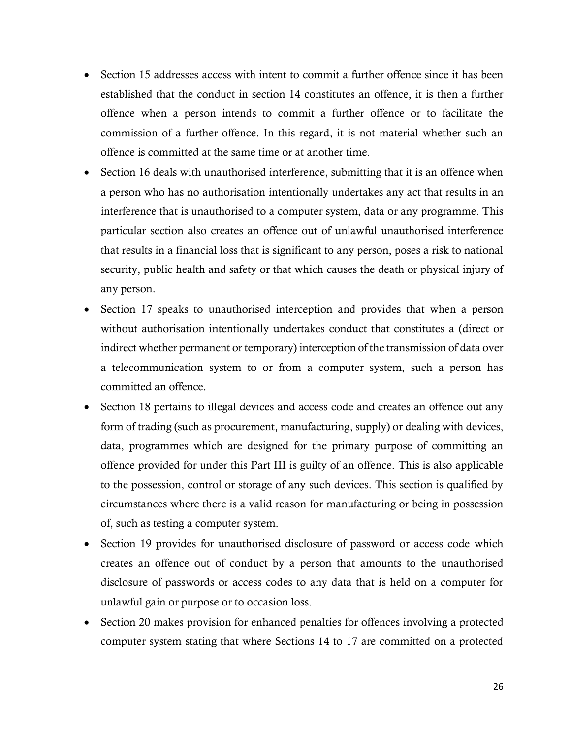- Section 15 addresses access with intent to commit a further offence since it has been established that the conduct in section 14 constitutes an offence, it is then a further offence when a person intends to commit a further offence or to facilitate the commission of a further offence. In this regard, it is not material whether such an offence is committed at the same time or at another time.
- Section 16 deals with unauthorised interference, submitting that it is an offence when a person who has no authorisation intentionally undertakes any act that results in an interference that is unauthorised to a computer system, data or any programme. This particular section also creates an offence out of unlawful unauthorised interference that results in a financial loss that is significant to any person, poses a risk to national security, public health and safety or that which causes the death or physical injury of any person.
- Section 17 speaks to unauthorised interception and provides that when a person without authorisation intentionally undertakes conduct that constitutes a (direct or indirect whether permanent or temporary) interception of the transmission of data over a telecommunication system to or from a computer system, such a person has committed an offence.
- Section 18 pertains to illegal devices and access code and creates an offence out any form of trading (such as procurement, manufacturing, supply) or dealing with devices, data, programmes which are designed for the primary purpose of committing an offence provided for under this Part III is guilty of an offence. This is also applicable to the possession, control or storage of any such devices. This section is qualified by circumstances where there is a valid reason for manufacturing or being in possession of, such as testing a computer system.
- Section 19 provides for unauthorised disclosure of password or access code which creates an offence out of conduct by a person that amounts to the unauthorised disclosure of passwords or access codes to any data that is held on a computer for unlawful gain or purpose or to occasion loss.
- Section 20 makes provision for enhanced penalties for offences involving a protected computer system stating that where Sections 14 to 17 are committed on a protected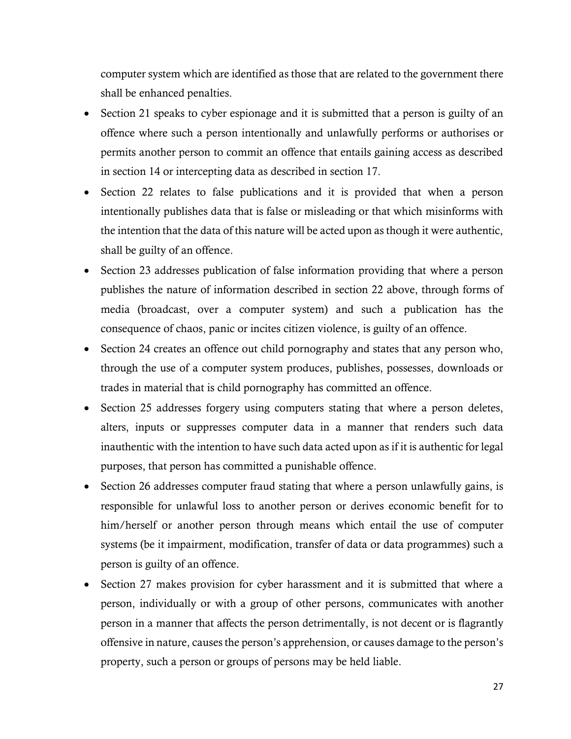computer system which are identified as those that are related to the government there shall be enhanced penalties.

- Section 21 speaks to cyber espionage and it is submitted that a person is guilty of an offence where such a person intentionally and unlawfully performs or authorises or permits another person to commit an offence that entails gaining access as described in section 14 or intercepting data as described in section 17.
- Section 22 relates to false publications and it is provided that when a person intentionally publishes data that is false or misleading or that which misinforms with the intention that the data of this nature will be acted upon as though it were authentic, shall be guilty of an offence.
- Section 23 addresses publication of false information providing that where a person publishes the nature of information described in section 22 above, through forms of media (broadcast, over a computer system) and such a publication has the consequence of chaos, panic or incites citizen violence, is guilty of an offence.
- Section 24 creates an offence out child pornography and states that any person who, through the use of a computer system produces, publishes, possesses, downloads or trades in material that is child pornography has committed an offence.
- Section 25 addresses forgery using computers stating that where a person deletes, alters, inputs or suppresses computer data in a manner that renders such data inauthentic with the intention to have such data acted upon as if it is authentic for legal purposes, that person has committed a punishable offence.
- Section 26 addresses computer fraud stating that where a person unlawfully gains, is responsible for unlawful loss to another person or derives economic benefit for to him/herself or another person through means which entail the use of computer systems (be it impairment, modification, transfer of data or data programmes) such a person is guilty of an offence.
- Section 27 makes provision for cyber harassment and it is submitted that where a person, individually or with a group of other persons, communicates with another person in a manner that affects the person detrimentally, is not decent or is flagrantly offensive in nature, causes the person's apprehension, or causes damage to the person's property, such a person or groups of persons may be held liable.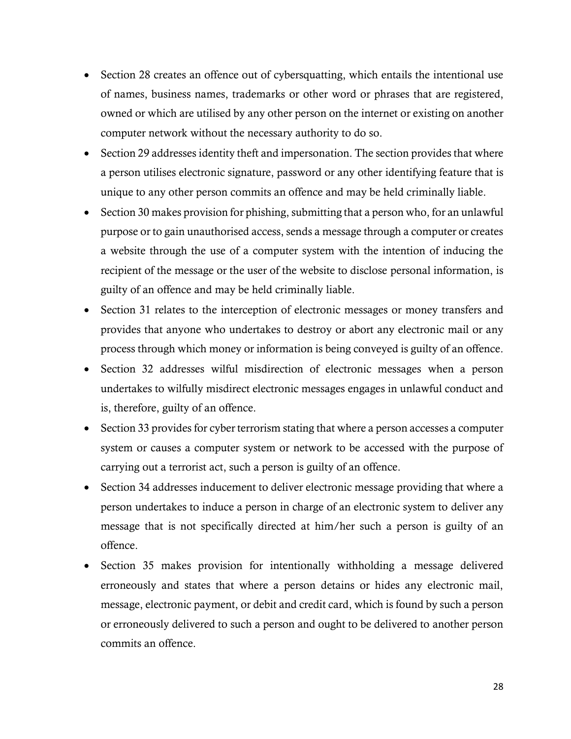- Section 28 creates an offence out of cybers quanting, which entails the intentional use of names, business names, trademarks or other word or phrases that are registered, owned or which are utilised by any other person on the internet or existing on another computer network without the necessary authority to do so.
- Section 29 addresses identity theft and impersonation. The section provides that where a person utilises electronic signature, password or any other identifying feature that is unique to any other person commits an offence and may be held criminally liable.
- Section 30 makes provision for phishing, submitting that a person who, for an unlawful purpose or to gain unauthorised access, sends a message through a computer or creates a website through the use of a computer system with the intention of inducing the recipient of the message or the user of the website to disclose personal information, is guilty of an offence and may be held criminally liable.
- Section 31 relates to the interception of electronic messages or money transfers and provides that anyone who undertakes to destroy or abort any electronic mail or any process through which money or information is being conveyed is guilty of an offence.
- Section 32 addresses wilful misdirection of electronic messages when a person undertakes to wilfully misdirect electronic messages engages in unlawful conduct and is, therefore, guilty of an offence.
- Section 33 provides for cyber terrorism stating that where a person accesses a computer system or causes a computer system or network to be accessed with the purpose of carrying out a terrorist act, such a person is guilty of an offence.
- Section 34 addresses inducement to deliver electronic message providing that where a person undertakes to induce a person in charge of an electronic system to deliver any message that is not specifically directed at him/her such a person is guilty of an offence.
- Section 35 makes provision for intentionally withholding a message delivered erroneously and states that where a person detains or hides any electronic mail, message, electronic payment, or debit and credit card, which is found by such a person or erroneously delivered to such a person and ought to be delivered to another person commits an offence.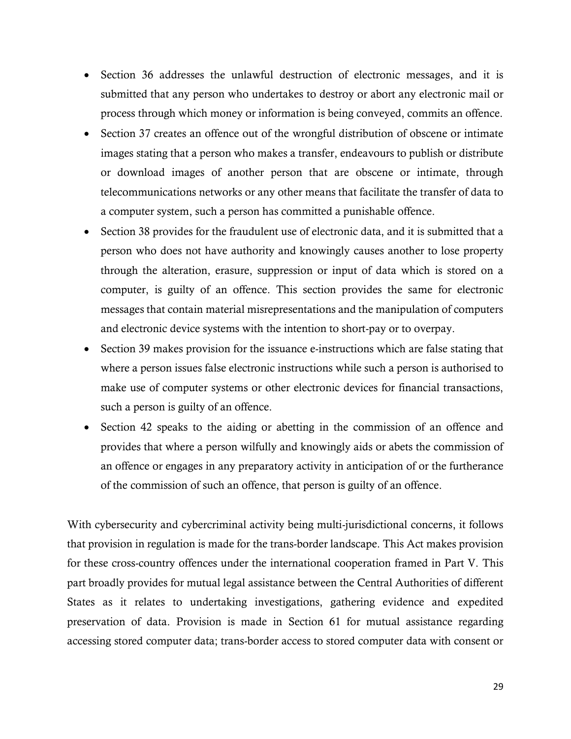- Section 36 addresses the unlawful destruction of electronic messages, and it is submitted that any person who undertakes to destroy or abort any electronic mail or process through which money or information is being conveyed, commits an offence.
- Section 37 creates an offence out of the wrongful distribution of obscene or intimate images stating that a person who makes a transfer, endeavours to publish or distribute or download images of another person that are obscene or intimate, through telecommunications networks or any other means that facilitate the transfer of data to a computer system, such a person has committed a punishable offence.
- Section 38 provides for the fraudulent use of electronic data, and it is submitted that a person who does not have authority and knowingly causes another to lose property through the alteration, erasure, suppression or input of data which is stored on a computer, is guilty of an offence. This section provides the same for electronic messages that contain material misrepresentations and the manipulation of computers and electronic device systems with the intention to short-pay or to overpay.
- Section 39 makes provision for the issuance e-instructions which are false stating that where a person issues false electronic instructions while such a person is authorised to make use of computer systems or other electronic devices for financial transactions, such a person is guilty of an offence.
- Section 42 speaks to the aiding or abetting in the commission of an offence and provides that where a person wilfully and knowingly aids or abets the commission of an offence or engages in any preparatory activity in anticipation of or the furtherance of the commission of such an offence, that person is guilty of an offence.

With cybersecurity and cybercriminal activity being multi-jurisdictional concerns, it follows that provision in regulation is made for the trans-border landscape. This Act makes provision for these cross-country offences under the international cooperation framed in Part V. This part broadly provides for mutual legal assistance between the Central Authorities of different States as it relates to undertaking investigations, gathering evidence and expedited preservation of data. Provision is made in Section 61 for mutual assistance regarding accessing stored computer data; trans-border access to stored computer data with consent or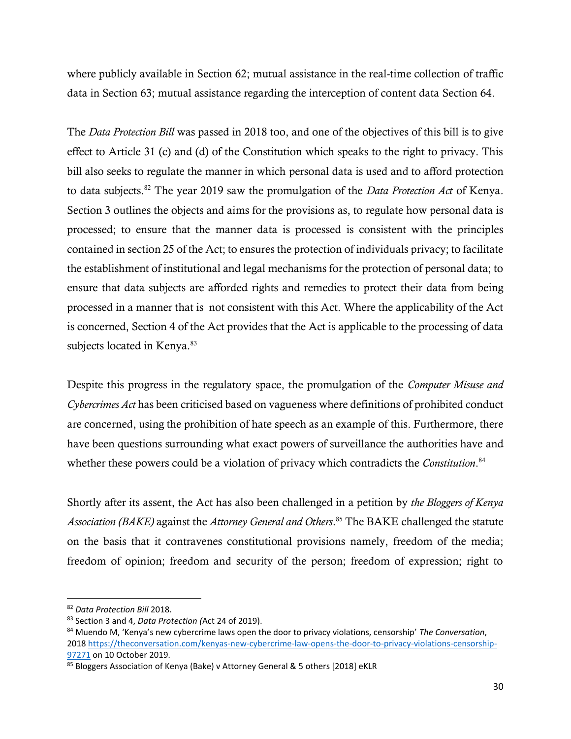where publicly available in Section 62; mutual assistance in the real-time collection of traffic data in Section 63; mutual assistance regarding the interception of content data Section 64.

The *Data Protection Bill* was passed in 2018 too, and one of the objectives of this bill is to give effect to Article 31 (c) and (d) of the Constitution which speaks to the right to privacy. This bill also seeks to regulate the manner in which personal data is used and to afford protection to data subjects.<sup>82</sup> The year 2019 saw the promulgation of the *Data Protection Act* of Kenya. Section 3 outlines the objects and aims for the provisions as, to regulate how personal data is processed; to ensure that the manner data is processed is consistent with the principles contained in section 25 of the Act; to ensures the protection of individuals privacy; to facilitate the establishment of institutional and legal mechanisms for the protection of personal data; to ensure that data subjects are afforded rights and remedies to protect their data from being processed in a manner that is not consistent with this Act. Where the applicability of the Act is concerned, Section 4 of the Act provides that the Act is applicable to the processing of data subjects located in Kenya.<sup>83</sup>

Despite this progress in the regulatory space, the promulgation of the *Computer Misuse and Cybercrimes Act* has been criticised based on vagueness where definitions of prohibited conduct are concerned, using the prohibition of hate speech as an example of this. Furthermore, there have been questions surrounding what exact powers of surveillance the authorities have and whether these powers could be a violation of privacy which contradicts the *Constitution*. 84

Shortly after its assent, the Act has also been challenged in a petition by *the Bloggers of Kenya Association (BAKE)* against the *Attorney General and Others*. <sup>85</sup> The BAKE challenged the statute on the basis that it contravenes constitutional provisions namely, freedom of the media; freedom of opinion; freedom and security of the person; freedom of expression; right to

 $\overline{a}$ 

<sup>82</sup> *Data Protection Bill* 2018.

<sup>83</sup> Section 3 and 4, *Data Protection (*Act 24 of 2019).

<sup>84</sup> Muendo M, 'Kenya's new cybercrime laws open the door to privacy violations, censorship' *The Conversation*, 201[8 https://theconversation.com/kenyas-new-cybercrime-law-opens-the-door-to-privacy-violations-censorship-](https://theconversation.com/kenyas-new-cybercrime-law-opens-the-door-to-privacy-violations-censorship-97271)[97271](https://theconversation.com/kenyas-new-cybercrime-law-opens-the-door-to-privacy-violations-censorship-97271) on 10 October 2019.

<sup>85</sup> Bloggers Association of Kenya (Bake) v Attorney General & 5 others [2018] eKLR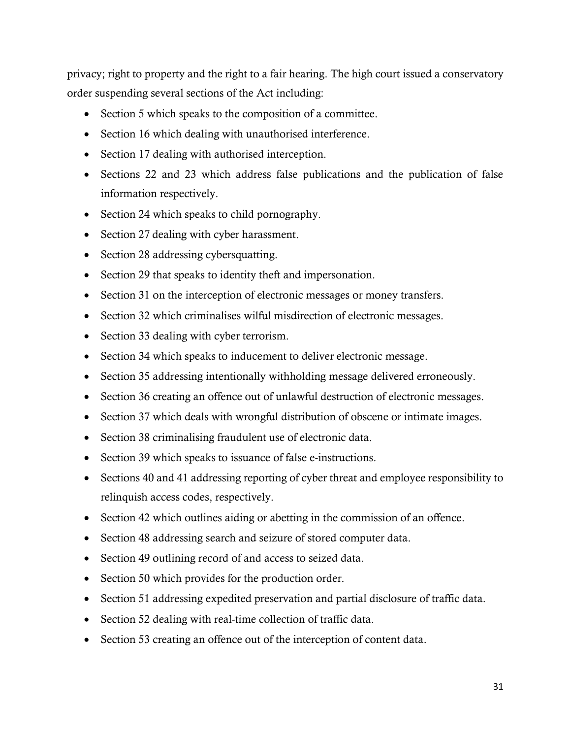privacy; right to property and the right to a fair hearing. The high court issued a conservatory order suspending several sections of the Act including:

- Section 5 which speaks to the composition of a committee.
- Section 16 which dealing with unauthorised interference.
- Section 17 dealing with authorised interception.
- Sections 22 and 23 which address false publications and the publication of false information respectively.
- Section 24 which speaks to child pornography.
- Section 27 dealing with cyber harassment.
- Section 28 addressing cybersquatting.
- Section 29 that speaks to identity theft and impersonation.
- Section 31 on the interception of electronic messages or money transfers.
- Section 32 which criminalises wilful misdirection of electronic messages.
- Section 33 dealing with cyber terrorism.
- Section 34 which speaks to inducement to deliver electronic message.
- Section 35 addressing intentionally withholding message delivered erroneously.
- Section 36 creating an offence out of unlawful destruction of electronic messages.
- Section 37 which deals with wrongful distribution of obscene or intimate images.
- Section 38 criminalising fraudulent use of electronic data.
- Section 39 which speaks to issuance of false e-instructions.
- Sections 40 and 41 addressing reporting of cyber threat and employee responsibility to relinquish access codes, respectively.
- Section 42 which outlines aiding or abetting in the commission of an offence.
- Section 48 addressing search and seizure of stored computer data.
- Section 49 outlining record of and access to seized data.
- Section 50 which provides for the production order.
- Section 51 addressing expedited preservation and partial disclosure of traffic data.
- Section 52 dealing with real-time collection of traffic data.
- Section 53 creating an offence out of the interception of content data.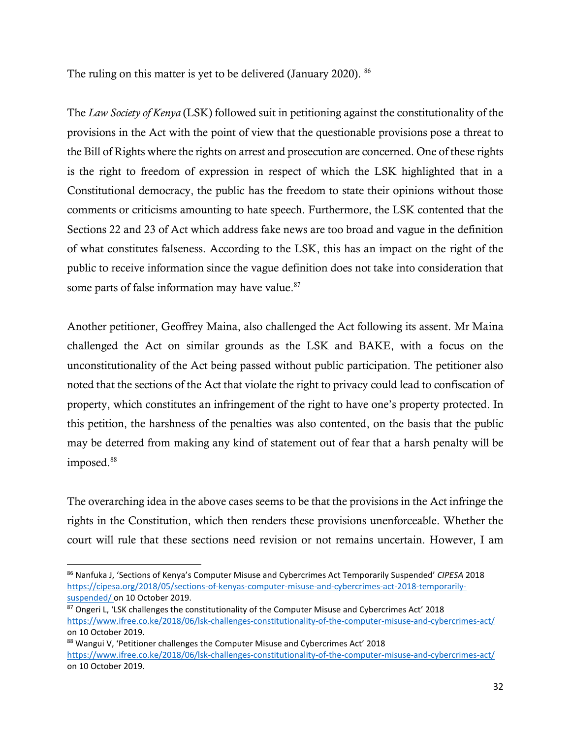The ruling on this matter is yet to be delivered (January 2020). <sup>86</sup>

The *Law Society of Kenya* (LSK) followed suit in petitioning against the constitutionality of the provisions in the Act with the point of view that the questionable provisions pose a threat to the Bill of Rights where the rights on arrest and prosecution are concerned. One of these rights is the right to freedom of expression in respect of which the LSK highlighted that in a Constitutional democracy, the public has the freedom to state their opinions without those comments or criticisms amounting to hate speech. Furthermore, the LSK contented that the Sections 22 and 23 of Act which address fake news are too broad and vague in the definition of what constitutes falseness. According to the LSK, this has an impact on the right of the public to receive information since the vague definition does not take into consideration that some parts of false information may have value.<sup>87</sup>

Another petitioner, Geoffrey Maina, also challenged the Act following its assent. Mr Maina challenged the Act on similar grounds as the LSK and BAKE, with a focus on the unconstitutionality of the Act being passed without public participation. The petitioner also noted that the sections of the Act that violate the right to privacy could lead to confiscation of property, which constitutes an infringement of the right to have one's property protected. In this petition, the harshness of the penalties was also contented, on the basis that the public may be deterred from making any kind of statement out of fear that a harsh penalty will be imposed.<sup>88</sup>

The overarching idea in the above cases seems to be that the provisions in the Act infringe the rights in the Constitution, which then renders these provisions unenforceable. Whether the court will rule that these sections need revision or not remains uncertain. However, I am

 $\overline{\phantom{a}}$ 

<sup>86</sup> Nanfuka J, 'Sections of Kenya's Computer Misuse and Cybercrimes Act Temporarily Suspended' *CIPESA* 2018 [https://cipesa.org/2018/05/sections-of-kenyas-computer-misuse-and-cybercrimes-act-2018-temporarily](https://cipesa.org/2018/05/sections-of-kenyas-computer-misuse-and-cybercrimes-act-2018-temporarily-suspended/)[suspended/](https://cipesa.org/2018/05/sections-of-kenyas-computer-misuse-and-cybercrimes-act-2018-temporarily-suspended/) on 10 October 2019.

<sup>&</sup>lt;sup>87</sup> Ongeri L, 'LSK challenges the constitutionality of the Computer Misuse and Cybercrimes Act' 2018 <https://www.ifree.co.ke/2018/06/lsk-challenges-constitutionality-of-the-computer-misuse-and-cybercrimes-act/> on 10 October 2019.

<sup>88</sup> Wangui V, 'Petitioner challenges the Computer Misuse and Cybercrimes Act' 2018 <https://www.ifree.co.ke/2018/06/lsk-challenges-constitutionality-of-the-computer-misuse-and-cybercrimes-act/> on 10 October 2019.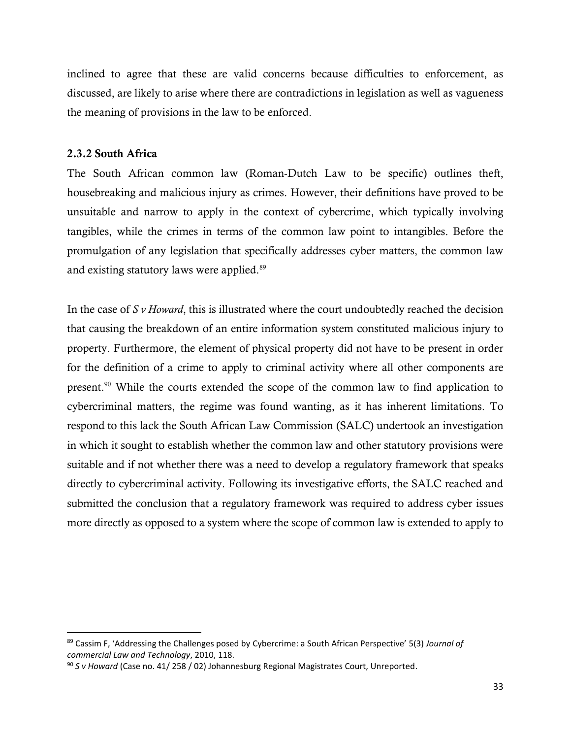inclined to agree that these are valid concerns because difficulties to enforcement, as discussed, are likely to arise where there are contradictions in legislation as well as vagueness the meaning of provisions in the law to be enforced.

### 2.3.2 South Africa

 $\overline{\phantom{a}}$ 

The South African common law (Roman-Dutch Law to be specific) outlines theft, housebreaking and malicious injury as crimes. However, their definitions have proved to be unsuitable and narrow to apply in the context of cybercrime, which typically involving tangibles, while the crimes in terms of the common law point to intangibles. Before the promulgation of any legislation that specifically addresses cyber matters, the common law and existing statutory laws were applied.<sup>89</sup>

In the case of *S v Howard*, this is illustrated where the court undoubtedly reached the decision that causing the breakdown of an entire information system constituted malicious injury to property. Furthermore, the element of physical property did not have to be present in order for the definition of a crime to apply to criminal activity where all other components are present.<sup>90</sup> While the courts extended the scope of the common law to find application to cybercriminal matters, the regime was found wanting, as it has inherent limitations. To respond to this lack the South African Law Commission (SALC) undertook an investigation in which it sought to establish whether the common law and other statutory provisions were suitable and if not whether there was a need to develop a regulatory framework that speaks directly to cybercriminal activity. Following its investigative efforts, the SALC reached and submitted the conclusion that a regulatory framework was required to address cyber issues more directly as opposed to a system where the scope of common law is extended to apply to

<sup>89</sup> Cassim F, 'Addressing the Challenges posed by Cybercrime: a South African Perspective' 5(3) *Journal of commercial Law and Technology*, 2010, 118.

<sup>90</sup> *S v Howard* (Case no. 41/ 258 / 02) Johannesburg Regional Magistrates Court, Unreported.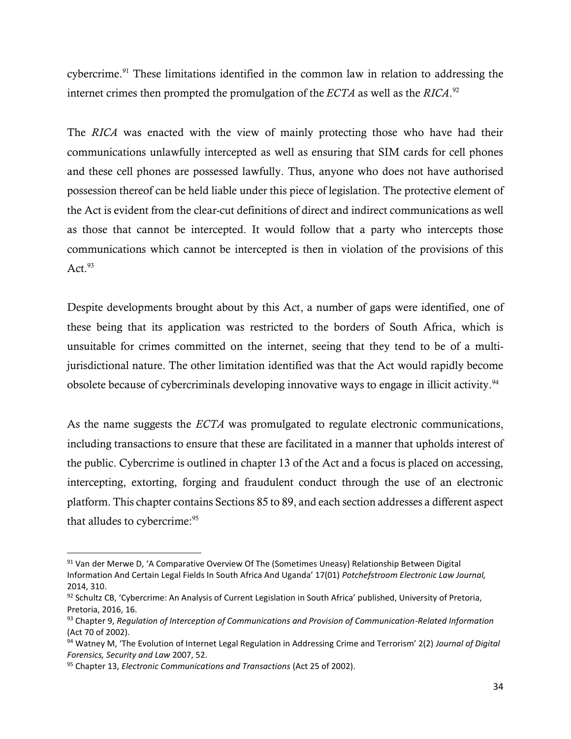cybercrime. <sup>91</sup> These limitations identified in the common law in relation to addressing the internet crimes then prompted the promulgation of the *ECTA* as well as the *RICA*. 92

The *RICA* was enacted with the view of mainly protecting those who have had their communications unlawfully intercepted as well as ensuring that SIM cards for cell phones and these cell phones are possessed lawfully. Thus, anyone who does not have authorised possession thereof can be held liable under this piece of legislation. The protective element of the Act is evident from the clear-cut definitions of direct and indirect communications as well as those that cannot be intercepted. It would follow that a party who intercepts those communications which cannot be intercepted is then in violation of the provisions of this Act. $93$ 

Despite developments brought about by this Act, a number of gaps were identified, one of these being that its application was restricted to the borders of South Africa, which is unsuitable for crimes committed on the internet, seeing that they tend to be of a multijurisdictional nature. The other limitation identified was that the Act would rapidly become obsolete because of cybercriminals developing innovative ways to engage in illicit activity.<sup>94</sup>

As the name suggests the *ECTA* was promulgated to regulate electronic communications, including transactions to ensure that these are facilitated in a manner that upholds interest of the public. Cybercrime is outlined in chapter 13 of the Act and a focus is placed on accessing, intercepting, extorting, forging and fraudulent conduct through the use of an electronic platform. This chapter contains Sections 85 to 89, and each section addresses a different aspect that alludes to cybercrime:<sup>95</sup>

 $\overline{\phantom{a}}$ 

<sup>91</sup> Van der Merwe D, 'A Comparative Overview Of The (Sometimes Uneasy) Relationship Between Digital Information And Certain Legal Fields In South Africa And Uganda' 17(01) *Potchefstroom Electronic Law Journal,*  2014, 310.

 $92$  Schultz CB, 'Cybercrime: An Analysis of Current Legislation in South Africa' published, University of Pretoria, Pretoria, 2016, 16.

<sup>93</sup> Chapter 9, *Regulation of Interception of Communications and Provision of Communication-Related Information*  (Act 70 of 2002).

<sup>94</sup> Watney M, 'The Evolution of Internet Legal Regulation in Addressing Crime and Terrorism' 2(2) *Journal of Digital Forensics, Security and Law* 2007, 52.

<sup>95</sup> Chapter 13, *Electronic Communications and Transactions* (Act 25 of 2002).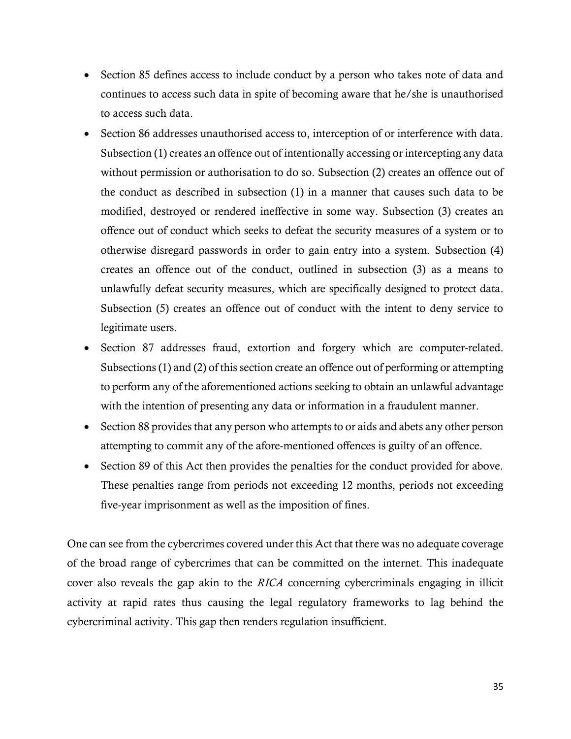- Section 85 defines access to include conduct by a person who takes note of data and continues to access such data in spite of becoming aware that he/she is unauthorised to access such data.
- Section 86 addresses unauthorised access to, interception of or interference with data. Subsection (1) creates an offence out of intentionally accessing or intercepting any data without permission or authorisation to do so. Subsection (2) creates an offence out of the conduct as described in subsection (1) in a manner that causes such data to be modified, destroyed or rendered ineffective in some way. Subsection (3) creates an offence out of conduct which seeks to defeat the security measures of a system or to otherwise disregard passwords in order to gain entry into a system. Subsection (4) creates an offence out of the conduct, outlined in subsection (3) as a means to unlawfully defeat security measures, which are specifically designed to protect data. Subsection (5) creates an offence out of conduct with the intent to deny service to legitimate users.
- Section 87 addresses fraud, extortion and forgery which are computer-related. Subsections (1) and (2) of this section create an offence out of performing or attempting to perform any of the aforementioned actions seeking to obtain an unlawful advantage with the intention of presenting any data or information in a fraudulent manner.
- Section 88 provides that any person who attempts to or aids and abets any other person attempting to commit any of the afore-mentioned offences is guilty of an offence.
- Section 89 of this Act then provides the penalties for the conduct provided for above. These penalties range from periods not exceeding 12 months, periods not exceeding five-year imprisonment as well as the imposition of fines.

One can see from the cybercrimes covered under this Act that there was no adequate coverage of the broad range of cybercrimes that can be committed on the internet. This inadequate cover also reveals the gap akin to the *RICA* concerning cybercriminals engaging in illicit activity at rapid rates thus causing the legal regulatory frameworks to lag behind the cybercriminal activity. This gap then renders regulation insufficient.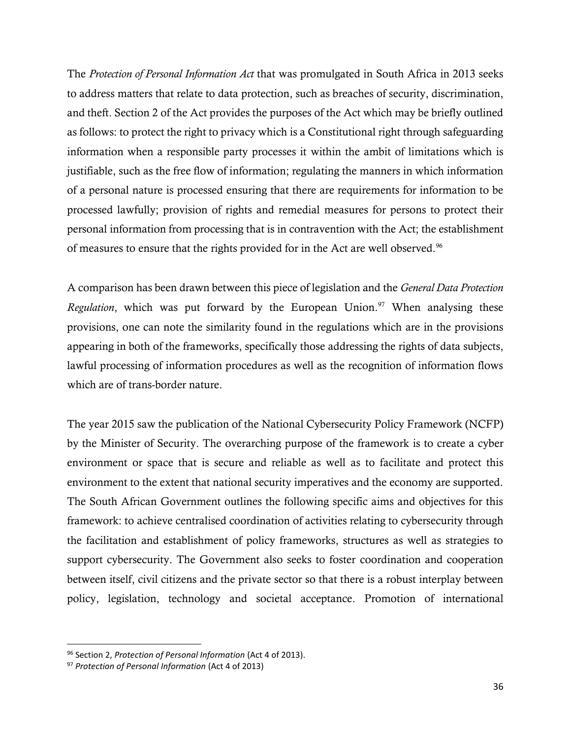The *Protection of Personal Information Act* that was promulgated in South Africa in 2013 seeks to address matters that relate to data protection, such as breaches of security, discrimination, and theft. Section 2 of the Act provides the purposes of the Act which may be briefly outlined as follows: to protect the right to privacy which is a Constitutional right through safeguarding information when a responsible party processes it within the ambit of limitations which is justifiable, such as the free flow of information; regulating the manners in which information of a personal nature is processed ensuring that there are requirements for information to be processed lawfully; provision of rights and remedial measures for persons to protect their personal information from processing that is in contravention with the Act; the establishment of measures to ensure that the rights provided for in the Act are well observed.<sup>96</sup>

A comparison has been drawn between this piece of legislation and the *General Data Protection*  Regulation, which was put forward by the European Union.<sup>97</sup> When analysing these provisions, one can note the similarity found in the regulations which are in the provisions appearing in both of the frameworks, specifically those addressing the rights of data subjects, lawful processing of information procedures as well as the recognition of information flows which are of trans-border nature.

The year 2015 saw the publication of the National Cybersecurity Policy Framework (NCFP) by the Minister of Security. The overarching purpose of the framework is to create a cyber environment or space that is secure and reliable as well as to facilitate and protect this environment to the extent that national security imperatives and the economy are supported. The South African Government outlines the following specific aims and objectives for this framework: to achieve centralised coordination of activities relating to cybersecurity through the facilitation and establishment of policy frameworks, structures as well as strategies to support cybersecurity. The Government also seeks to foster coordination and cooperation between itself, civil citizens and the private sector so that there is a robust interplay between policy, legislation, technology and societal acceptance. Promotion of international

<sup>96</sup> Section 2, *Protection of Personal Information* (Act 4 of 2013).

<sup>97</sup> *Protection of Personal Information* (Act 4 of 2013)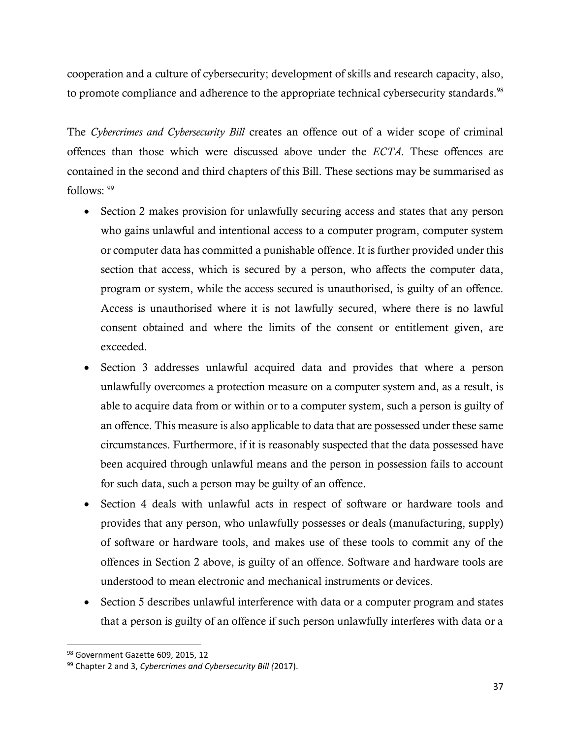cooperation and a culture of cybersecurity; development of skills and research capacity, also, to promote compliance and adherence to the appropriate technical cybersecurity standards.<sup>98</sup>

The *Cybercrimes and Cybersecurity Bill* creates an offence out of a wider scope of criminal offences than those which were discussed above under the *ECTA.* These offences are contained in the second and third chapters of this Bill. These sections may be summarised as follows: 99

- Section 2 makes provision for unlawfully securing access and states that any person who gains unlawful and intentional access to a computer program, computer system or computer data has committed a punishable offence. It is further provided under this section that access, which is secured by a person, who affects the computer data, program or system, while the access secured is unauthorised, is guilty of an offence. Access is unauthorised where it is not lawfully secured, where there is no lawful consent obtained and where the limits of the consent or entitlement given, are exceeded.
- Section 3 addresses unlawful acquired data and provides that where a person unlawfully overcomes a protection measure on a computer system and, as a result, is able to acquire data from or within or to a computer system, such a person is guilty of an offence. This measure is also applicable to data that are possessed under these same circumstances. Furthermore, if it is reasonably suspected that the data possessed have been acquired through unlawful means and the person in possession fails to account for such data, such a person may be guilty of an offence.
- Section 4 deals with unlawful acts in respect of software or hardware tools and provides that any person, who unlawfully possesses or deals (manufacturing, supply) of software or hardware tools, and makes use of these tools to commit any of the offences in Section 2 above, is guilty of an offence. Software and hardware tools are understood to mean electronic and mechanical instruments or devices.
- Section 5 describes unlawful interference with data or a computer program and states that a person is guilty of an offence if such person unlawfully interferes with data or a

l 98 Government Gazette 609, 2015, 12

<sup>99</sup> Chapter 2 and 3, *Cybercrimes and Cybersecurity Bill (*2017).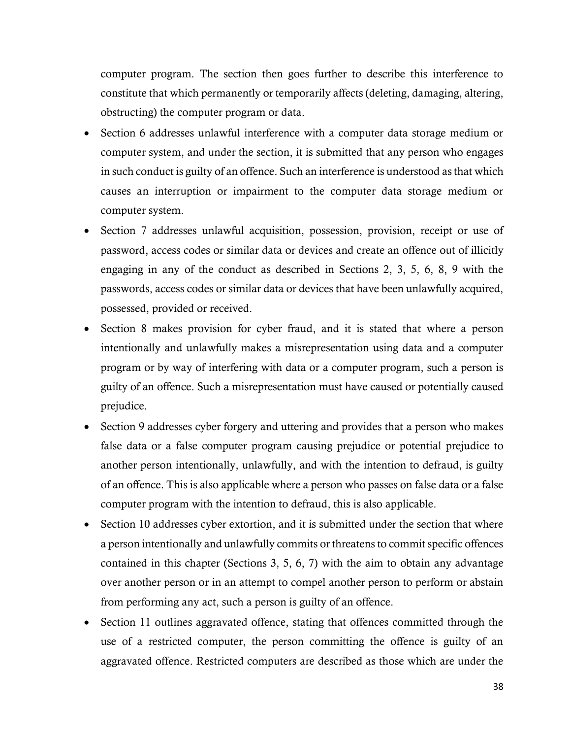computer program. The section then goes further to describe this interference to constitute that which permanently or temporarily affects (deleting, damaging, altering, obstructing) the computer program or data.

- Section 6 addresses unlawful interference with a computer data storage medium or computer system, and under the section, it is submitted that any person who engages in such conduct is guilty of an offence. Such an interference is understood as that which causes an interruption or impairment to the computer data storage medium or computer system.
- Section 7 addresses unlawful acquisition, possession, provision, receipt or use of password, access codes or similar data or devices and create an offence out of illicitly engaging in any of the conduct as described in Sections 2, 3, 5, 6, 8, 9 with the passwords, access codes or similar data or devices that have been unlawfully acquired, possessed, provided or received.
- Section 8 makes provision for cyber fraud, and it is stated that where a person intentionally and unlawfully makes a misrepresentation using data and a computer program or by way of interfering with data or a computer program, such a person is guilty of an offence. Such a misrepresentation must have caused or potentially caused prejudice.
- Section 9 addresses cyber forgery and uttering and provides that a person who makes false data or a false computer program causing prejudice or potential prejudice to another person intentionally, unlawfully, and with the intention to defraud, is guilty of an offence. This is also applicable where a person who passes on false data or a false computer program with the intention to defraud, this is also applicable.
- Section 10 addresses cyber extortion, and it is submitted under the section that where a person intentionally and unlawfully commits or threatens to commit specific offences contained in this chapter (Sections 3, 5, 6, 7) with the aim to obtain any advantage over another person or in an attempt to compel another person to perform or abstain from performing any act, such a person is guilty of an offence.
- Section 11 outlines aggravated offence, stating that offences committed through the use of a restricted computer, the person committing the offence is guilty of an aggravated offence. Restricted computers are described as those which are under the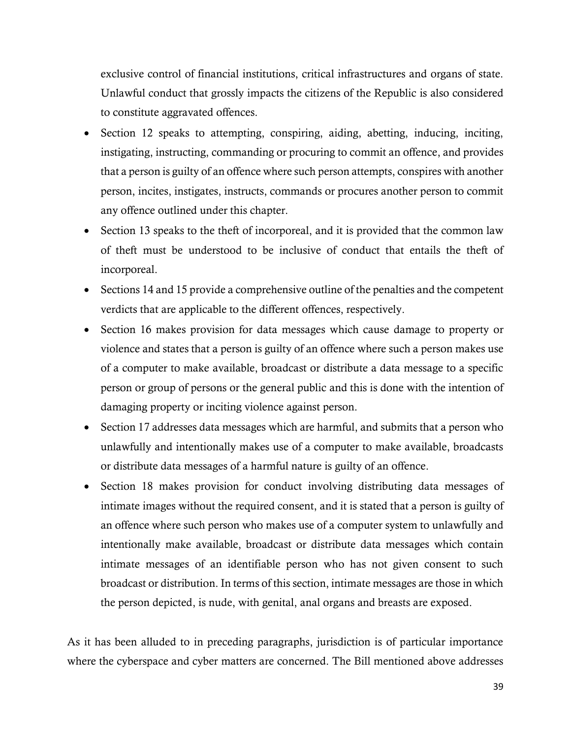exclusive control of financial institutions, critical infrastructures and organs of state. Unlawful conduct that grossly impacts the citizens of the Republic is also considered to constitute aggravated offences.

- Section 12 speaks to attempting, conspiring, aiding, abetting, inducing, inciting, instigating, instructing, commanding or procuring to commit an offence, and provides that a person is guilty of an offence where such person attempts, conspires with another person, incites, instigates, instructs, commands or procures another person to commit any offence outlined under this chapter.
- Section 13 speaks to the theft of incorporeal, and it is provided that the common law of theft must be understood to be inclusive of conduct that entails the theft of incorporeal.
- Sections 14 and 15 provide a comprehensive outline of the penalties and the competent verdicts that are applicable to the different offences, respectively.
- Section 16 makes provision for data messages which cause damage to property or violence and states that a person is guilty of an offence where such a person makes use of a computer to make available, broadcast or distribute a data message to a specific person or group of persons or the general public and this is done with the intention of damaging property or inciting violence against person.
- Section 17 addresses data messages which are harmful, and submits that a person who unlawfully and intentionally makes use of a computer to make available, broadcasts or distribute data messages of a harmful nature is guilty of an offence.
- Section 18 makes provision for conduct involving distributing data messages of intimate images without the required consent, and it is stated that a person is guilty of an offence where such person who makes use of a computer system to unlawfully and intentionally make available, broadcast or distribute data messages which contain intimate messages of an identifiable person who has not given consent to such broadcast or distribution. In terms of this section, intimate messages are those in which the person depicted, is nude, with genital, anal organs and breasts are exposed.

As it has been alluded to in preceding paragraphs, jurisdiction is of particular importance where the cyberspace and cyber matters are concerned. The Bill mentioned above addresses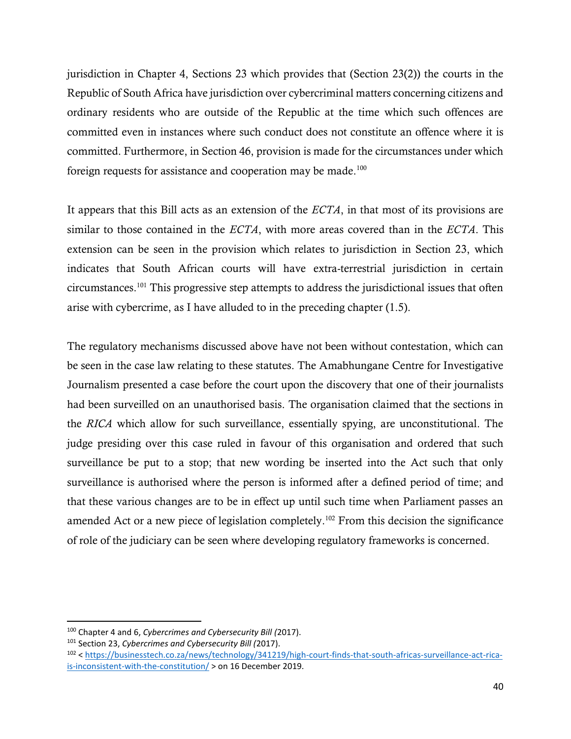jurisdiction in Chapter 4, Sections 23 which provides that (Section 23(2)) the courts in the Republic of South Africa have jurisdiction over cybercriminal matters concerning citizens and ordinary residents who are outside of the Republic at the time which such offences are committed even in instances where such conduct does not constitute an offence where it is committed. Furthermore, in Section 46, provision is made for the circumstances under which foreign requests for assistance and cooperation may be made. $100$ 

It appears that this Bill acts as an extension of the *ECTA*, in that most of its provisions are similar to those contained in the *ECTA*, with more areas covered than in the *ECTA*. This extension can be seen in the provision which relates to jurisdiction in Section 23, which indicates that South African courts will have extra-terrestrial jurisdiction in certain circumstances. <sup>101</sup> This progressive step attempts to address the jurisdictional issues that often arise with cybercrime, as I have alluded to in the preceding chapter (1.5).

The regulatory mechanisms discussed above have not been without contestation, which can be seen in the case law relating to these statutes. The Amabhungane Centre for Investigative Journalism presented a case before the court upon the discovery that one of their journalists had been surveilled on an unauthorised basis. The organisation claimed that the sections in the *RICA* which allow for such surveillance, essentially spying, are unconstitutional. The judge presiding over this case ruled in favour of this organisation and ordered that such surveillance be put to a stop; that new wording be inserted into the Act such that only surveillance is authorised where the person is informed after a defined period of time; and that these various changes are to be in effect up until such time when Parliament passes an amended Act or a new piece of legislation completely.<sup>102</sup> From this decision the significance of role of the judiciary can be seen where developing regulatory frameworks is concerned.

 $\overline{a}$ 

<sup>100</sup> Chapter 4 and 6, *Cybercrimes and Cybersecurity Bill (*2017).

<sup>101</sup> Section 23, *Cybercrimes and Cybersecurity Bill (*2017).

<sup>102</sup> < [https://businesstech.co.za/news/technology/341219/high-court-finds-that-south-africas-surveillance-act-rica](https://businesstech.co.za/news/technology/341219/high-court-finds-that-south-africas-surveillance-act-rica-is-inconsistent-with-the-constitution/)[is-inconsistent-with-the-constitution/](https://businesstech.co.za/news/technology/341219/high-court-finds-that-south-africas-surveillance-act-rica-is-inconsistent-with-the-constitution/) > on 16 December 2019.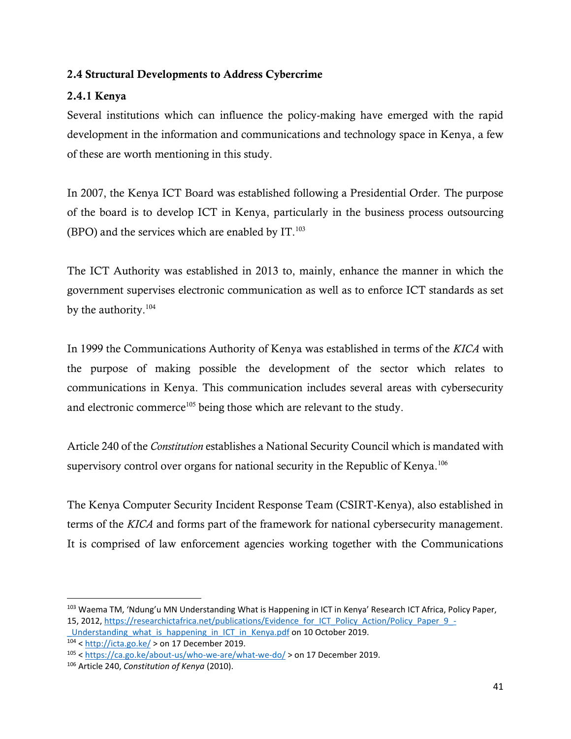# 2.4 Structural Developments to Address Cybercrime

# 2.4.1 Kenya

Several institutions which can influence the policy-making have emerged with the rapid development in the information and communications and technology space in Kenya, a few of these are worth mentioning in this study.

In 2007, the Kenya ICT Board was established following a Presidential Order. The purpose of the board is to develop ICT in Kenya, particularly in the business process outsourcing (BPO) and the services which are enabled by IT.<sup>103</sup>

The ICT Authority was established in 2013 to, mainly, enhance the manner in which the government supervises electronic communication as well as to enforce ICT standards as set by the authority.<sup>104</sup>

In 1999 the Communications Authority of Kenya was established in terms of the *KICA* with the purpose of making possible the development of the sector which relates to communications in Kenya. This communication includes several areas with cybersecurity and electronic commerce<sup>105</sup> being those which are relevant to the study.

Article 240 of the *Constitution* establishes a National Security Council which is mandated with supervisory control over organs for national security in the Republic of Kenya.<sup>106</sup>

The Kenya Computer Security Incident Response Team (CSIRT-Kenya), also established in terms of the *KICA* and forms part of the framework for national cybersecurity management. It is comprised of law enforcement agencies working together with the Communications

 $\overline{a}$ 

<sup>&</sup>lt;sup>103</sup> Waema TM, 'Ndung'u MN Understanding What is Happening in ICT in Kenya' Research ICT Africa, Policy Paper, 15, 2012, [https://researchictafrica.net/publications/Evidence\\_for\\_ICT\\_Policy\\_Action/Policy\\_Paper\\_9\\_-](https://researchictafrica.net/publications/Evidence_for_ICT_Policy_Action/Policy_Paper_9_-_Understanding_what_is_happening_in_ICT_in_Kenya.pdf)

Understanding what is happening in ICT in Kenya.pdf on 10 October 2019.  $104 < \frac{http://icta.govke/}{$  > on 17 December 2019.

<sup>105</sup> <<https://ca.go.ke/about-us/who-we-are/what-we-do/> > on 17 December 2019.

<sup>106</sup> Article 240, *Constitution of Kenya* (2010).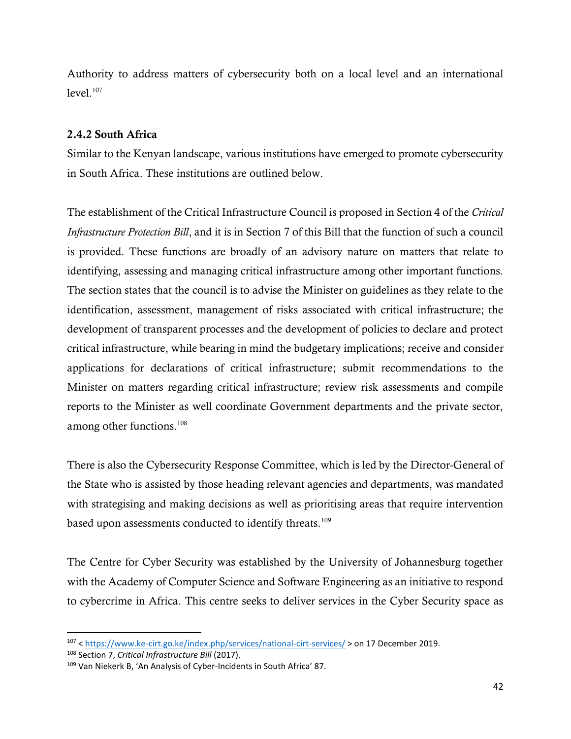Authority to address matters of cybersecurity both on a local level and an international  $level.<sup>107</sup>$ 

### 2.4.2 South Africa

Similar to the Kenyan landscape, various institutions have emerged to promote cybersecurity in South Africa. These institutions are outlined below.

The establishment of the Critical Infrastructure Council is proposed in Section 4 of the *Critical Infrastructure Protection Bill*, and it is in Section 7 of this Bill that the function of such a council is provided. These functions are broadly of an advisory nature on matters that relate to identifying, assessing and managing critical infrastructure among other important functions. The section states that the council is to advise the Minister on guidelines as they relate to the identification, assessment, management of risks associated with critical infrastructure; the development of transparent processes and the development of policies to declare and protect critical infrastructure, while bearing in mind the budgetary implications; receive and consider applications for declarations of critical infrastructure; submit recommendations to the Minister on matters regarding critical infrastructure; review risk assessments and compile reports to the Minister as well coordinate Government departments and the private sector, among other functions.<sup>108</sup>

There is also the Cybersecurity Response Committee, which is led by the Director-General of the State who is assisted by those heading relevant agencies and departments, was mandated with strategising and making decisions as well as prioritising areas that require intervention based upon assessments conducted to identify threats.<sup>109</sup>

The Centre for Cyber Security was established by the University of Johannesburg together with the Academy of Computer Science and Software Engineering as an initiative to respond to cybercrime in Africa. This centre seeks to deliver services in the Cyber Security space as

 $\overline{\phantom{a}}$ 

<sup>107</sup> <<https://www.ke-cirt.go.ke/index.php/services/national-cirt-services/> > on 17 December 2019.

<sup>108</sup> Section 7, *Critical Infrastructure Bill* (2017).

<sup>109</sup> Van Niekerk B, 'An Analysis of Cyber-Incidents in South Africa' 87.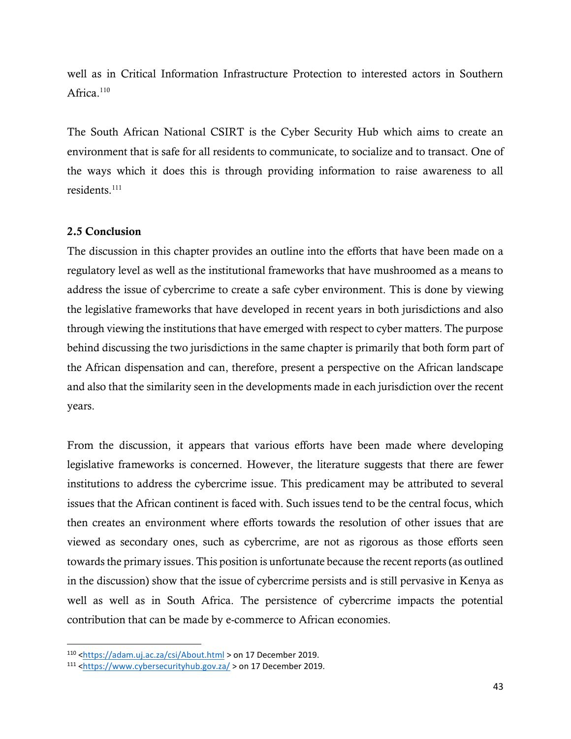well as in Critical Information Infrastructure Protection to interested actors in Southern Africa.<sup>110</sup>

The South African National CSIRT is the Cyber Security Hub which aims to create an environment that is safe for all residents to communicate, to socialize and to transact. One of the ways which it does this is through providing information to raise awareness to all residents<sup>111</sup>

# 2.5 Conclusion

l

The discussion in this chapter provides an outline into the efforts that have been made on a regulatory level as well as the institutional frameworks that have mushroomed as a means to address the issue of cybercrime to create a safe cyber environment. This is done by viewing the legislative frameworks that have developed in recent years in both jurisdictions and also through viewing the institutions that have emerged with respect to cyber matters. The purpose behind discussing the two jurisdictions in the same chapter is primarily that both form part of the African dispensation and can, therefore, present a perspective on the African landscape and also that the similarity seen in the developments made in each jurisdiction over the recent years.

From the discussion, it appears that various efforts have been made where developing legislative frameworks is concerned. However, the literature suggests that there are fewer institutions to address the cybercrime issue. This predicament may be attributed to several issues that the African continent is faced with. Such issues tend to be the central focus, which then creates an environment where efforts towards the resolution of other issues that are viewed as secondary ones, such as cybercrime, are not as rigorous as those efforts seen towards the primary issues. This position is unfortunate because the recent reports (as outlined in the discussion) show that the issue of cybercrime persists and is still pervasive in Kenya as well as well as in South Africa. The persistence of cybercrime impacts the potential contribution that can be made by e-commerce to African economies.

<sup>110</sup> [<https://adam.uj.ac.za/csi/About.html](https://adam.uj.ac.za/csi/About.html) > on 17 December 2019.

 $111$  [<https://www.cybersecurityhub.gov.za/](https://www.cybersecurityhub.gov.za/) > on 17 December 2019.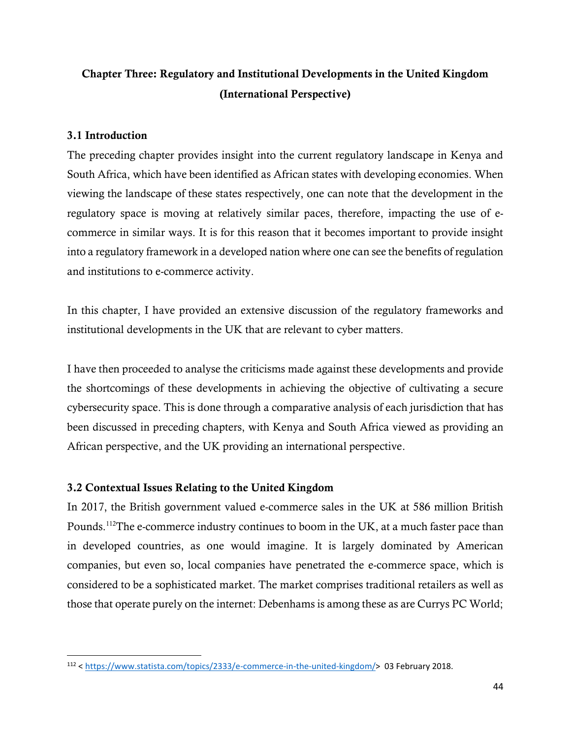# Chapter Three: Regulatory and Institutional Developments in the United Kingdom (International Perspective)

# 3.1 Introduction

 $\overline{\phantom{a}}$ 

The preceding chapter provides insight into the current regulatory landscape in Kenya and South Africa, which have been identified as African states with developing economies. When viewing the landscape of these states respectively, one can note that the development in the regulatory space is moving at relatively similar paces, therefore, impacting the use of ecommerce in similar ways. It is for this reason that it becomes important to provide insight into a regulatory framework in a developed nation where one can see the benefits of regulation and institutions to e-commerce activity.

In this chapter, I have provided an extensive discussion of the regulatory frameworks and institutional developments in the UK that are relevant to cyber matters.

I have then proceeded to analyse the criticisms made against these developments and provide the shortcomings of these developments in achieving the objective of cultivating a secure cybersecurity space. This is done through a comparative analysis of each jurisdiction that has been discussed in preceding chapters, with Kenya and South Africa viewed as providing an African perspective, and the UK providing an international perspective.

# 3.2 Contextual Issues Relating to the United Kingdom

In 2017, the British government valued e-commerce sales in the UK at 586 million British Pounds.<sup>112</sup>The e-commerce industry continues to boom in the UK, at a much faster pace than in developed countries, as one would imagine. It is largely dominated by American companies, but even so, local companies have penetrated the e-commerce space, which is considered to be a sophisticated market. The market comprises traditional retailers as well as those that operate purely on the internet: Debenhams is among these as are Currys PC World;

<sup>112</sup> < [https://www.statista.com/topics/2333/e-commerce-in-the-united-kingdom/>](https://www.statista.com/topics/2333/e-commerce-in-the-united-kingdom/) 03 February 2018.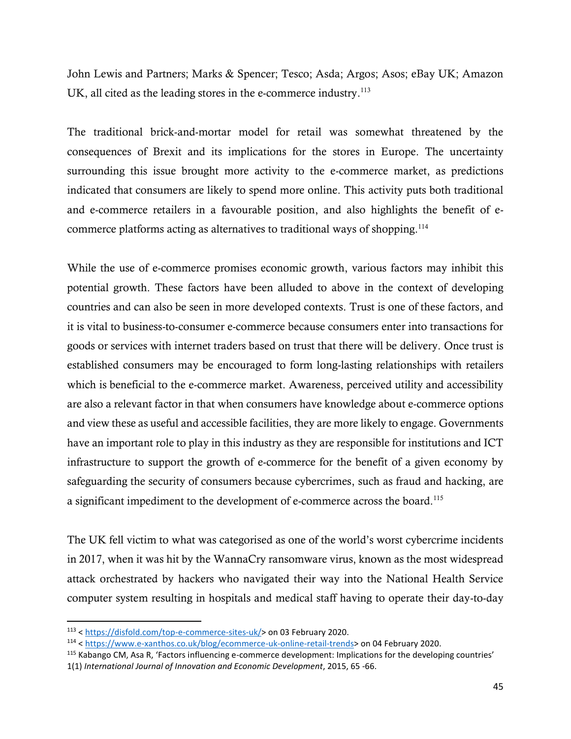John Lewis and Partners; Marks & Spencer; Tesco; Asda; Argos; Asos; eBay UK; Amazon UK, all cited as the leading stores in the e-commerce industry.<sup>113</sup>

The traditional brick-and-mortar model for retail was somewhat threatened by the consequences of Brexit and its implications for the stores in Europe. The uncertainty surrounding this issue brought more activity to the e-commerce market, as predictions indicated that consumers are likely to spend more online. This activity puts both traditional and e-commerce retailers in a favourable position, and also highlights the benefit of ecommerce platforms acting as alternatives to traditional ways of shopping.<sup>114</sup>

While the use of e-commerce promises economic growth, various factors may inhibit this potential growth. These factors have been alluded to above in the context of developing countries and can also be seen in more developed contexts. Trust is one of these factors, and it is vital to business-to-consumer e-commerce because consumers enter into transactions for goods or services with internet traders based on trust that there will be delivery. Once trust is established consumers may be encouraged to form long-lasting relationships with retailers which is beneficial to the e-commerce market. Awareness, perceived utility and accessibility are also a relevant factor in that when consumers have knowledge about e-commerce options and view these as useful and accessible facilities, they are more likely to engage. Governments have an important role to play in this industry as they are responsible for institutions and ICT infrastructure to support the growth of e-commerce for the benefit of a given economy by safeguarding the security of consumers because cybercrimes, such as fraud and hacking, are a significant impediment to the development of e-commerce across the board.<sup>115</sup>

The UK fell victim to what was categorised as one of the world's worst cybercrime incidents in 2017, when it was hit by the WannaCry ransomware virus, known as the most widespread attack orchestrated by hackers who navigated their way into the National Health Service computer system resulting in hospitals and medical staff having to operate their day-to-day

 $\overline{a}$ 

<sup>113</sup> < [https://disfold.com/top-e-commerce-sites-uk/>](https://disfold.com/top-e-commerce-sites-uk/) on 03 February 2020.

<sup>114</sup> < [https://www.e-xanthos.co.uk/blog/ecommerce-uk-online-retail-trends>](https://www.e-xanthos.co.uk/blog/ecommerce-uk-online-retail-trends) on 04 February 2020.

<sup>&</sup>lt;sup>115</sup> Kabango CM, Asa R, 'Factors influencing e-commerce development: Implications for the developing countries' 1(1) *International Journal of Innovation and Economic Development*, 2015, 65 -66.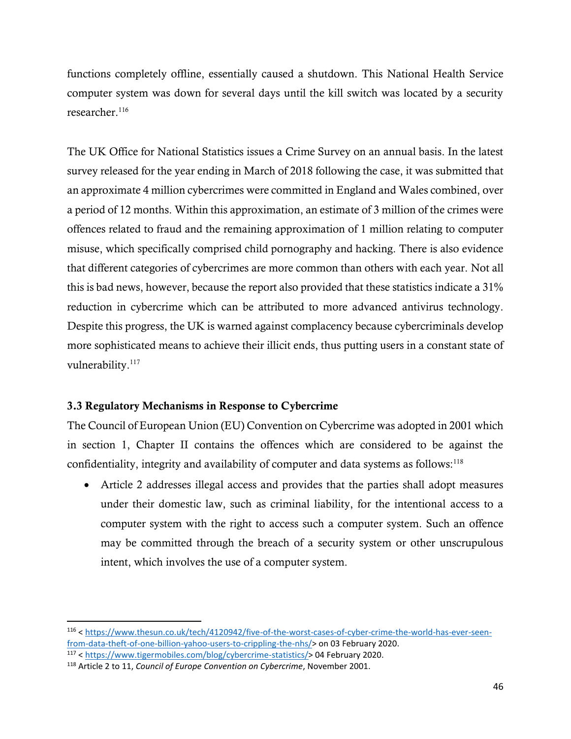functions completely offline, essentially caused a shutdown. This National Health Service computer system was down for several days until the kill switch was located by a security researcher.<sup>116</sup>

The UK Office for National Statistics issues a Crime Survey on an annual basis. In the latest survey released for the year ending in March of 2018 following the case, it was submitted that an approximate 4 million cybercrimes were committed in England and Wales combined, over a period of 12 months. Within this approximation, an estimate of 3 million of the crimes were offences related to fraud and the remaining approximation of 1 million relating to computer misuse, which specifically comprised child pornography and hacking. There is also evidence that different categories of cybercrimes are more common than others with each year. Not all this is bad news, however, because the report also provided that these statistics indicate a 31% reduction in cybercrime which can be attributed to more advanced antivirus technology. Despite this progress, the UK is warned against complacency because cybercriminals develop more sophisticated means to achieve their illicit ends, thus putting users in a constant state of vulnerability.<sup>117</sup>

# 3.3 Regulatory Mechanisms in Response to Cybercrime

The Council of European Union (EU) Convention on Cybercrime was adopted in 2001 which in section 1, Chapter II contains the offences which are considered to be against the confidentiality, integrity and availability of computer and data systems as follows:<sup>118</sup>

 Article 2 addresses illegal access and provides that the parties shall adopt measures under their domestic law, such as criminal liability, for the intentional access to a computer system with the right to access such a computer system. Such an offence may be committed through the breach of a security system or other unscrupulous intent, which involves the use of a computer system.

 $\overline{a}$ 

<sup>116</sup> < [https://www.thesun.co.uk/tech/4120942/five-of-the-worst-cases-of-cyber-crime-the-world-has-ever-seen](https://www.thesun.co.uk/tech/4120942/five-of-the-worst-cases-of-cyber-crime-the-world-has-ever-seen-from-data-theft-of-one-billion-yahoo-users-to-crippling-the-nhs/)[from-data-theft-of-one-billion-yahoo-users-to-crippling-the-nhs/>](https://www.thesun.co.uk/tech/4120942/five-of-the-worst-cases-of-cyber-crime-the-world-has-ever-seen-from-data-theft-of-one-billion-yahoo-users-to-crippling-the-nhs/) on 03 February 2020. <sup>117</sup> < [https://www.tigermobiles.com/blog/cybercrime-statistics/>](https://www.tigermobiles.com/blog/cybercrime-statistics/) 04 February 2020.

<sup>118</sup> Article 2 to 11, *Council of Europe Convention on Cybercrime*, November 2001.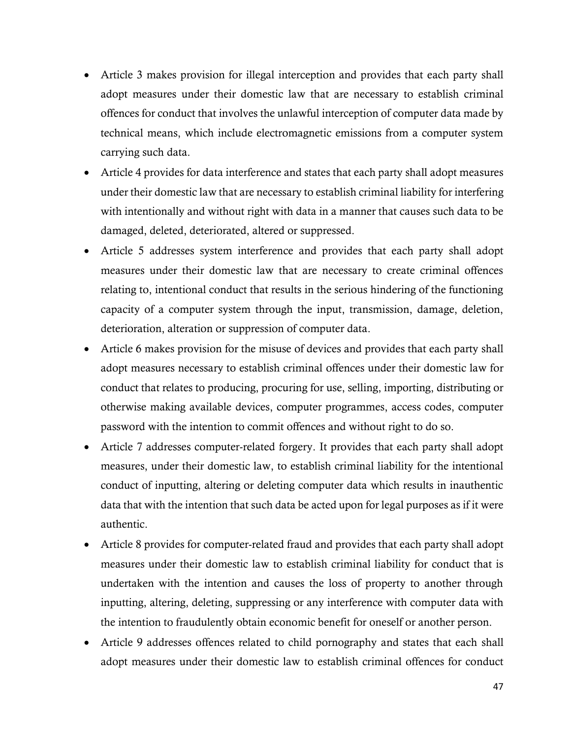- Article 3 makes provision for illegal interception and provides that each party shall adopt measures under their domestic law that are necessary to establish criminal offences for conduct that involves the unlawful interception of computer data made by technical means, which include electromagnetic emissions from a computer system carrying such data.
- Article 4 provides for data interference and states that each party shall adopt measures under their domestic law that are necessary to establish criminal liability for interfering with intentionally and without right with data in a manner that causes such data to be damaged, deleted, deteriorated, altered or suppressed.
- Article 5 addresses system interference and provides that each party shall adopt measures under their domestic law that are necessary to create criminal offences relating to, intentional conduct that results in the serious hindering of the functioning capacity of a computer system through the input, transmission, damage, deletion, deterioration, alteration or suppression of computer data.
- Article 6 makes provision for the misuse of devices and provides that each party shall adopt measures necessary to establish criminal offences under their domestic law for conduct that relates to producing, procuring for use, selling, importing, distributing or otherwise making available devices, computer programmes, access codes, computer password with the intention to commit offences and without right to do so.
- Article 7 addresses computer-related forgery. It provides that each party shall adopt measures, under their domestic law, to establish criminal liability for the intentional conduct of inputting, altering or deleting computer data which results in inauthentic data that with the intention that such data be acted upon for legal purposes as if it were authentic.
- Article 8 provides for computer-related fraud and provides that each party shall adopt measures under their domestic law to establish criminal liability for conduct that is undertaken with the intention and causes the loss of property to another through inputting, altering, deleting, suppressing or any interference with computer data with the intention to fraudulently obtain economic benefit for oneself or another person.
- Article 9 addresses offences related to child pornography and states that each shall adopt measures under their domestic law to establish criminal offences for conduct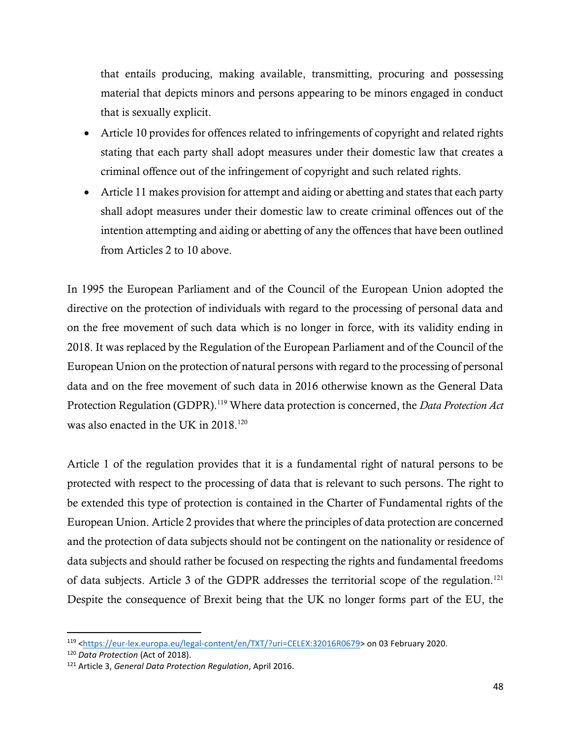that entails producing, making available, transmitting, procuring and possessing material that depicts minors and persons appearing to be minors engaged in conduct that is sexually explicit.

- Article 10 provides for offences related to infringements of copyright and related rights stating that each party shall adopt measures under their domestic law that creates a criminal offence out of the infringement of copyright and such related rights.
- Article 11 makes provision for attempt and aiding or abetting and states that each party shall adopt measures under their domestic law to create criminal offences out of the intention attempting and aiding or abetting of any the offences that have been outlined from Articles 2 to 10 above.

In 1995 the European Parliament and of the Council of the European Union adopted the directive on the protection of individuals with regard to the processing of personal data and on the free movement of such data which is no longer in force, with its validity ending in 2018. It was replaced by the Regulation of the European Parliament and of the Council of the European Union on the protection of natural persons with regard to the processing of personal data and on the free movement of such data in 2016 otherwise known as the General Data Protection Regulation (GDPR).<sup>119</sup> Where data protection is concerned, the *Data Protection Act* was also enacted in the UK in 2018.<sup>120</sup>

Article 1 of the regulation provides that it is a fundamental right of natural persons to be protected with respect to the processing of data that is relevant to such persons. The right to be extended this type of protection is contained in the Charter of Fundamental rights of the European Union. Article 2 provides that where the principles of data protection are concerned and the protection of data subjects should not be contingent on the nationality or residence of data subjects and should rather be focused on respecting the rights and fundamental freedoms of data subjects. Article 3 of the GDPR addresses the territorial scope of the regulation.<sup>121</sup> Despite the consequence of Brexit being that the UK no longer forms part of the EU, the

 $\overline{\phantom{a}}$ 

<sup>119</sup> [<https://eur-lex.europa.eu/legal-content/en/TXT/?uri=CELEX:32016R0679>](https://eur-lex.europa.eu/legal-content/en/TXT/?uri=CELEX:32016R0679) on 03 February 2020.

<sup>120</sup> *Data Protection* (Act of 2018).

<sup>121</sup> Article 3, *General Data Protection Regulation*, April 2016.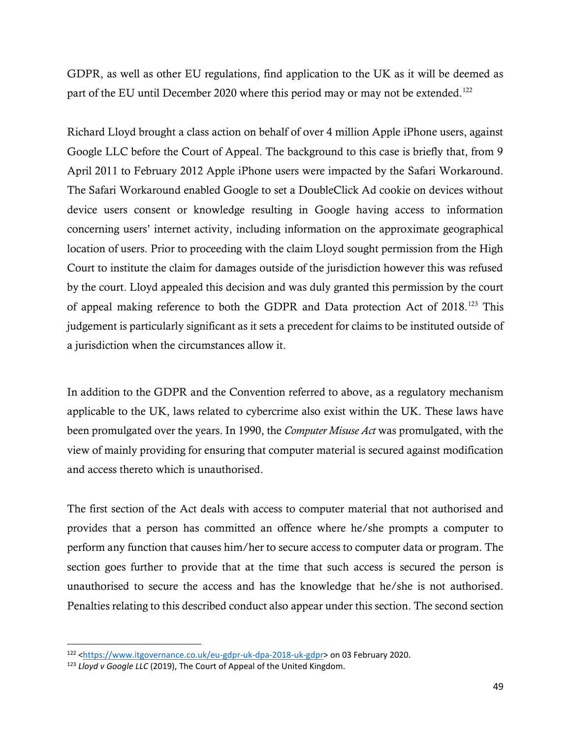GDPR, as well as other EU regulations, find application to the UK as it will be deemed as part of the EU until December 2020 where this period may or may not be extended.<sup>122</sup>

Richard Lloyd brought a class action on behalf of over 4 million Apple iPhone users, against Google LLC before the Court of Appeal. The background to this case is briefly that, from 9 April 2011 to February 2012 Apple iPhone users were impacted by the Safari Workaround. The Safari Workaround enabled Google to set a DoubleClick Ad cookie on devices without device users consent or knowledge resulting in Google having access to information concerning users' internet activity, including information on the approximate geographical location of users. Prior to proceeding with the claim Lloyd sought permission from the High Court to institute the claim for damages outside of the jurisdiction however this was refused by the court. Lloyd appealed this decision and was duly granted this permission by the court of appeal making reference to both the GDPR and Data protection Act of 2018.<sup>123</sup> This judgement is particularly significant as it sets a precedent for claims to be instituted outside of a jurisdiction when the circumstances allow it.

In addition to the GDPR and the Convention referred to above, as a regulatory mechanism applicable to the UK, laws related to cybercrime also exist within the UK. These laws have been promulgated over the years. In 1990, the *Computer Misuse Act* was promulgated, with the view of mainly providing for ensuring that computer material is secured against modification and access thereto which is unauthorised.

The first section of the Act deals with access to computer material that not authorised and provides that a person has committed an offence where he/she prompts a computer to perform any function that causes him/her to secure access to computer data or program. The section goes further to provide that at the time that such access is secured the person is unauthorised to secure the access and has the knowledge that he/she is not authorised. Penalties relating to this described conduct also appear under this section. The second section

<sup>122</sup> [<https://www.itgovernance.co.uk/eu-gdpr-uk-dpa-2018-uk-gdpr>](https://www.itgovernance.co.uk/eu-gdpr-uk-dpa-2018-uk-gdpr) on 03 February 2020.

<sup>123</sup> *Lloyd v Google LLC* (2019), The Court of Appeal of the United Kingdom.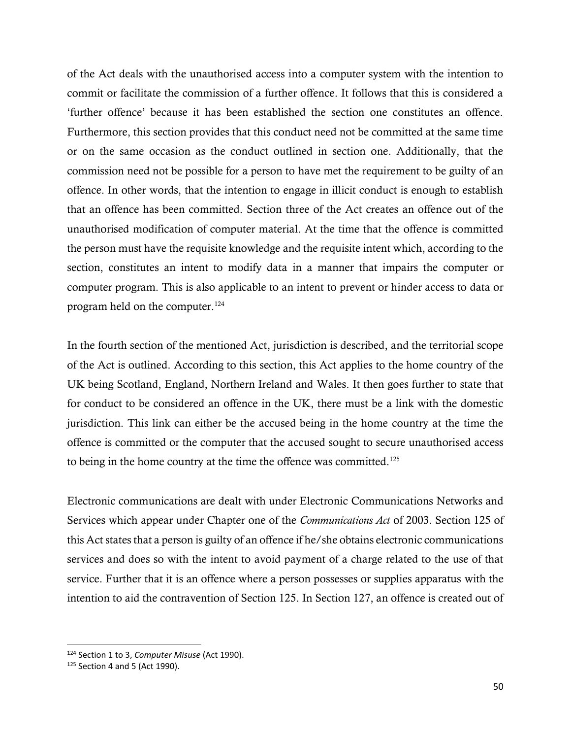of the Act deals with the unauthorised access into a computer system with the intention to commit or facilitate the commission of a further offence. It follows that this is considered a 'further offence' because it has been established the section one constitutes an offence. Furthermore, this section provides that this conduct need not be committed at the same time or on the same occasion as the conduct outlined in section one. Additionally, that the commission need not be possible for a person to have met the requirement to be guilty of an offence. In other words, that the intention to engage in illicit conduct is enough to establish that an offence has been committed. Section three of the Act creates an offence out of the unauthorised modification of computer material. At the time that the offence is committed the person must have the requisite knowledge and the requisite intent which, according to the section, constitutes an intent to modify data in a manner that impairs the computer or computer program. This is also applicable to an intent to prevent or hinder access to data or program held on the computer.<sup>124</sup>

In the fourth section of the mentioned Act, jurisdiction is described, and the territorial scope of the Act is outlined. According to this section, this Act applies to the home country of the UK being Scotland, England, Northern Ireland and Wales. It then goes further to state that for conduct to be considered an offence in the UK, there must be a link with the domestic jurisdiction. This link can either be the accused being in the home country at the time the offence is committed or the computer that the accused sought to secure unauthorised access to being in the home country at the time the offence was committed.<sup>125</sup>

Electronic communications are dealt with under Electronic Communications Networks and Services which appear under Chapter one of the *Communications Act* of 2003. Section 125 of this Act states that a person is guilty of an offence if he/she obtains electronic communications services and does so with the intent to avoid payment of a charge related to the use of that service. Further that it is an offence where a person possesses or supplies apparatus with the intention to aid the contravention of Section 125. In Section 127, an offence is created out of

<sup>124</sup> Section 1 to 3, *Computer Misuse* (Act 1990).

 $125$  Section 4 and 5 (Act 1990).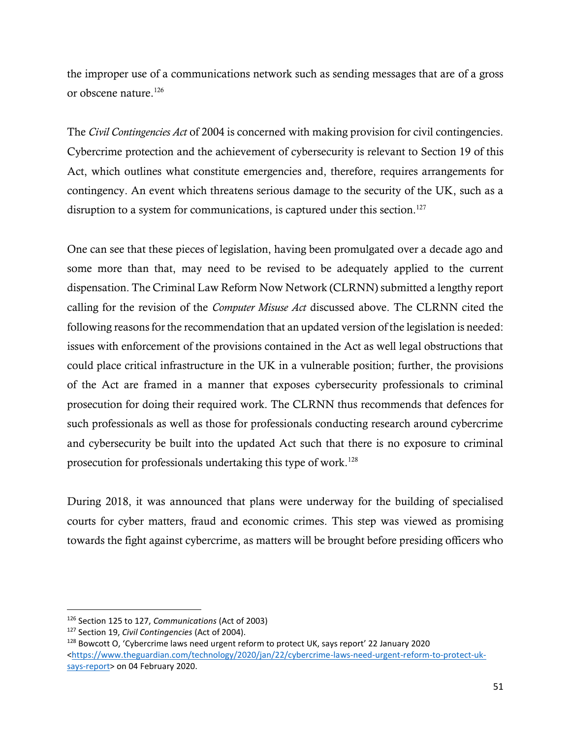the improper use of a communications network such as sending messages that are of a gross or obscene nature.<sup>126</sup>

The *Civil Contingencies Act* of 2004 is concerned with making provision for civil contingencies. Cybercrime protection and the achievement of cybersecurity is relevant to Section 19 of this Act, which outlines what constitute emergencies and, therefore, requires arrangements for contingency. An event which threatens serious damage to the security of the UK, such as a disruption to a system for communications, is captured under this section.<sup>127</sup>

One can see that these pieces of legislation, having been promulgated over a decade ago and some more than that, may need to be revised to be adequately applied to the current dispensation. The Criminal Law Reform Now Network (CLRNN) submitted a lengthy report calling for the revision of the *Computer Misuse Act* discussed above. The CLRNN cited the following reasons for the recommendation that an updated version of the legislation is needed: issues with enforcement of the provisions contained in the Act as well legal obstructions that could place critical infrastructure in the UK in a vulnerable position; further, the provisions of the Act are framed in a manner that exposes cybersecurity professionals to criminal prosecution for doing their required work. The CLRNN thus recommends that defences for such professionals as well as those for professionals conducting research around cybercrime and cybersecurity be built into the updated Act such that there is no exposure to criminal prosecution for professionals undertaking this type of work.<sup>128</sup>

During 2018, it was announced that plans were underway for the building of specialised courts for cyber matters, fraud and economic crimes. This step was viewed as promising towards the fight against cybercrime, as matters will be brought before presiding officers who

<sup>126</sup> Section 125 to 127, *Communications* (Act of 2003)

<sup>127</sup> Section 19, *Civil Contingencies* (Act of 2004).

<sup>128</sup> Bowcott O, 'Cybercrime laws need urgent reform to protect UK, says report' 22 January 2020 [<https://www.theguardian.com/technology/2020/jan/22/cybercrime-laws-need-urgent-reform-to-protect-uk](https://www.theguardian.com/technology/2020/jan/22/cybercrime-laws-need-urgent-reform-to-protect-uk-says-report)[says-report>](https://www.theguardian.com/technology/2020/jan/22/cybercrime-laws-need-urgent-reform-to-protect-uk-says-report) on 04 February 2020.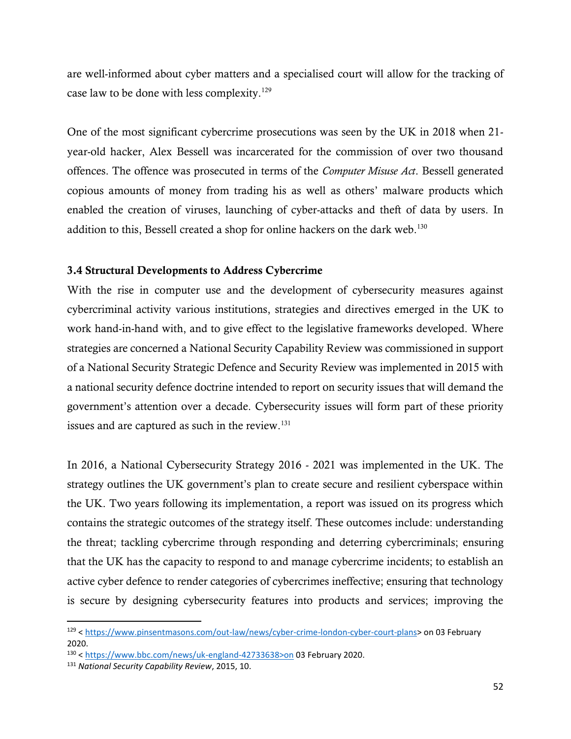are well-informed about cyber matters and a specialised court will allow for the tracking of case law to be done with less complexity.<sup>129</sup>

One of the most significant cybercrime prosecutions was seen by the UK in 2018 when 21 year-old hacker, Alex Bessell was incarcerated for the commission of over two thousand offences. The offence was prosecuted in terms of the *Computer Misuse Act*. Bessell generated copious amounts of money from trading his as well as others' malware products which enabled the creation of viruses, launching of cyber-attacks and theft of data by users. In addition to this, Bessell created a shop for online hackers on the dark web.<sup>130</sup>

### 3.4 Structural Developments to Address Cybercrime

With the rise in computer use and the development of cybersecurity measures against cybercriminal activity various institutions, strategies and directives emerged in the UK to work hand-in-hand with, and to give effect to the legislative frameworks developed. Where strategies are concerned a National Security Capability Review was commissioned in support of a National Security Strategic Defence and Security Review was implemented in 2015 with a national security defence doctrine intended to report on security issues that will demand the government's attention over a decade. Cybersecurity issues will form part of these priority issues and are captured as such in the review.<sup>131</sup>

In 2016, a National Cybersecurity Strategy 2016 - 2021 was implemented in the UK. The strategy outlines the UK government's plan to create secure and resilient cyberspace within the UK. Two years following its implementation, a report was issued on its progress which contains the strategic outcomes of the strategy itself. These outcomes include: understanding the threat; tackling cybercrime through responding and deterring cybercriminals; ensuring that the UK has the capacity to respond to and manage cybercrime incidents; to establish an active cyber defence to render categories of cybercrimes ineffective; ensuring that technology is secure by designing cybersecurity features into products and services; improving the

 $\overline{a}$ 

<sup>129</sup> < [https://www.pinsentmasons.com/out-law/news/cyber-crime-london-cyber-court-plans>](https://www.pinsentmasons.com/out-law/news/cyber-crime-london-cyber-court-plans) on 03 February 2020.

<sup>130</sup> < [https://www.bbc.com/news/uk-england-42733638>on](https://www.bbc.com/news/uk-england-42733638%3eon) 03 February 2020.

<sup>131</sup> *National Security Capability Review*, 2015, 10.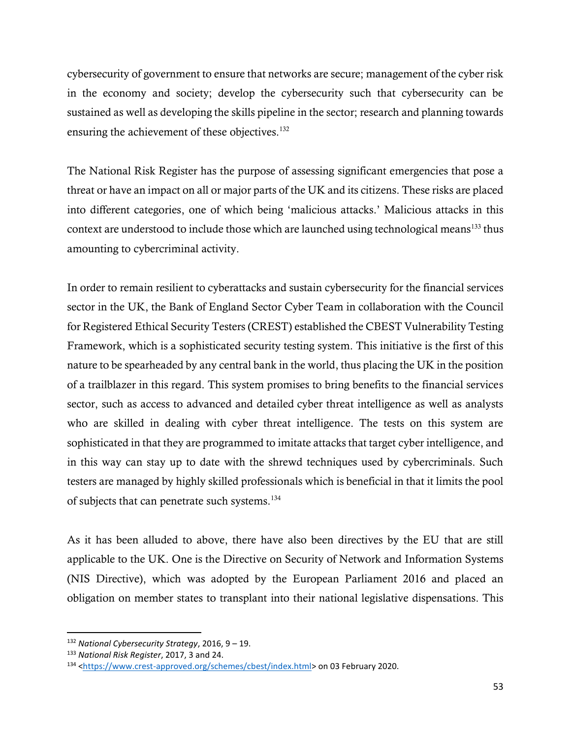cybersecurity of government to ensure that networks are secure; management of the cyber risk in the economy and society; develop the cybersecurity such that cybersecurity can be sustained as well as developing the skills pipeline in the sector; research and planning towards ensuring the achievement of these objectives.<sup>132</sup>

The National Risk Register has the purpose of assessing significant emergencies that pose a threat or have an impact on all or major parts of the UK and its citizens. These risks are placed into different categories, one of which being 'malicious attacks.' Malicious attacks in this context are understood to include those which are launched using technological means<sup>133</sup> thus amounting to cybercriminal activity.

In order to remain resilient to cyberattacks and sustain cybersecurity for the financial services sector in the UK, the Bank of England Sector Cyber Team in collaboration with the Council for Registered Ethical Security Testers (CREST) established the CBEST Vulnerability Testing Framework, which is a sophisticated security testing system. This initiative is the first of this nature to be spearheaded by any central bank in the world, thus placing the UK in the position of a trailblazer in this regard. This system promises to bring benefits to the financial services sector, such as access to advanced and detailed cyber threat intelligence as well as analysts who are skilled in dealing with cyber threat intelligence. The tests on this system are sophisticated in that they are programmed to imitate attacks that target cyber intelligence, and in this way can stay up to date with the shrewd techniques used by cybercriminals. Such testers are managed by highly skilled professionals which is beneficial in that it limits the pool of subjects that can penetrate such systems.<sup>134</sup>

As it has been alluded to above, there have also been directives by the EU that are still applicable to the UK. One is the Directive on Security of Network and Information Systems (NIS Directive), which was adopted by the European Parliament 2016 and placed an obligation on member states to transplant into their national legislative dispensations. This

 $\overline{\phantom{a}}$ 

<sup>132</sup> *National Cybersecurity Strategy*, 2016, 9 – 19.

<sup>133</sup> *National Risk Register*, 2017, 3 and 24.

<sup>134</sup> [<https://www.crest-approved.org/schemes/cbest/index.html>](https://www.crest-approved.org/schemes/cbest/index.html) on 03 February 2020.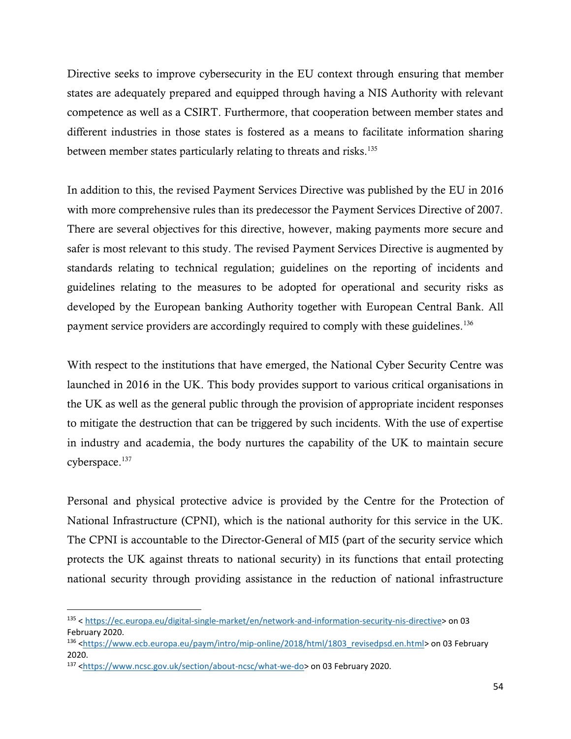Directive seeks to improve cybersecurity in the EU context through ensuring that member states are adequately prepared and equipped through having a NIS Authority with relevant competence as well as a CSIRT. Furthermore, that cooperation between member states and different industries in those states is fostered as a means to facilitate information sharing between member states particularly relating to threats and risks.<sup>135</sup>

In addition to this, the revised Payment Services Directive was published by the EU in 2016 with more comprehensive rules than its predecessor the Payment Services Directive of 2007. There are several objectives for this directive, however, making payments more secure and safer is most relevant to this study. The revised Payment Services Directive is augmented by standards relating to technical regulation; guidelines on the reporting of incidents and guidelines relating to the measures to be adopted for operational and security risks as developed by the European banking Authority together with European Central Bank. All payment service providers are accordingly required to comply with these guidelines.<sup>136</sup>

With respect to the institutions that have emerged, the National Cyber Security Centre was launched in 2016 in the UK. This body provides support to various critical organisations in the UK as well as the general public through the provision of appropriate incident responses to mitigate the destruction that can be triggered by such incidents. With the use of expertise in industry and academia, the body nurtures the capability of the UK to maintain secure cyberspace.<sup>137</sup>

Personal and physical protective advice is provided by the Centre for the Protection of National Infrastructure (CPNI), which is the national authority for this service in the UK. The CPNI is accountable to the Director-General of MI5 (part of the security service which protects the UK against threats to national security) in its functions that entail protecting national security through providing assistance in the reduction of national infrastructure

l <sup>135</sup> < [https://ec.europa.eu/digital-single-market/en/network-and-information-security-nis-directive>](https://ec.europa.eu/digital-single-market/en/network-and-information-security-nis-directive) on 03 February 2020.

<sup>136</sup> [<https://www.ecb.europa.eu/paym/intro/mip-online/2018/html/1803\\_revisedpsd.en.html>](https://www.ecb.europa.eu/paym/intro/mip-online/2018/html/1803_revisedpsd.en.html) on 03 February 2020.

<sup>137</sup> [<https://www.ncsc.gov.uk/section/about-ncsc/what-we-do>](https://www.ncsc.gov.uk/section/about-ncsc/what-we-do) on 03 February 2020.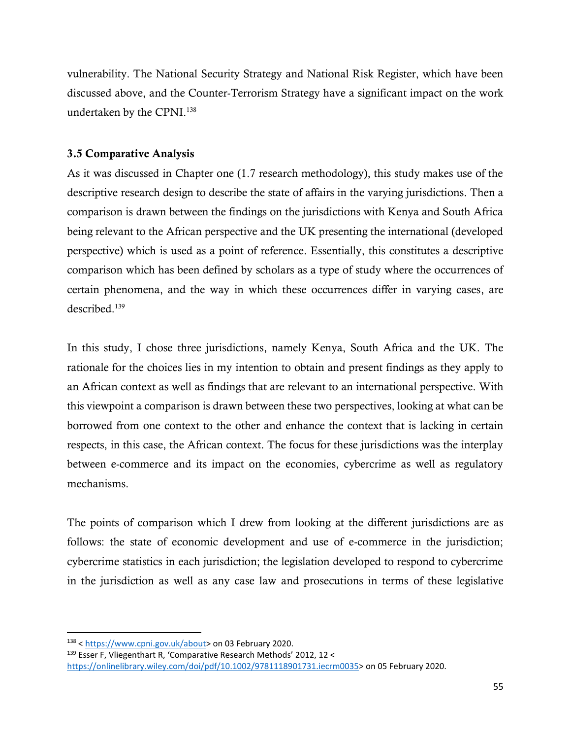vulnerability. The National Security Strategy and National Risk Register, which have been discussed above, and the Counter-Terrorism Strategy have a significant impact on the work undertaken by the CPNI.<sup>138</sup>

# 3.5 Comparative Analysis

As it was discussed in Chapter one (1.7 research methodology), this study makes use of the descriptive research design to describe the state of affairs in the varying jurisdictions. Then a comparison is drawn between the findings on the jurisdictions with Kenya and South Africa being relevant to the African perspective and the UK presenting the international (developed perspective) which is used as a point of reference. Essentially, this constitutes a descriptive comparison which has been defined by scholars as a type of study where the occurrences of certain phenomena, and the way in which these occurrences differ in varying cases, are described.<sup>139</sup>

In this study, I chose three jurisdictions, namely Kenya, South Africa and the UK. The rationale for the choices lies in my intention to obtain and present findings as they apply to an African context as well as findings that are relevant to an international perspective. With this viewpoint a comparison is drawn between these two perspectives, looking at what can be borrowed from one context to the other and enhance the context that is lacking in certain respects, in this case, the African context. The focus for these jurisdictions was the interplay between e-commerce and its impact on the economies, cybercrime as well as regulatory mechanisms.

The points of comparison which I drew from looking at the different jurisdictions are as follows: the state of economic development and use of e-commerce in the jurisdiction; cybercrime statistics in each jurisdiction; the legislation developed to respond to cybercrime in the jurisdiction as well as any case law and prosecutions in terms of these legislative

 $\overline{\phantom{a}}$ 

<sup>138</sup> < [https://www.cpni.gov.uk/about>](https://www.cpni.gov.uk/about) on 03 February 2020.

 $139$  Esser F, Vliegenthart R, 'Comparative Research Methods' 2012, 12 < [https://onlinelibrary.wiley.com/doi/pdf/10.1002/9781118901731.iecrm0035>](https://onlinelibrary.wiley.com/doi/pdf/10.1002/9781118901731.iecrm0035) on 05 February 2020.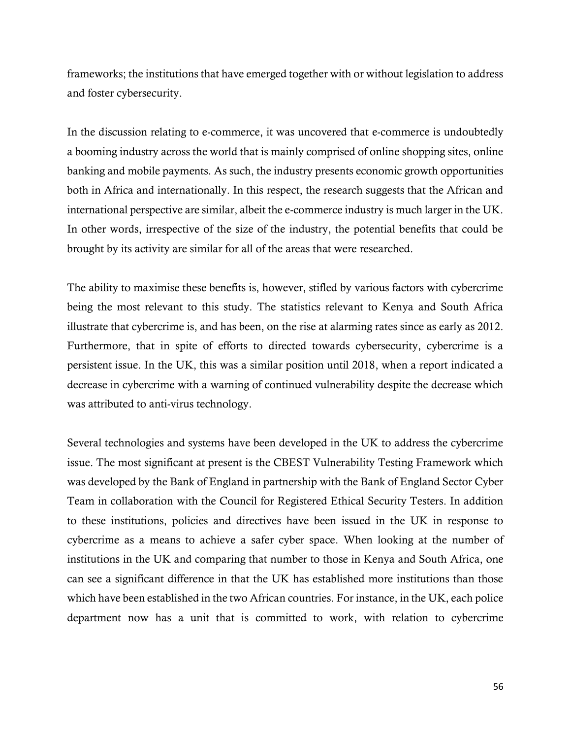frameworks; the institutions that have emerged together with or without legislation to address and foster cybersecurity.

In the discussion relating to e-commerce, it was uncovered that e-commerce is undoubtedly a booming industry across the world that is mainly comprised of online shopping sites, online banking and mobile payments. As such, the industry presents economic growth opportunities both in Africa and internationally. In this respect, the research suggests that the African and international perspective are similar, albeit the e-commerce industry is much larger in the UK. In other words, irrespective of the size of the industry, the potential benefits that could be brought by its activity are similar for all of the areas that were researched.

The ability to maximise these benefits is, however, stifled by various factors with cybercrime being the most relevant to this study. The statistics relevant to Kenya and South Africa illustrate that cybercrime is, and has been, on the rise at alarming rates since as early as 2012. Furthermore, that in spite of efforts to directed towards cybersecurity, cybercrime is a persistent issue. In the UK, this was a similar position until 2018, when a report indicated a decrease in cybercrime with a warning of continued vulnerability despite the decrease which was attributed to anti-virus technology.

Several technologies and systems have been developed in the UK to address the cybercrime issue. The most significant at present is the CBEST Vulnerability Testing Framework which was developed by the Bank of England in partnership with the Bank of England Sector Cyber Team in collaboration with the Council for Registered Ethical Security Testers. In addition to these institutions, policies and directives have been issued in the UK in response to cybercrime as a means to achieve a safer cyber space. When looking at the number of institutions in the UK and comparing that number to those in Kenya and South Africa, one can see a significant difference in that the UK has established more institutions than those which have been established in the two African countries. For instance, in the UK, each police department now has a unit that is committed to work, with relation to cybercrime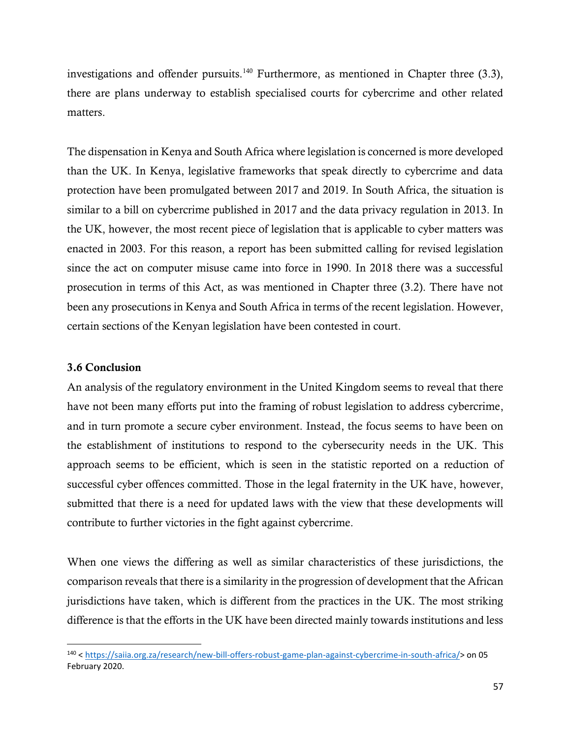investigations and offender pursuits.<sup>140</sup> Furthermore, as mentioned in Chapter three  $(3.3)$ , there are plans underway to establish specialised courts for cybercrime and other related matters.

The dispensation in Kenya and South Africa where legislation is concerned is more developed than the UK. In Kenya, legislative frameworks that speak directly to cybercrime and data protection have been promulgated between 2017 and 2019. In South Africa, the situation is similar to a bill on cybercrime published in 2017 and the data privacy regulation in 2013. In the UK, however, the most recent piece of legislation that is applicable to cyber matters was enacted in 2003. For this reason, a report has been submitted calling for revised legislation since the act on computer misuse came into force in 1990. In 2018 there was a successful prosecution in terms of this Act, as was mentioned in Chapter three (3.2). There have not been any prosecutions in Kenya and South Africa in terms of the recent legislation. However, certain sections of the Kenyan legislation have been contested in court.

# 3.6 Conclusion

An analysis of the regulatory environment in the United Kingdom seems to reveal that there have not been many efforts put into the framing of robust legislation to address cybercrime, and in turn promote a secure cyber environment. Instead, the focus seems to have been on the establishment of institutions to respond to the cybersecurity needs in the UK. This approach seems to be efficient, which is seen in the statistic reported on a reduction of successful cyber offences committed. Those in the legal fraternity in the UK have, however, submitted that there is a need for updated laws with the view that these developments will contribute to further victories in the fight against cybercrime.

When one views the differing as well as similar characteristics of these jurisdictions, the comparison reveals that there is a similarity in the progression of development that the African jurisdictions have taken, which is different from the practices in the UK. The most striking difference is that the efforts in the UK have been directed mainly towards institutions and less

l <sup>140</sup> < [https://saiia.org.za/research/new-bill-offers-robust-game-plan-against-cybercrime-in-south-africa/>](https://saiia.org.za/research/new-bill-offers-robust-game-plan-against-cybercrime-in-south-africa/) on 05 February 2020.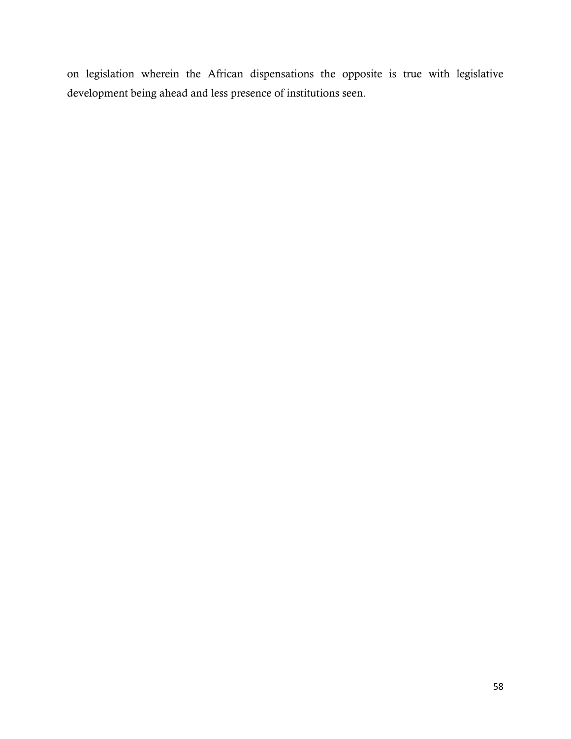on legislation wherein the African dispensations the opposite is true with legislative development being ahead and less presence of institutions seen.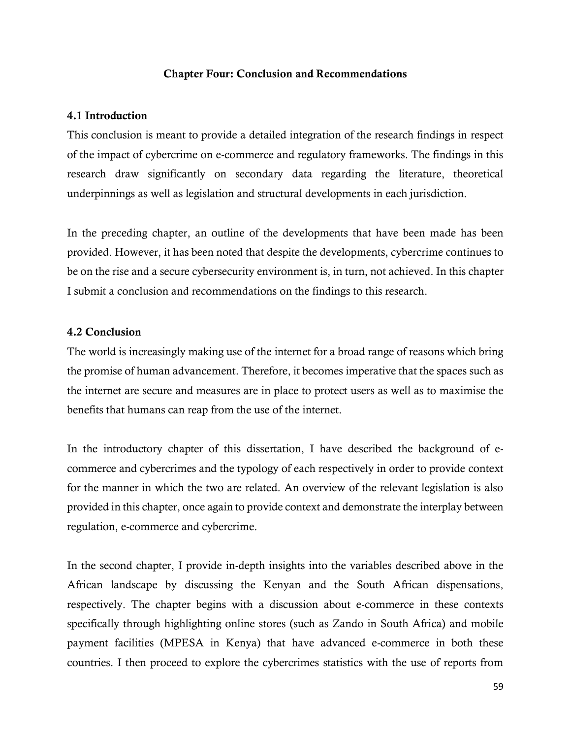### Chapter Four: Conclusion and Recommendations

### 4.1 Introduction

This conclusion is meant to provide a detailed integration of the research findings in respect of the impact of cybercrime on e-commerce and regulatory frameworks. The findings in this research draw significantly on secondary data regarding the literature, theoretical underpinnings as well as legislation and structural developments in each jurisdiction.

In the preceding chapter, an outline of the developments that have been made has been provided. However, it has been noted that despite the developments, cybercrime continues to be on the rise and a secure cybersecurity environment is, in turn, not achieved. In this chapter I submit a conclusion and recommendations on the findings to this research.

### 4.2 Conclusion

The world is increasingly making use of the internet for a broad range of reasons which bring the promise of human advancement. Therefore, it becomes imperative that the spaces such as the internet are secure and measures are in place to protect users as well as to maximise the benefits that humans can reap from the use of the internet.

In the introductory chapter of this dissertation, I have described the background of ecommerce and cybercrimes and the typology of each respectively in order to provide context for the manner in which the two are related. An overview of the relevant legislation is also provided in this chapter, once again to provide context and demonstrate the interplay between regulation, e-commerce and cybercrime.

In the second chapter, I provide in-depth insights into the variables described above in the African landscape by discussing the Kenyan and the South African dispensations, respectively. The chapter begins with a discussion about e-commerce in these contexts specifically through highlighting online stores (such as Zando in South Africa) and mobile payment facilities (MPESA in Kenya) that have advanced e-commerce in both these countries. I then proceed to explore the cybercrimes statistics with the use of reports from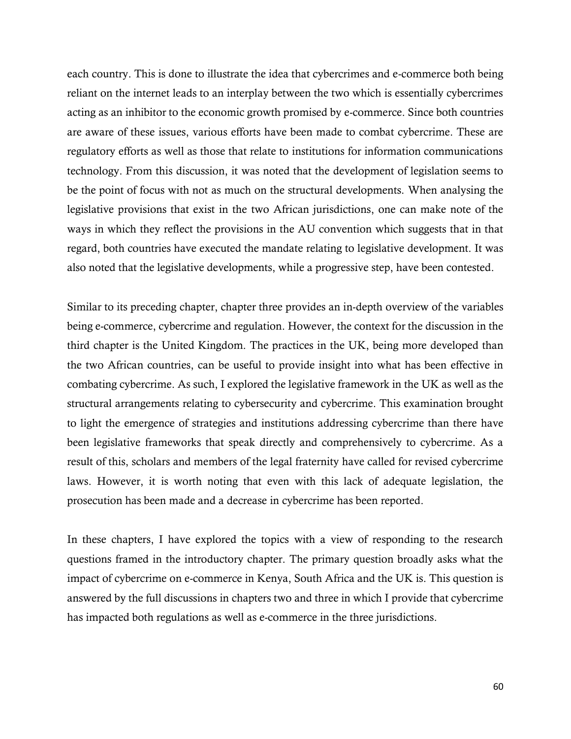each country. This is done to illustrate the idea that cybercrimes and e-commerce both being reliant on the internet leads to an interplay between the two which is essentially cybercrimes acting as an inhibitor to the economic growth promised by e-commerce. Since both countries are aware of these issues, various efforts have been made to combat cybercrime. These are regulatory efforts as well as those that relate to institutions for information communications technology. From this discussion, it was noted that the development of legislation seems to be the point of focus with not as much on the structural developments. When analysing the legislative provisions that exist in the two African jurisdictions, one can make note of the ways in which they reflect the provisions in the AU convention which suggests that in that regard, both countries have executed the mandate relating to legislative development. It was also noted that the legislative developments, while a progressive step, have been contested.

Similar to its preceding chapter, chapter three provides an in-depth overview of the variables being e-commerce, cybercrime and regulation. However, the context for the discussion in the third chapter is the United Kingdom. The practices in the UK, being more developed than the two African countries, can be useful to provide insight into what has been effective in combating cybercrime. As such, I explored the legislative framework in the UK as well as the structural arrangements relating to cybersecurity and cybercrime. This examination brought to light the emergence of strategies and institutions addressing cybercrime than there have been legislative frameworks that speak directly and comprehensively to cybercrime. As a result of this, scholars and members of the legal fraternity have called for revised cybercrime laws. However, it is worth noting that even with this lack of adequate legislation, the prosecution has been made and a decrease in cybercrime has been reported.

In these chapters, I have explored the topics with a view of responding to the research questions framed in the introductory chapter. The primary question broadly asks what the impact of cybercrime on e-commerce in Kenya, South Africa and the UK is. This question is answered by the full discussions in chapters two and three in which I provide that cybercrime has impacted both regulations as well as e-commerce in the three jurisdictions.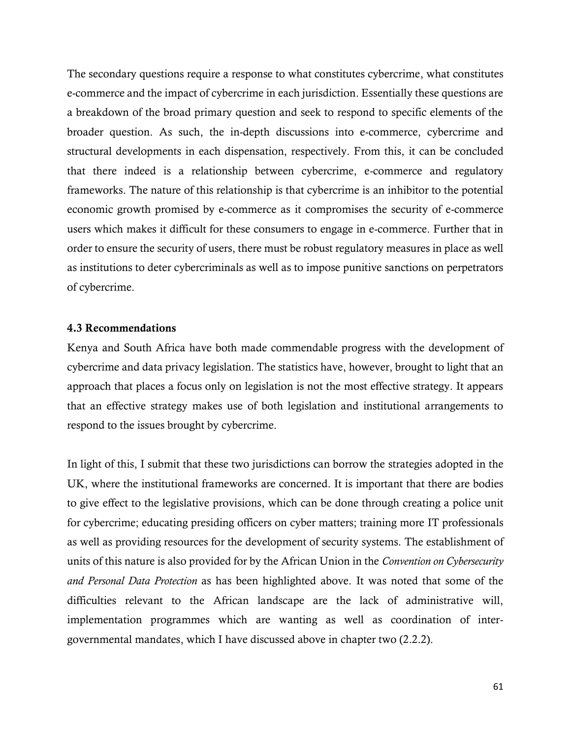The secondary questions require a response to what constitutes cybercrime, what constitutes e-commerce and the impact of cybercrime in each jurisdiction. Essentially these questions are a breakdown of the broad primary question and seek to respond to specific elements of the broader question. As such, the in-depth discussions into e-commerce, cybercrime and structural developments in each dispensation, respectively. From this, it can be concluded that there indeed is a relationship between cybercrime, e-commerce and regulatory frameworks. The nature of this relationship is that cybercrime is an inhibitor to the potential economic growth promised by e-commerce as it compromises the security of e-commerce users which makes it difficult for these consumers to engage in e-commerce. Further that in order to ensure the security of users, there must be robust regulatory measures in place as well as institutions to deter cybercriminals as well as to impose punitive sanctions on perpetrators of cybercrime.

#### 4.3 Recommendations

Kenya and South Africa have both made commendable progress with the development of cybercrime and data privacy legislation. The statistics have, however, brought to light that an approach that places a focus only on legislation is not the most effective strategy. It appears that an effective strategy makes use of both legislation and institutional arrangements to respond to the issues brought by cybercrime.

In light of this, I submit that these two jurisdictions can borrow the strategies adopted in the UK, where the institutional frameworks are concerned. It is important that there are bodies to give effect to the legislative provisions, which can be done through creating a police unit for cybercrime; educating presiding officers on cyber matters; training more IT professionals as well as providing resources for the development of security systems. The establishment of units of this nature is also provided for by the African Union in the *Convention on Cybersecurity and Personal Data Protection* as has been highlighted above. It was noted that some of the difficulties relevant to the African landscape are the lack of administrative will, implementation programmes which are wanting as well as coordination of intergovernmental mandates, which I have discussed above in chapter two (2.2.2).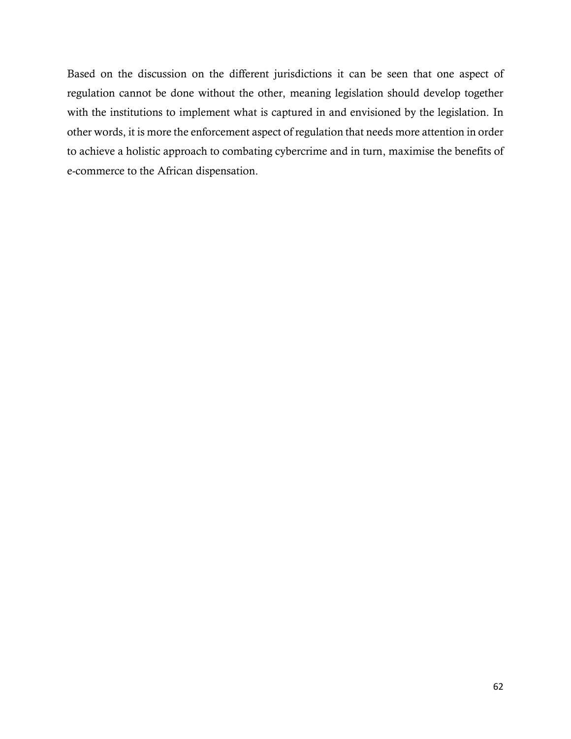Based on the discussion on the different jurisdictions it can be seen that one aspect of regulation cannot be done without the other, meaning legislation should develop together with the institutions to implement what is captured in and envisioned by the legislation. In other words, it is more the enforcement aspect of regulation that needs more attention in order to achieve a holistic approach to combating cybercrime and in turn, maximise the benefits of e-commerce to the African dispensation.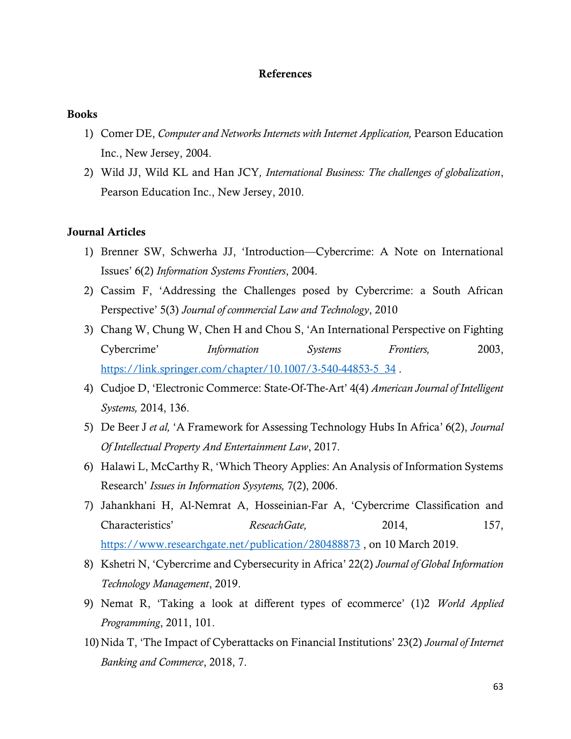#### References

#### Books

- 1) Comer DE, *Computer and Networks Internets with Internet Application,* Pearson Education Inc., New Jersey, 2004.
- 2) Wild JJ, Wild KL and Han JCY*, International Business: The challenges of globalization*, Pearson Education Inc., New Jersey, 2010.

### Journal Articles

- 1) Brenner SW, Schwerha JJ, 'Introduction—Cybercrime: A Note on International Issues' 6(2) *Information Systems Frontiers*, 2004.
- 2) Cassim F, 'Addressing the Challenges posed by Cybercrime: a South African Perspective' 5(3) *Journal of commercial Law and Technology*, 2010
- 3) Chang W, Chung W, Chen H and Chou S, 'An International Perspective on Fighting Cybercrime' *Information Systems Frontiers,* 2003, [https://link.springer.com/chapter/10.1007/3-540-44853-5\\_34](https://link.springer.com/chapter/10.1007/3-540-44853-5_34).
- 4) Cudjoe D, 'Electronic Commerce: State-Of-The-Art' 4(4) *American Journal of Intelligent Systems,* 2014, 136.
- 5) De Beer J *et al,* 'A Framework for Assessing Technology Hubs In Africa' 6(2), *Journal Of Intellectual Property And Entertainment Law*, 2017.
- 6) Halawi L, McCarthy R, 'Which Theory Applies: An Analysis of Information Systems Research' *Issues in Information Sysytems,* 7(2), 2006.
- 7) Jahankhani H, Al-Nemrat A, Hosseinian-Far A, 'Cybercrime Classification and Characteristics' *ReseachGate,* 2014, 157, <https://www.researchgate.net/publication/280488873> , on 10 March 2019.
- 8) Kshetri N, 'Cybercrime and Cybersecurity in Africa' 22(2) *Journal of Global Information Technology Management*, 2019.
- 9) Nemat R, 'Taking a look at different types of ecommerce' (1)2 *World Applied Programming*, 2011, 101.
- 10) Nida T, 'The Impact of Cyberattacks on Financial Institutions' 23(2) *Journal of Internet Banking and Commerce*, 2018, 7.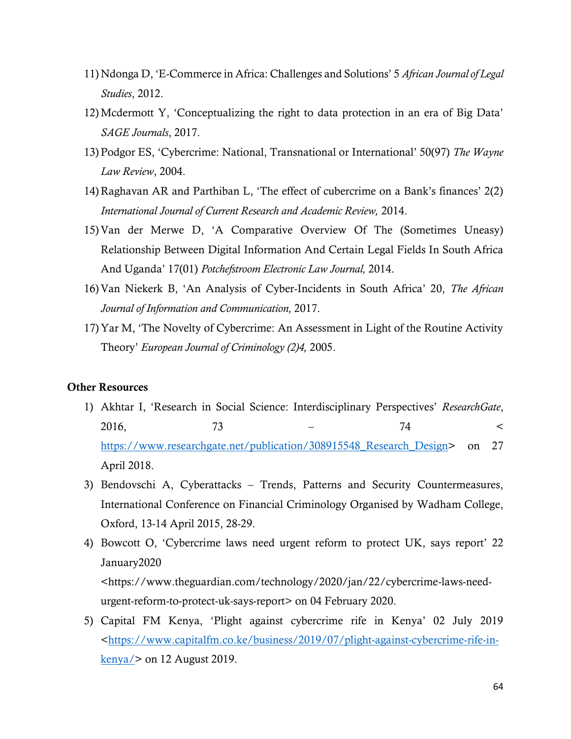- 11) Ndonga D, 'E-Commerce in Africa: Challenges and Solutions' 5 *African Journal of Legal Studies*, 2012.
- 12)Mcdermott Y, 'Conceptualizing the right to data protection in an era of Big Data' *SAGE Journals*, 2017.
- 13) Podgor ES, 'Cybercrime: National, Transnational or International' 50(97) *The Wayne Law Review*, 2004.
- 14) Raghavan AR and Parthiban L, 'The effect of cubercrime on a Bank's finances' 2(2) *International Journal of Current Research and Academic Review,* 2014.
- 15)Van der Merwe D, 'A Comparative Overview Of The (Sometimes Uneasy) Relationship Between Digital Information And Certain Legal Fields In South Africa And Uganda' 17(01) *Potchefstroom Electronic Law Journal,* 2014.
- 16)Van Niekerk B, 'An Analysis of Cyber-Incidents in South Africa' 20, *The African Journal of Information and Communication,* 2017.
- 17) Yar M, 'The Novelty of Cybercrime: An Assessment in Light of the Routine Activity Theory' *European Journal of Criminology (2)4,* 2005.

#### Other Resources

- 1) Akhtar I, 'Research in Social Science: Interdisciplinary Perspectives' *ResearchGate*, 2016, 73 – 74 < [https://www.researchgate.net/publication/308915548\\_Research\\_Design>](https://www.researchgate.net/publication/308915548_Research_Design) on 27 April 2018.
- 3) Bendovschi A, Cyberattacks Trends, Patterns and Security Countermeasures, International Conference on Financial Criminology Organised by Wadham College, Oxford, 13-14 April 2015, 28-29.
- 4) Bowcott O, 'Cybercrime laws need urgent reform to protect UK, says report' 22 January2020 <https://www.theguardian.com/technology/2020/jan/22/cybercrime-laws-needurgent-reform-to-protect-uk-says-report> on 04 February 2020.
- 5) Capital FM Kenya, 'Plight against cybercrime rife in Kenya' 02 July 2019 [<https://www.capitalfm.co.ke/business/2019/07/plight-against-cybercrime-rife-in](https://www.capitalfm.co.ke/business/2019/07/plight-against-cybercrime-rife-in-kenya/)kenya/ $>$  on 12 August 2019.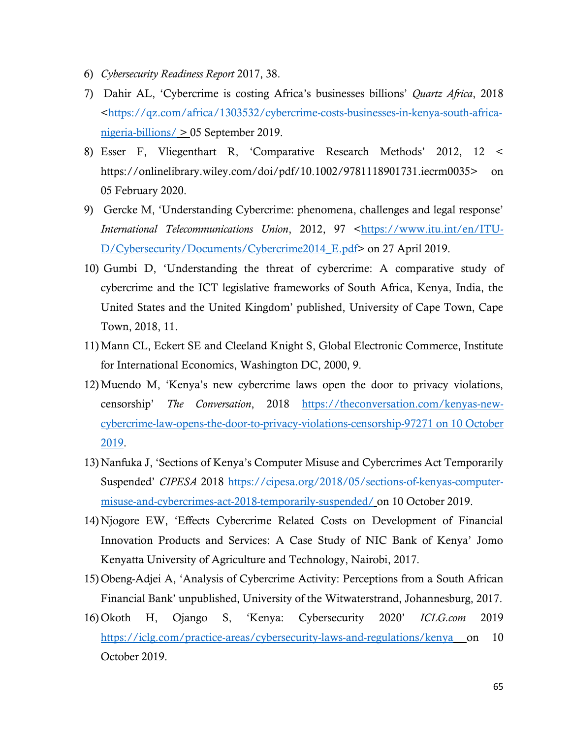- 6) *Cybersecurity Readiness Report* 2017, 38.
- 7) Dahir AL, 'Cybercrime is costing Africa's businesses billions' *Quartz Africa*, 2018 [<https://qz.com/africa/1303532/cybercrime-costs-businesses-in-kenya-south-africa](https://qz.com/africa/1303532/cybercrime-costs-businesses-in-kenya-south-africa-nigeria-billions/)[nigeria-billions/](https://qz.com/africa/1303532/cybercrime-costs-businesses-in-kenya-south-africa-nigeria-billions/) > 05 September 2019.
- 8) Esser F, Vliegenthart R, 'Comparative Research Methods' 2012, 12 < https://onlinelibrary.wiley.com/doi/pdf/10.1002/9781118901731.iecrm0035> on 05 February 2020.
- 9) Gercke M, 'Understanding Cybercrime: phenomena, challenges and legal response' *International Telecommunications Union*, 2012, 97 [<https://www.itu.int/en/ITU-](https://www.itu.int/en/ITU-D/Cybersecurity/Documents/Cybercrime2014_E.pdf)[D/Cybersecurity/Documents/Cybercrime2014\\_E.pdf>](https://www.itu.int/en/ITU-D/Cybersecurity/Documents/Cybercrime2014_E.pdf) on 27 April 2019.
- 10) Gumbi D, 'Understanding the threat of cybercrime: A comparative study of cybercrime and the ICT legislative frameworks of South Africa, Kenya, India, the United States and the United Kingdom' published, University of Cape Town, Cape Town, 2018, 11.
- 11)Mann CL, Eckert SE and Cleeland Knight S, Global Electronic Commerce, Institute for International Economics, Washington DC, 2000, 9.
- 12)Muendo M, 'Kenya's new cybercrime laws open the door to privacy violations, censorship' *The Conversation*, 2018 [https://theconversation.com/kenyas-new](https://theconversation.com/kenyas-new-cybercrime-law-opens-the-door-to-privacy-violations-censorship-97271%20on%2010%20October%202019)[cybercrime-law-opens-the-door-to-privacy-violations-censorship-97271 on 10 October](https://theconversation.com/kenyas-new-cybercrime-law-opens-the-door-to-privacy-violations-censorship-97271%20on%2010%20October%202019)  [2019.](https://theconversation.com/kenyas-new-cybercrime-law-opens-the-door-to-privacy-violations-censorship-97271%20on%2010%20October%202019)
- 13) Nanfuka J, 'Sections of Kenya's Computer Misuse and Cybercrimes Act Temporarily Suspended' *CIPESA* 2018 [https://cipesa.org/2018/05/sections-of-kenyas-computer](https://cipesa.org/2018/05/sections-of-kenyas-computer-misuse-and-cybercrimes-act-2018-temporarily-suspended/)[misuse-and-cybercrimes-act-2018-temporarily-suspended/](https://cipesa.org/2018/05/sections-of-kenyas-computer-misuse-and-cybercrimes-act-2018-temporarily-suspended/) on 10 October 2019.
- 14) Njogore EW, 'Effects Cybercrime Related Costs on Development of Financial Innovation Products and Services: A Case Study of NIC Bank of Kenya' Jomo Kenyatta University of Agriculture and Technology, Nairobi, 2017.
- 15)Obeng-Adjei A, 'Analysis of Cybercrime Activity: Perceptions from a South African Financial Bank' unpublished, University of the Witwaterstrand, Johannesburg, 2017.
- 16)Okoth H, Ojango S, 'Kenya: Cybersecurity 2020' *ICLG.com* 2019 <https://iclg.com/practice-areas/cybersecurity-laws-and-regulations/kenya> on 10 October 2019.